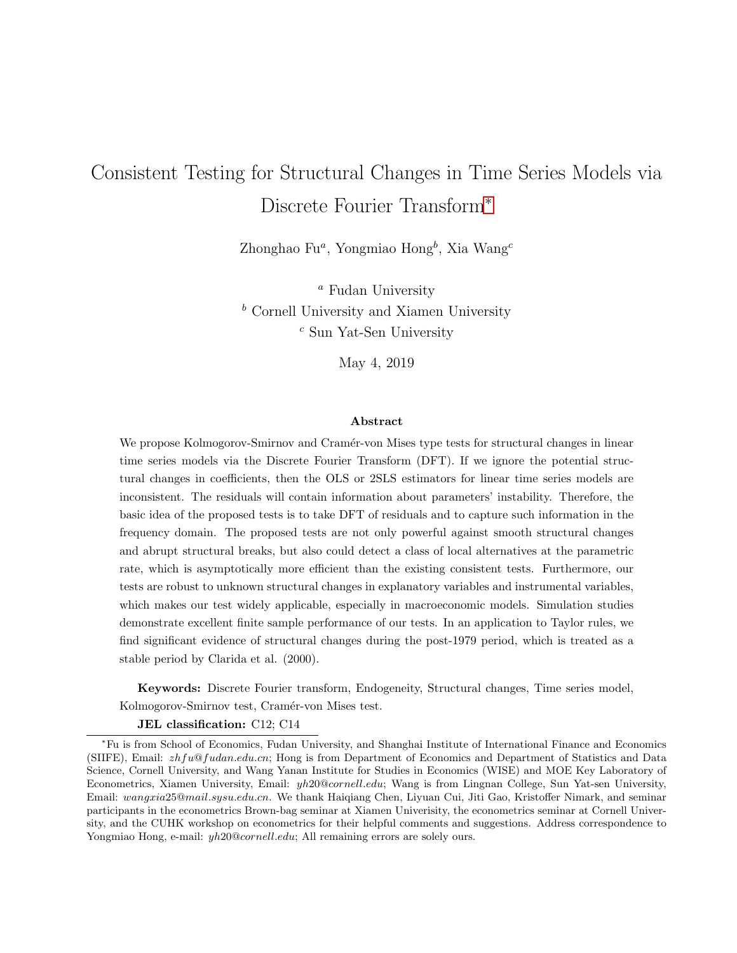# Consistent Testing for Structural Changes in Time Series Models via Discrete Fourier Transform<sup>∗</sup>

Zhonghao Fu<sup>a</sup>, Yongmiao Hong<sup>b</sup>, Xia Wang<sup>c</sup>

<sup>a</sup> Fudan University  $<sup>b</sup>$  Cornell University and Xiamen University</sup> <sup>c</sup> Sun Yat-Sen University

May 4, 2019

#### Abstract

We propose Kolmogorov-Smirnov and Cramér-von Mises type tests for structural changes in linear time series models via the Discrete Fourier Transform (DFT). If we ignore the potential structural changes in coefficients, then the OLS or 2SLS estimators for linear time series models are inconsistent. The residuals will contain information about parameters' instability. Therefore, the basic idea of the proposed tests is to take DFT of residuals and to capture such information in the frequency domain. The proposed tests are not only powerful against smooth structural changes and abrupt structural breaks, but also could detect a class of local alternatives at the parametric rate, which is asymptotically more efficient than the existing consistent tests. Furthermore, our tests are robust to unknown structural changes in explanatory variables and instrumental variables, which makes our test widely applicable, especially in macroeconomic models. Simulation studies demonstrate excellent finite sample performance of our tests. In an application to Taylor rules, we find significant evidence of structural changes during the post-1979 period, which is treated as a stable period by Clarida et al. (2000).

Keywords: Discrete Fourier transform, Endogeneity, Structural changes, Time series model, Kolmogorov-Smirnov test, Cramér-von Mises test.

JEL classification: C12; C14

<sup>∗</sup>Fu is from School of Economics, Fudan University, and Shanghai Institute of International Finance and Economics (SIIFE), Email: zhfu@fudan.edu.cn; Hong is from Department of Economics and Department of Statistics and Data Science, Cornell University, and Wang Yanan Institute for Studies in Economics (WISE) and MOE Key Laboratory of Econometrics, Xiamen University, Email: yh20@cornell.edu; Wang is from Lingnan College, Sun Yat-sen University, Email: wangxia25@mail.sysu.edu.cn. We thank Haigiang Chen, Liyuan Cui, Jiti Gao, Kristoffer Nimark, and seminar participants in the econometrics Brown-bag seminar at Xiamen Univerisity, the econometrics seminar at Cornell University, and the CUHK workshop on econometrics for their helpful comments and suggestions. Address correspondence to Yongmiao Hong, e-mail:  $yh20@cornell.edu$ ; All remaining errors are solely ours.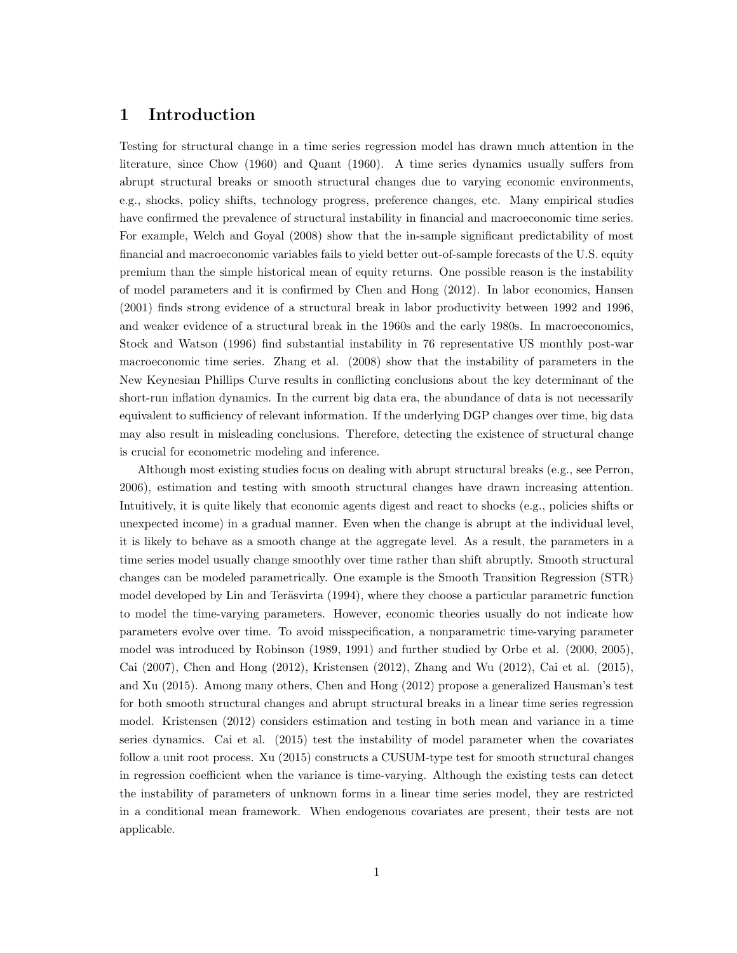# 1 Introduction

Testing for structural change in a time series regression model has drawn much attention in the literature, since Chow (1960) and Quant (1960). A time series dynamics usually suffers from abrupt structural breaks or smooth structural changes due to varying economic environments, e.g., shocks, policy shifts, technology progress, preference changes, etc. Many empirical studies have confirmed the prevalence of structural instability in financial and macroeconomic time series. For example, Welch and Goyal (2008) show that the in-sample significant predictability of most financial and macroeconomic variables fails to yield better out-of-sample forecasts of the U.S. equity premium than the simple historical mean of equity returns. One possible reason is the instability of model parameters and it is confirmed by Chen and Hong (2012). In labor economics, Hansen (2001) finds strong evidence of a structural break in labor productivity between 1992 and 1996, and weaker evidence of a structural break in the 1960s and the early 1980s. In macroeconomics, Stock and Watson (1996) find substantial instability in 76 representative US monthly post-war macroeconomic time series. Zhang et al. (2008) show that the instability of parameters in the New Keynesian Phillips Curve results in conflicting conclusions about the key determinant of the short-run inflation dynamics. In the current big data era, the abundance of data is not necessarily equivalent to sufficiency of relevant information. If the underlying DGP changes over time, big data may also result in misleading conclusions. Therefore, detecting the existence of structural change is crucial for econometric modeling and inference.

Although most existing studies focus on dealing with abrupt structural breaks (e.g., see Perron, 2006), estimation and testing with smooth structural changes have drawn increasing attention. Intuitively, it is quite likely that economic agents digest and react to shocks (e.g., policies shifts or unexpected income) in a gradual manner. Even when the change is abrupt at the individual level, it is likely to behave as a smooth change at the aggregate level. As a result, the parameters in a time series model usually change smoothly over time rather than shift abruptly. Smooth structural changes can be modeled parametrically. One example is the Smooth Transition Regression (STR) model developed by Lin and Teräsvirta (1994), where they choose a particular parametric function to model the time-varying parameters. However, economic theories usually do not indicate how parameters evolve over time. To avoid misspecification, a nonparametric time-varying parameter model was introduced by Robinson (1989, 1991) and further studied by Orbe et al. (2000, 2005), Cai (2007), Chen and Hong (2012), Kristensen (2012), Zhang and Wu (2012), Cai et al. (2015), and Xu (2015). Among many others, Chen and Hong (2012) propose a generalized Hausman's test for both smooth structural changes and abrupt structural breaks in a linear time series regression model. Kristensen (2012) considers estimation and testing in both mean and variance in a time series dynamics. Cai et al. (2015) test the instability of model parameter when the covariates follow a unit root process. Xu (2015) constructs a CUSUM-type test for smooth structural changes in regression coefficient when the variance is time-varying. Although the existing tests can detect the instability of parameters of unknown forms in a linear time series model, they are restricted in a conditional mean framework. When endogenous covariates are present, their tests are not applicable.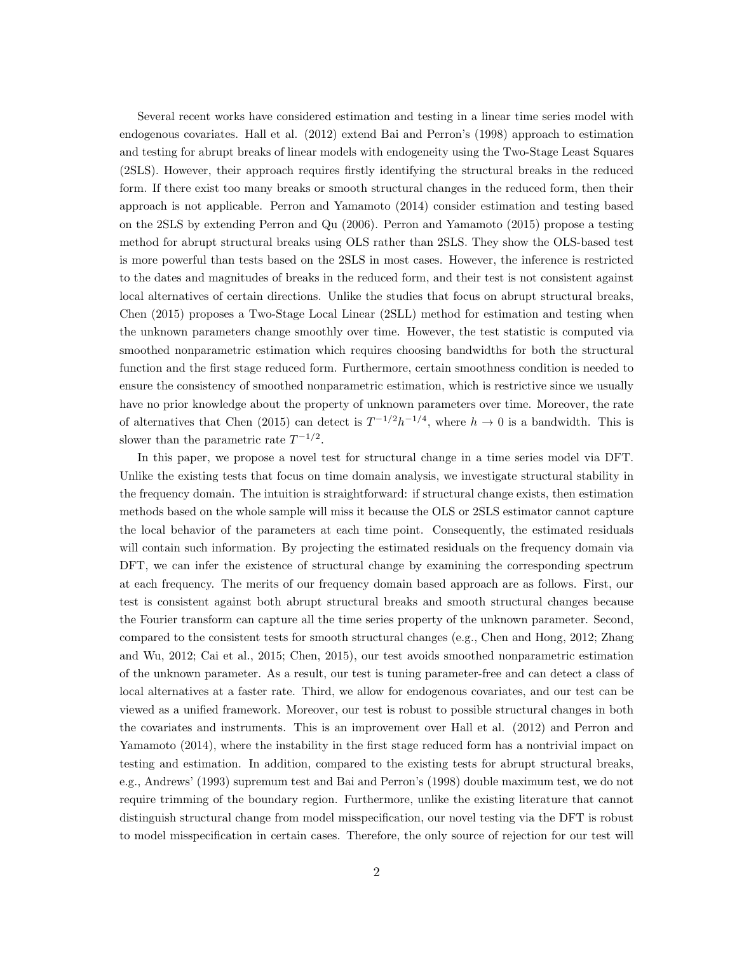Several recent works have considered estimation and testing in a linear time series model with endogenous covariates. Hall et al. (2012) extend Bai and Perron's (1998) approach to estimation and testing for abrupt breaks of linear models with endogeneity using the Two-Stage Least Squares (2SLS). However, their approach requires firstly identifying the structural breaks in the reduced form. If there exist too many breaks or smooth structural changes in the reduced form, then their approach is not applicable. Perron and Yamamoto (2014) consider estimation and testing based on the 2SLS by extending Perron and Qu (2006). Perron and Yamamoto (2015) propose a testing method for abrupt structural breaks using OLS rather than 2SLS. They show the OLS-based test is more powerful than tests based on the 2SLS in most cases. However, the inference is restricted to the dates and magnitudes of breaks in the reduced form, and their test is not consistent against local alternatives of certain directions. Unlike the studies that focus on abrupt structural breaks, Chen (2015) proposes a Two-Stage Local Linear (2SLL) method for estimation and testing when the unknown parameters change smoothly over time. However, the test statistic is computed via smoothed nonparametric estimation which requires choosing bandwidths for both the structural function and the first stage reduced form. Furthermore, certain smoothness condition is needed to ensure the consistency of smoothed nonparametric estimation, which is restrictive since we usually have no prior knowledge about the property of unknown parameters over time. Moreover, the rate of alternatives that Chen (2015) can detect is  $T^{-1/2}h^{-1/4}$ , where  $h \to 0$  is a bandwidth. This is slower than the parametric rate  $T^{-1/2}$ .

In this paper, we propose a novel test for structural change in a time series model via DFT. Unlike the existing tests that focus on time domain analysis, we investigate structural stability in the frequency domain. The intuition is straightforward: if structural change exists, then estimation methods based on the whole sample will miss it because the OLS or 2SLS estimator cannot capture the local behavior of the parameters at each time point. Consequently, the estimated residuals will contain such information. By projecting the estimated residuals on the frequency domain via DFT, we can infer the existence of structural change by examining the corresponding spectrum at each frequency. The merits of our frequency domain based approach are as follows. First, our test is consistent against both abrupt structural breaks and smooth structural changes because the Fourier transform can capture all the time series property of the unknown parameter. Second, compared to the consistent tests for smooth structural changes (e.g., Chen and Hong, 2012; Zhang and Wu, 2012; Cai et al., 2015; Chen, 2015), our test avoids smoothed nonparametric estimation of the unknown parameter. As a result, our test is tuning parameter-free and can detect a class of local alternatives at a faster rate. Third, we allow for endogenous covariates, and our test can be viewed as a unified framework. Moreover, our test is robust to possible structural changes in both the covariates and instruments. This is an improvement over Hall et al. (2012) and Perron and Yamamoto (2014), where the instability in the first stage reduced form has a nontrivial impact on testing and estimation. In addition, compared to the existing tests for abrupt structural breaks, e.g., Andrews' (1993) supremum test and Bai and Perron's (1998) double maximum test, we do not require trimming of the boundary region. Furthermore, unlike the existing literature that cannot distinguish structural change from model misspecification, our novel testing via the DFT is robust to model misspecification in certain cases. Therefore, the only source of rejection for our test will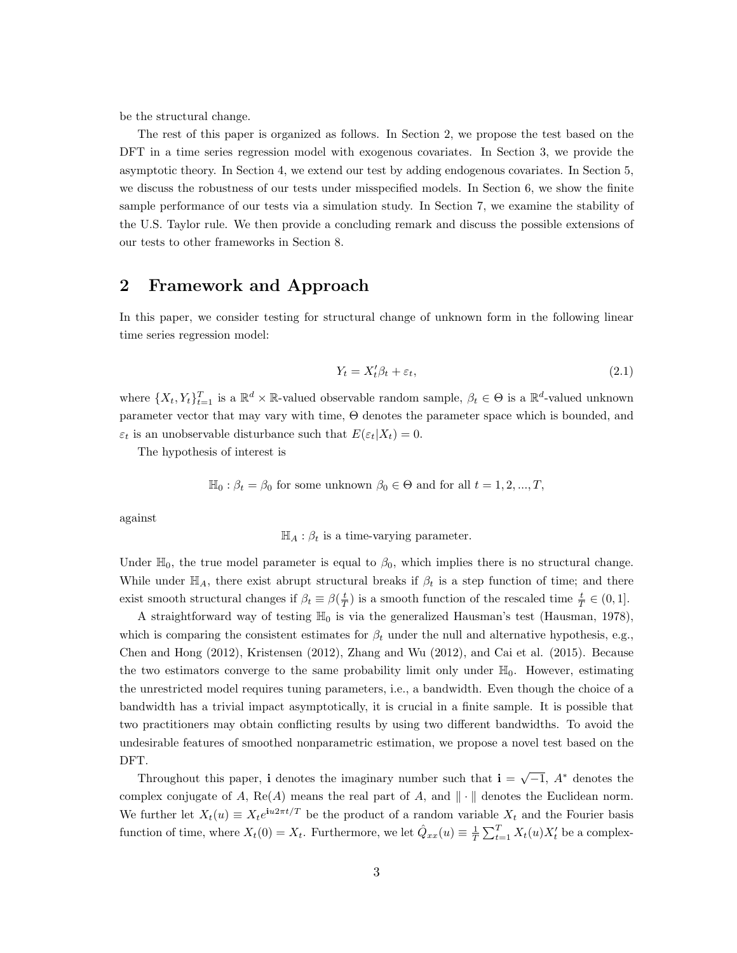be the structural change.

The rest of this paper is organized as follows. In Section 2, we propose the test based on the DFT in a time series regression model with exogenous covariates. In Section 3, we provide the asymptotic theory. In Section 4, we extend our test by adding endogenous covariates. In Section 5, we discuss the robustness of our tests under misspecified models. In Section 6, we show the finite sample performance of our tests via a simulation study. In Section 7, we examine the stability of the U.S. Taylor rule. We then provide a concluding remark and discuss the possible extensions of our tests to other frameworks in Section 8.

# 2 Framework and Approach

In this paper, we consider testing for structural change of unknown form in the following linear time series regression model:

$$
Y_t = X_t' \beta_t + \varepsilon_t,\tag{2.1}
$$

where  $\{X_t, Y_t\}_{t=1}^T$  is a  $\mathbb{R}^d \times \mathbb{R}$ -valued observable random sample,  $\beta_t \in \Theta$  is a  $\mathbb{R}^d$ -valued unknown parameter vector that may vary with time, Θ denotes the parameter space which is bounded, and  $\varepsilon_t$  is an unobservable disturbance such that  $E(\varepsilon_t|X_t) = 0$ .

The hypothesis of interest is

$$
\mathbb{H}_0: \beta_t = \beta_0
$$
 for some unknown  $\beta_0 \in \Theta$  and for all  $t = 1, 2, ..., T$ ,

against

$$
\mathbb{H}_A: \beta_t
$$
 is a time-varying parameter.

Under  $\mathbb{H}_0$ , the true model parameter is equal to  $\beta_0$ , which implies there is no structural change. While under  $\mathbb{H}_A$ , there exist abrupt structural breaks if  $\beta_t$  is a step function of time; and there exist smooth structural changes if  $\beta_t \equiv \beta(\frac{t}{T})$  is a smooth function of the rescaled time  $\frac{t}{T} \in (0,1]$ .

A straightforward way of testing  $\mathbb{H}_0$  is via the generalized Hausman's test (Hausman, 1978), which is comparing the consistent estimates for  $\beta_t$  under the null and alternative hypothesis, e.g., Chen and Hong (2012), Kristensen (2012), Zhang and Wu (2012), and Cai et al. (2015). Because the two estimators converge to the same probability limit only under  $\mathbb{H}_0$ . However, estimating the unrestricted model requires tuning parameters, i.e., a bandwidth. Even though the choice of a bandwidth has a trivial impact asymptotically, it is crucial in a finite sample. It is possible that two practitioners may obtain conflicting results by using two different bandwidths. To avoid the undesirable features of smoothed nonparametric estimation, we propose a novel test based on the DFT.

Throughout this paper, **i** denotes the imaginary number such that  $\mathbf{i} = \sqrt{-1}$ ,  $A^*$  denotes the complex conjugate of A,  $\text{Re}(A)$  means the real part of A, and  $\|\cdot\|$  denotes the Euclidean norm. We further let  $X_t(u) \equiv X_t e^{iu2\pi t/T}$  be the product of a random variable  $X_t$  and the Fourier basis function of time, where  $X_t(0) = X_t$ . Furthermore, we let  $\hat{Q}_{xx}(u) \equiv \frac{1}{T} \sum_{t=1}^T X_t(u) X_t'$  be a complex-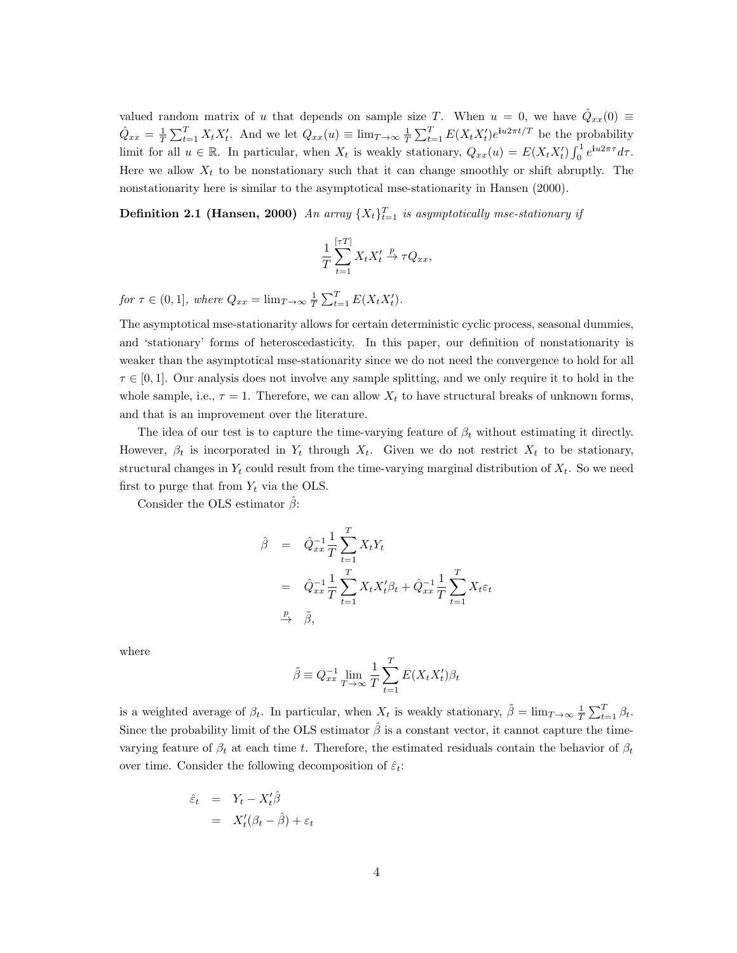valued random matrix of u that depends on sample size T. When  $u = 0$ , we have  $\hat{Q}_{xx}(0) \equiv$  $\hat{Q}_{xx} = \frac{1}{T} \sum_{t=1}^{T} X_t X_t'$ . And we let  $Q_{xx}(u) \equiv \lim_{T \to \infty} \frac{1}{T} \sum_{t=1}^{T} E(X_t X_t') e^{iu2\pi t/T}$  be the probability limit for all  $u \in \mathbb{R}$ . In particular, when  $X_t$  is weakly stationary,  $Q_{xx}(u) = E(X_t X_t') \int_0^1 e^{i u 2\pi \tau} d\tau$ . Here we allow  $X_t$  to be nonstationary such that it can change smoothly or shift abruptly. The nonstationarity here is similar to the asymptotical mse-stationarity in Hansen (2000).

**Definition 2.1 (Hansen, 2000)** An array  $\{X_t\}_{t=1}^T$  is asymptotically mse-stationary if

$$
\frac{1}{T} \sum_{t=1}^{[\tau T]} X_t X_t' \stackrel{p}{\to} \tau Q_{xx},
$$

for  $\tau \in (0, 1]$ , where  $Q_{xx} = \lim_{T \to \infty} \frac{1}{T} \sum_{t=1}^{T} E(X_t X_t')$ .

The asymptotical mse-stationarity allows for certain deterministic cyclic process, seasonal dummies, and 'stationary' forms of heteroscedasticity. In this paper, our definition of nonstationarity is weaker than the asymptotical mse-stationarity since we do not need the convergence to hold for all  $\tau \in [0, 1]$ . Our analysis does not involve any sample splitting, and we only require it to hold in the whole sample, i.e.,  $\tau = 1$ . Therefore, we can allow  $X_t$  to have structural breaks of unknown forms, and that is an improvement over the literature.

The idea of our test is to capture the time-varying feature of  $\beta_t$  without estimating it directly. However,  $\beta_t$  is incorporated in  $Y_t$  through  $X_t$ . Given we do not restrict  $X_t$  to be stationary, structural changes in  $Y_t$  could result from the time-varying marginal distribution of  $X_t$ . So we need first to purge that from  $Y_t$  via the OLS.

Consider the OLS estimator  $\beta$ :

$$
\hat{\beta} = \hat{Q}_{xx}^{-1} \frac{1}{T} \sum_{t=1}^{T} X_t Y_t
$$
  
\n
$$
= \hat{Q}_{xx}^{-1} \frac{1}{T} \sum_{t=1}^{T} X_t X_t' \beta_t + \hat{Q}_{xx}^{-1} \frac{1}{T} \sum_{t=1}^{T} X_t \varepsilon_t
$$
  
\n
$$
\xrightarrow{p} \tilde{\beta},
$$

where

$$
\tilde{\beta} \equiv Q_{xx}^{-1} \lim_{T \to \infty} \frac{1}{T} \sum_{t=1}^{T} E(X_t X_t') \beta_t
$$

is a weighted average of  $\beta_t$ . In particular, when  $X_t$  is weakly stationary,  $\tilde{\beta} = \lim_{T \to \infty} \frac{1}{T} \sum_{t=1}^T \beta_t$ . Since the probability limit of the OLS estimator  $\hat{\beta}$  is a constant vector, it cannot capture the timevarying feature of  $\beta_t$  at each time t. Therefore, the estimated residuals contain the behavior of  $\beta_t$ over time. Consider the following decomposition of  $\hat{\varepsilon}_t$ :

$$
\begin{array}{rcl}\n\hat{\varepsilon}_t &=& Y_t - X_t'\hat{\beta} \\
&=& X_t'(\beta_t - \hat{\beta}) + \varepsilon_t\n\end{array}
$$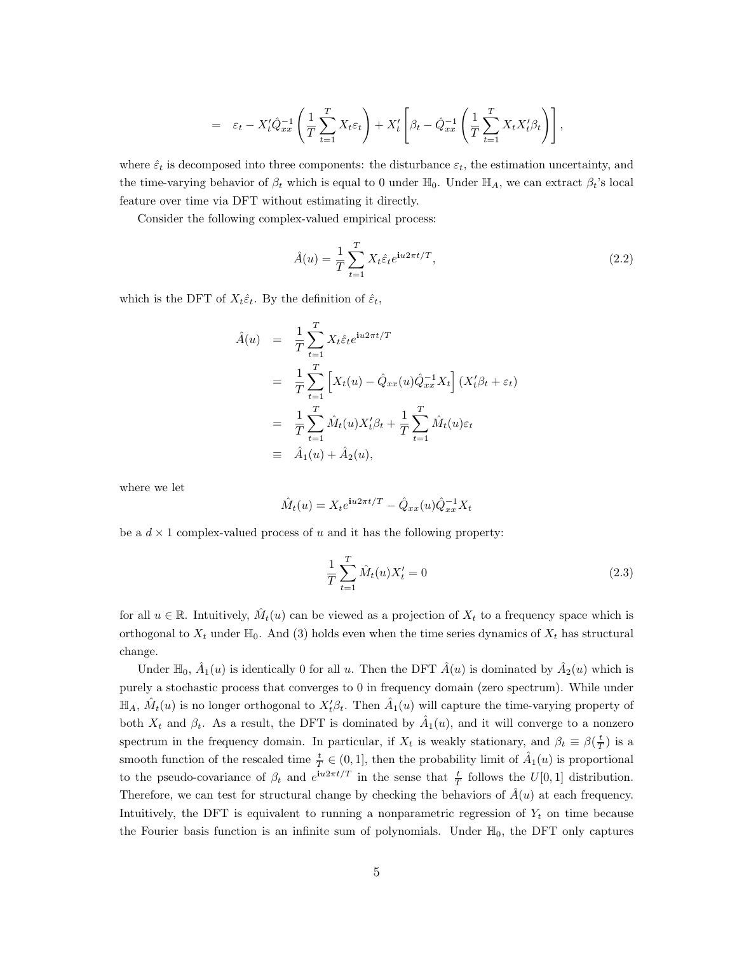$$
= \varepsilon_t - X_t' \hat{Q}_{xx}^{-1} \left( \frac{1}{T} \sum_{t=1}^T X_t \varepsilon_t \right) + X_t' \left[ \beta_t - \hat{Q}_{xx}^{-1} \left( \frac{1}{T} \sum_{t=1}^T X_t X_t' \beta_t \right) \right],
$$

where  $\hat{\varepsilon}_t$  is decomposed into three components: the disturbance  $\varepsilon_t$ , the estimation uncertainty, and the time-varying behavior of  $\beta_t$  which is equal to 0 under  $\mathbb{H}_0$ . Under  $\mathbb{H}_A$ , we can extract  $\beta_t$ 's local feature over time via DFT without estimating it directly.

Consider the following complex-valued empirical process:

$$
\hat{A}(u) = \frac{1}{T} \sum_{t=1}^{T} X_t \hat{\varepsilon}_t e^{\mathbf{i}u 2\pi t/T},
$$
\n(2.2)

which is the DFT of  $X_t \hat{\varepsilon}_t$ . By the definition of  $\hat{\varepsilon}_t$ ,

$$
\hat{A}(u) = \frac{1}{T} \sum_{t=1}^{T} X_t \hat{\varepsilon}_t e^{iu2\pi t/T}
$$
\n
$$
= \frac{1}{T} \sum_{t=1}^{T} \left[ X_t(u) - \hat{Q}_{xx}(u)\hat{Q}_{xx}^{-1}X_t \right] (X_t'\beta_t + \varepsilon_t)
$$
\n
$$
= \frac{1}{T} \sum_{t=1}^{T} \hat{M}_t(u) X_t'\beta_t + \frac{1}{T} \sum_{t=1}^{T} \hat{M}_t(u)\varepsilon_t
$$
\n
$$
\equiv \hat{A}_1(u) + \hat{A}_2(u),
$$

where we let

$$
\hat{M}_t(u)=X_te^{\textbf{i}u2\pi t/T}-\hat{Q}_{xx}(u)\hat{Q}_{xx}^{-1}X_t
$$

be a  $d \times 1$  complex-valued process of u and it has the following property:

$$
\frac{1}{T} \sum_{t=1}^{T} \hat{M}_t(u) X'_t = 0
$$
\n(2.3)

for all  $u \in \mathbb{R}$ . Intuitively,  $\hat{M}_t(u)$  can be viewed as a projection of  $X_t$  to a frequency space which is orthogonal to  $X_t$  under  $\mathbb{H}_0$ . And (3) holds even when the time series dynamics of  $X_t$  has structural change.

Under  $\mathbb{H}_0$ ,  $\hat{A}_1(u)$  is identically 0 for all u. Then the DFT  $\hat{A}(u)$  is dominated by  $\hat{A}_2(u)$  which is purely a stochastic process that converges to 0 in frequency domain (zero spectrum). While under  $\mathbb{H}_A$ ,  $\hat{M}_t(u)$  is no longer orthogonal to  $X_t'\beta_t$ . Then  $\hat{A}_1(u)$  will capture the time-varying property of both  $X_t$  and  $\beta_t$ . As a result, the DFT is dominated by  $\hat{A}_1(u)$ , and it will converge to a nonzero spectrum in the frequency domain. In particular, if  $X_t$  is weakly stationary, and  $\beta_t \equiv \beta(\frac{t}{T})$  is a smooth function of the rescaled time  $\frac{t}{T} \in (0,1]$ , then the probability limit of  $\hat{A}_1(u)$  is proportional to the pseudo-covariance of  $\beta_t$  and  $e^{iu2\pi t/T}$  in the sense that  $\frac{t}{T}$  follows the  $U[0,1]$  distribution. Therefore, we can test for structural change by checking the behaviors of  $\hat{A}(u)$  at each frequency. Intuitively, the DFT is equivalent to running a nonparametric regression of  $Y_t$  on time because the Fourier basis function is an infinite sum of polynomials. Under  $\mathbb{H}_0$ , the DFT only captures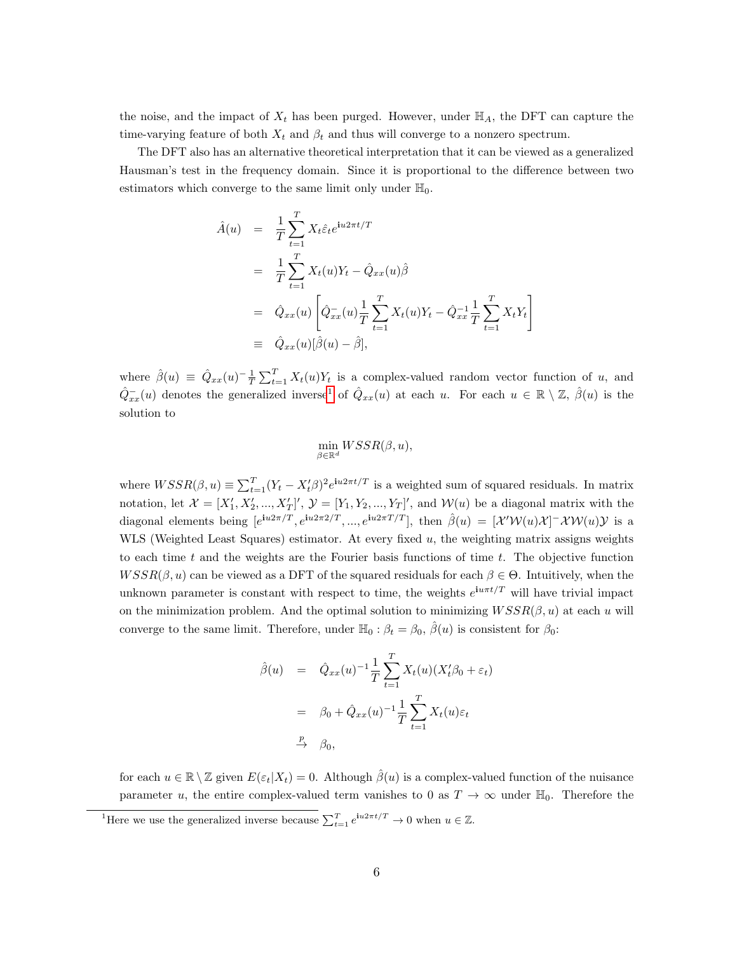the noise, and the impact of  $X_t$  has been purged. However, under  $\mathbb{H}_A$ , the DFT can capture the time-varying feature of both  $X_t$  and  $\beta_t$  and thus will converge to a nonzero spectrum.

The DFT also has an alternative theoretical interpretation that it can be viewed as a generalized Hausman's test in the frequency domain. Since it is proportional to the difference between two estimators which converge to the same limit only under  $\mathbb{H}_0$ .

$$
\hat{A}(u) = \frac{1}{T} \sum_{t=1}^{T} X_t \hat{\varepsilon}_t e^{iu2\pi t/T}
$$
\n
$$
= \frac{1}{T} \sum_{t=1}^{T} X_t(u) Y_t - \hat{Q}_{xx}(u) \hat{\beta}
$$
\n
$$
= \hat{Q}_{xx}(u) \left[ \hat{Q}_{xx}^-(u) \frac{1}{T} \sum_{t=1}^{T} X_t(u) Y_t - \hat{Q}_{xx}^{-1} \frac{1}{T} \sum_{t=1}^{T} X_t Y_t \right]
$$
\n
$$
\equiv \hat{Q}_{xx}(u) [\hat{\beta}(u) - \hat{\beta}],
$$

where  $\hat{\beta}(u) \equiv \hat{Q}_{xx}(u)^{-1} \frac{1}{T} \sum_{t=1}^{T} X_t(u) Y_t$  is a complex-valued random vector function of u, and  $\hat{Q}_{xx}^-(u)$  denotes the generalized inverse<sup>[1](#page-6-0)</sup> of  $\hat{Q}_{xx}(u)$  at each  $u$ . For each  $u \in \mathbb{R} \setminus \mathbb{Z}$ ,  $\hat{\beta}(u)$  is the solution to

$$
\min_{\beta \in \mathbb{R}^d} WSSR(\beta,u),
$$

where  $WSSR(\beta, u) \equiv \sum_{t=1}^{T} (Y_t - X_t^{\prime} \beta)^2 e^{iu2\pi t/T}$  is a weighted sum of squared residuals. In matrix notation, let  $\mathcal{X} = [X'_1, X'_2, ..., X'_T]'$ ,  $\mathcal{Y} = [Y_1, Y_2, ..., Y_T]'$ , and  $\mathcal{W}(u)$  be a diagonal matrix with the diagonal elements being  $[e^{iu2\pi/T}, e^{iu2\pi/2/T}, ..., e^{iu2\pi T/T}]$ , then  $\hat{\beta}(u) = [\mathcal{X}'\mathcal{W}(u)\mathcal{X}]$ <sup>-</sup> $\mathcal{X}\mathcal{W}(u)\mathcal{Y}$  is a WLS (Weighted Least Squares) estimator. At every fixed  $u$ , the weighting matrix assigns weights to each time t and the weights are the Fourier basis functions of time  $t$ . The objective function  $WSSR(\beta, u)$  can be viewed as a DFT of the squared residuals for each  $\beta \in \Theta$ . Intuitively, when the unknown parameter is constant with respect to time, the weights  $e^{i\mu\pi t/T}$  will have trivial impact on the minimization problem. And the optimal solution to minimizing  $WSSR(\beta, u)$  at each u will converge to the same limit. Therefore, under  $\mathbb{H}_0 : \beta_t = \beta_0$ ,  $\hat{\beta}(u)$  is consistent for  $\beta_0$ :

$$
\hat{\beta}(u) = \hat{Q}_{xx}(u)^{-1} \frac{1}{T} \sum_{t=1}^{T} X_t(u) (X_t' \beta_0 + \varepsilon_t)
$$

$$
= \beta_0 + \hat{Q}_{xx}(u)^{-1} \frac{1}{T} \sum_{t=1}^{T} X_t(u) \varepsilon_t
$$

$$
\xrightarrow{P} \beta_0,
$$

for each  $u \in \mathbb{R} \setminus \mathbb{Z}$  given  $E(\varepsilon_t | X_t) = 0$ . Although  $\hat{\beta}(u)$  is a complex-valued function of the nuisance parameter u, the entire complex-valued term vanishes to 0 as  $T \to \infty$  under  $\mathbb{H}_0$ . Therefore the

<span id="page-6-0"></span><sup>&</sup>lt;sup>1</sup>Here we use the generalized inverse because  $\sum_{t=1}^{T} e^{i u 2\pi t/T} \to 0$  when  $u \in \mathbb{Z}$ .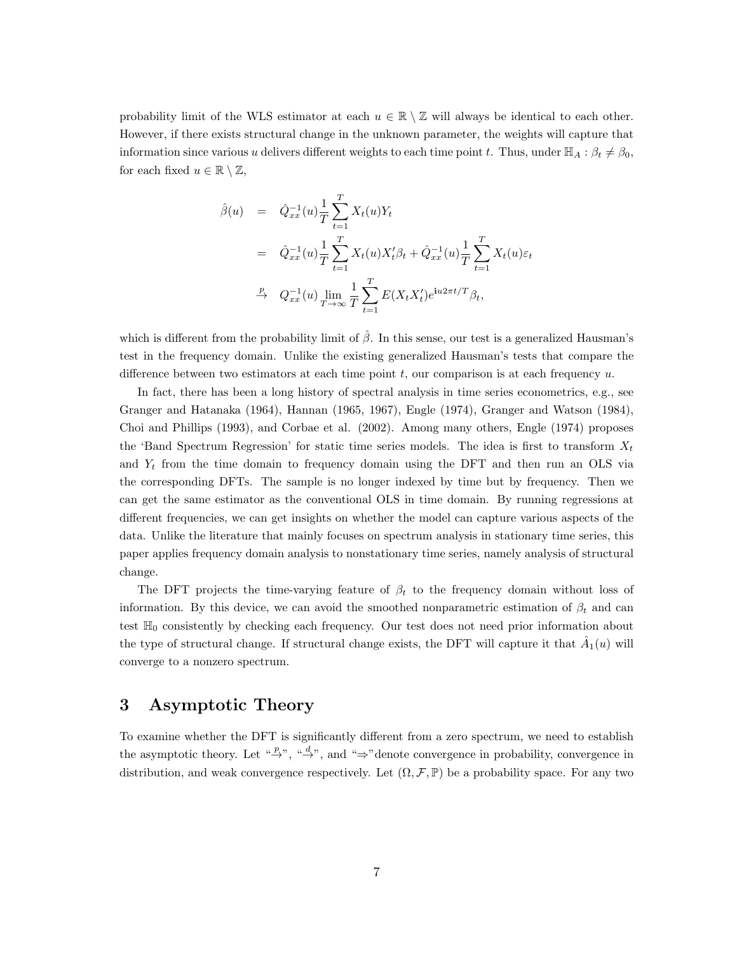probability limit of the WLS estimator at each  $u \in \mathbb{R} \setminus \mathbb{Z}$  will always be identical to each other. However, if there exists structural change in the unknown parameter, the weights will capture that information since various u delivers different weights to each time point t. Thus, under  $\mathbb{H}_A : \beta_t \neq \beta_0$ , for each fixed  $u \in \mathbb{R} \setminus \mathbb{Z}$ ,

$$
\hat{\beta}(u) = \hat{Q}_{xx}^{-1}(u) \frac{1}{T} \sum_{t=1}^{T} X_t(u) Y_t \n= \hat{Q}_{xx}^{-1}(u) \frac{1}{T} \sum_{t=1}^{T} X_t(u) X_t' \beta_t + \hat{Q}_{xx}^{-1}(u) \frac{1}{T} \sum_{t=1}^{T} X_t(u) \varepsilon_t \n\stackrel{p}{\to} Q_{xx}^{-1}(u) \lim_{T \to \infty} \frac{1}{T} \sum_{t=1}^{T} E(X_t X_t') e^{iu2\pi t/T} \beta_t,
$$

which is different from the probability limit of  $\hat{\beta}$ . In this sense, our test is a generalized Hausman's test in the frequency domain. Unlike the existing generalized Hausman's tests that compare the difference between two estimators at each time point  $t$ , our comparison is at each frequency  $u$ .

In fact, there has been a long history of spectral analysis in time series econometrics, e.g., see Granger and Hatanaka (1964), Hannan (1965, 1967), Engle (1974), Granger and Watson (1984), Choi and Phillips (1993), and Corbae et al. (2002). Among many others, Engle (1974) proposes the 'Band Spectrum Regression' for static time series models. The idea is first to transform  $X_t$ and  $Y_t$  from the time domain to frequency domain using the DFT and then run an OLS via the corresponding DFTs. The sample is no longer indexed by time but by frequency. Then we can get the same estimator as the conventional OLS in time domain. By running regressions at different frequencies, we can get insights on whether the model can capture various aspects of the data. Unlike the literature that mainly focuses on spectrum analysis in stationary time series, this paper applies frequency domain analysis to nonstationary time series, namely analysis of structural change.

The DFT projects the time-varying feature of  $\beta_t$  to the frequency domain without loss of information. By this device, we can avoid the smoothed nonparametric estimation of  $\beta_t$  and can test  $\mathbb{H}_0$  consistently by checking each frequency. Our test does not need prior information about the type of structural change. If structural change exists, the DFT will capture it that  $\hat{A}_1(u)$  will converge to a nonzero spectrum.

# 3 Asymptotic Theory

To examine whether the DFT is significantly different from a zero spectrum, we need to establish the asymptotic theory. Let  $\stackrel{w}{\rightarrow}$ ,  $\stackrel{d}{\rightarrow}$ , and  $\stackrel{w}{\rightarrow}$  denote convergence in probability, convergence in distribution, and weak convergence respectively. Let  $(\Omega, \mathcal{F}, \mathbb{P})$  be a probability space. For any two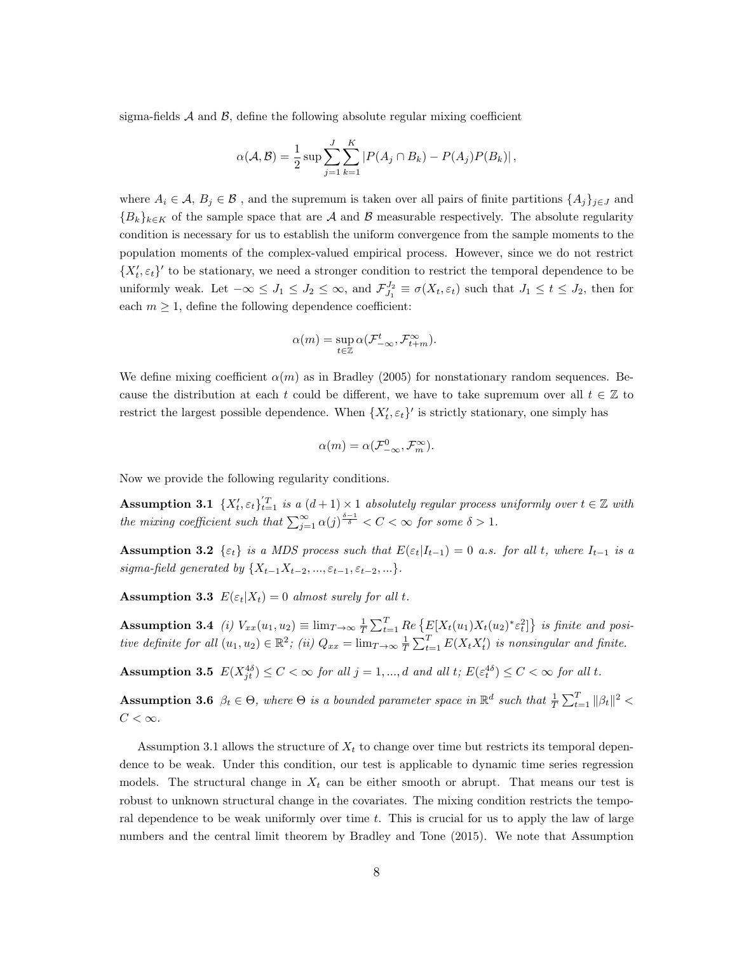sigma-fields  $A$  and  $B$ , define the following absolute regular mixing coefficient

$$
\alpha(\mathcal{A}, \mathcal{B}) = \frac{1}{2} \sup \sum_{j=1}^{J} \sum_{k=1}^{K} |P(A_j \cap B_k) - P(A_j)P(B_k)|,
$$

where  $A_i \in \mathcal{A}, B_j \in \mathcal{B}$ , and the supremum is taken over all pairs of finite partitions  $\{A_j\}_{j\in\mathcal{J}}$  and  ${B_k}_{k\in K}$  of the sample space that are A and B measurable respectively. The absolute regularity condition is necessary for us to establish the uniform convergence from the sample moments to the population moments of the complex-valued empirical process. However, since we do not restrict  ${X'_t, \varepsilon_t}$ ' to be stationary, we need a stronger condition to restrict the temporal dependence to be uniformly weak. Let  $-\infty \leq J_1 \leq J_2 \leq \infty$ , and  $\mathcal{F}_{J_1}^{J_2} \equiv \sigma(X_t, \varepsilon_t)$  such that  $J_1 \leq t \leq J_2$ , then for each  $m \geq 1$ , define the following dependence coefficient:

$$
\alpha(m)=\sup_{t\in\mathbb{Z}}\alpha(\mathcal{F}_{-\infty}^t,\mathcal{F}_{t+m}^\infty).
$$

We define mixing coefficient  $\alpha(m)$  as in Bradley (2005) for nonstationary random sequences. Because the distribution at each t could be different, we have to take supremum over all  $t \in \mathbb{Z}$  to restrict the largest possible dependence. When  $\{X_t, \varepsilon_t\}'$  is strictly stationary, one simply has

$$
\alpha(m)=\alpha(\mathcal{F}_{-\infty}^{0},\mathcal{F}_{m}^{\infty}).
$$

Now we provide the following regularity conditions.

**Assumption 3.1**  $\{X'_t, \varepsilon_t\}_{t=1}^T$  is a  $(d+1) \times 1$  absolutely regular process uniformly over  $t \in \mathbb{Z}$  with the mixing coefficient such that  $\sum_{j=1}^{\infty} \alpha(j)^{\frac{\delta-1}{\delta}} < C < \infty$  for some  $\delta > 1$ .

**Assumption 3.2**  $\{\varepsilon_t\}$  is a MDS process such that  $E(\varepsilon_t|I_{t-1}) = 0$  a.s. for all t, where  $I_{t-1}$  is a sigma-field generated by  $\{X_{t-1}X_{t-2}, ..., \varepsilon_{t-1}, \varepsilon_{t-2}, ...\}$ .

**Assumption 3.3**  $E(\varepsilon_t|X_t) = 0$  almost surely for all t.

Assumption 3.4 (i)  $V_{xx}(u_1, u_2) \equiv \lim_{T \to \infty} \frac{1}{T} \sum_{t=1}^T Re\{E[X_t(u_1)X_t(u_2)^*\varepsilon_t^2]\}\$ is finite and positive definite for all  $(u_1, u_2) \in \mathbb{R}^2$ ; (ii)  $Q_{xx} = \lim_{T \to \infty} \frac{1}{T} \sum_{t=1}^T E(X_t X_t)$  is nonsingular and finite.

Assumption 3.5  $E(X_{jt}^{4\delta}) \leq C < \infty$  for all  $j = 1, ..., d$  and all  $t; E(\varepsilon_t^{4\delta}) \leq C < \infty$  for all  $t$ .

**Assumption 3.6**  $\beta_t \in \Theta$ , where  $\Theta$  is a bounded parameter space in  $\mathbb{R}^d$  such that  $\frac{1}{T} \sum_{t=1}^T ||\beta_t||^2$  $C < \infty$ .

Assumption 3.1 allows the structure of  $X_t$  to change over time but restricts its temporal dependence to be weak. Under this condition, our test is applicable to dynamic time series regression models. The structural change in  $X_t$  can be either smooth or abrupt. That means our test is robust to unknown structural change in the covariates. The mixing condition restricts the temporal dependence to be weak uniformly over time  $t$ . This is crucial for us to apply the law of large numbers and the central limit theorem by Bradley and Tone (2015). We note that Assumption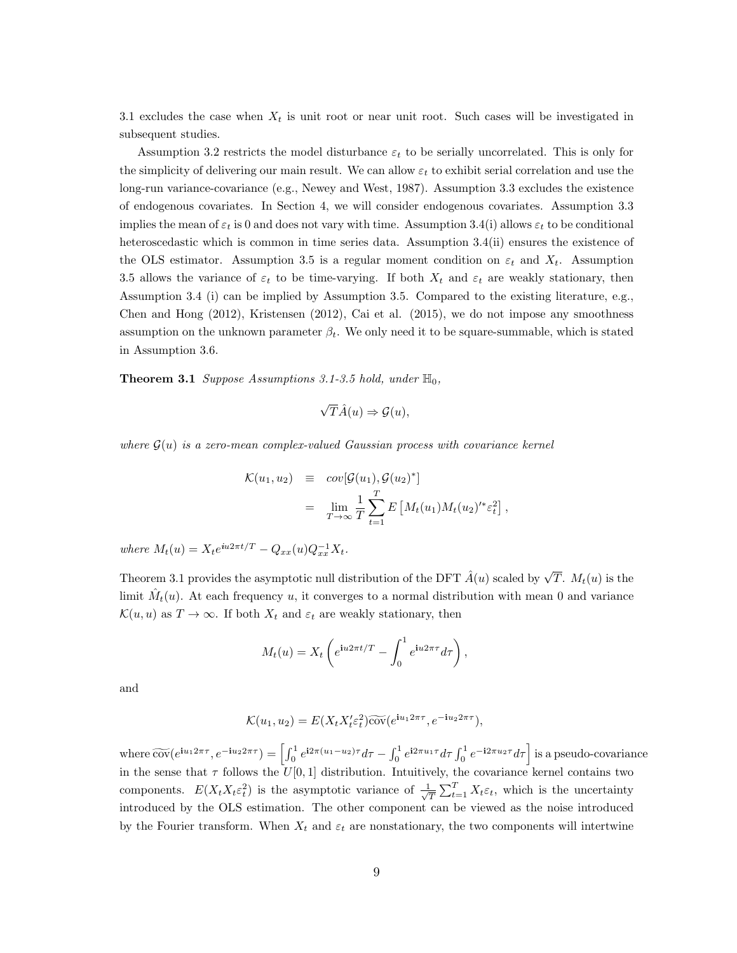3.1 excludes the case when  $X_t$  is unit root or near unit root. Such cases will be investigated in subsequent studies.

Assumption 3.2 restricts the model disturbance  $\varepsilon_t$  to be serially uncorrelated. This is only for the simplicity of delivering our main result. We can allow  $\varepsilon_t$  to exhibit serial correlation and use the long-run variance-covariance (e.g., Newey and West, 1987). Assumption 3.3 excludes the existence of endogenous covariates. In Section 4, we will consider endogenous covariates. Assumption 3.3 implies the mean of  $\varepsilon_t$  is 0 and does not vary with time. Assumption 3.4(i) allows  $\varepsilon_t$  to be conditional heteroscedastic which is common in time series data. Assumption 3.4(ii) ensures the existence of the OLS estimator. Assumption 3.5 is a regular moment condition on  $\varepsilon_t$  and  $X_t$ . Assumption 3.5 allows the variance of  $\varepsilon_t$  to be time-varying. If both  $X_t$  and  $\varepsilon_t$  are weakly stationary, then Assumption 3.4 (i) can be implied by Assumption 3.5. Compared to the existing literature, e.g., Chen and Hong (2012), Kristensen (2012), Cai et al. (2015), we do not impose any smoothness assumption on the unknown parameter  $\beta_t$ . We only need it to be square-summable, which is stated in Assumption 3.6.

**Theorem 3.1** Suppose Assumptions 3.1-3.5 hold, under  $\mathbb{H}_0$ ,

$$
\sqrt{T}\hat{A}(u) \Rightarrow \mathcal{G}(u),
$$

where  $G(u)$  is a zero-mean complex-valued Gaussian process with covariance kernel

$$
\mathcal{K}(u_1, u_2) \equiv cov[\mathcal{G}(u_1), \mathcal{G}(u_2)^*]
$$
  

$$
= \lim_{T \to \infty} \frac{1}{T} \sum_{t=1}^T E\left[M_t(u_1) M_t(u_2)^{t*} \varepsilon_t^2\right],
$$

where  $M_t(u) = X_t e^{iu2\pi t/T} - Q_{xx}(u)Q_{xx}^{-1}X_t$ .

Theorem 3.1 provides the asymptotic null distribution of the DFT  $\hat{A}(u)$  scaled by  $\sqrt{T}$ .  $M_t(u)$  is the limit  $\hat{M}_t(u)$ . At each frequency u, it converges to a normal distribution with mean 0 and variance  $\mathcal{K}(u, u)$  as  $T \to \infty$ . If both  $X_t$  and  $\varepsilon_t$  are weakly stationary, then

$$
M_t(u) = X_t \left( e^{iu2\pi t/T} - \int_0^1 e^{iu2\pi \tau} d\tau \right),
$$

and

$$
\mathcal{K}(u_1, u_2) = E(X_t X_t' \varepsilon_t^2) \widetilde{\text{cov}}(e^{\mathbf{i}u_1 2\pi\tau}, e^{-\mathbf{i}u_2 2\pi\tau}),
$$

where  $\widetilde{\text{cov}}(e^{\mathbf{i}u_1 2\pi\tau}, e^{-\mathbf{i}u_2 2\pi\tau}) = \left[\int_0^1 e^{\mathbf{i}2\pi(u_1 - u_2)\tau} d\tau - \int_0^1 e^{\mathbf{i}2\pi u_1 \tau} d\tau \int_0^1 e^{-\mathbf{i}2\pi u_2 \tau} d\tau\right]$  is a pseudo-covariance in the sense that  $\tau$  follows the  $U[0, 1]$  distribution. Intuitively, the covariance kernel contains two components.  $E(X_t X_t \varepsilon_t^2)$  is the asymptotic variance of  $\frac{1}{\sqrt{\varepsilon}}$  $\frac{1}{T} \sum_{t=1}^{T} X_t \varepsilon_t$ , which is the uncertainty introduced by the OLS estimation. The other component can be viewed as the noise introduced by the Fourier transform. When  $X_t$  and  $\varepsilon_t$  are nonstationary, the two components will intertwine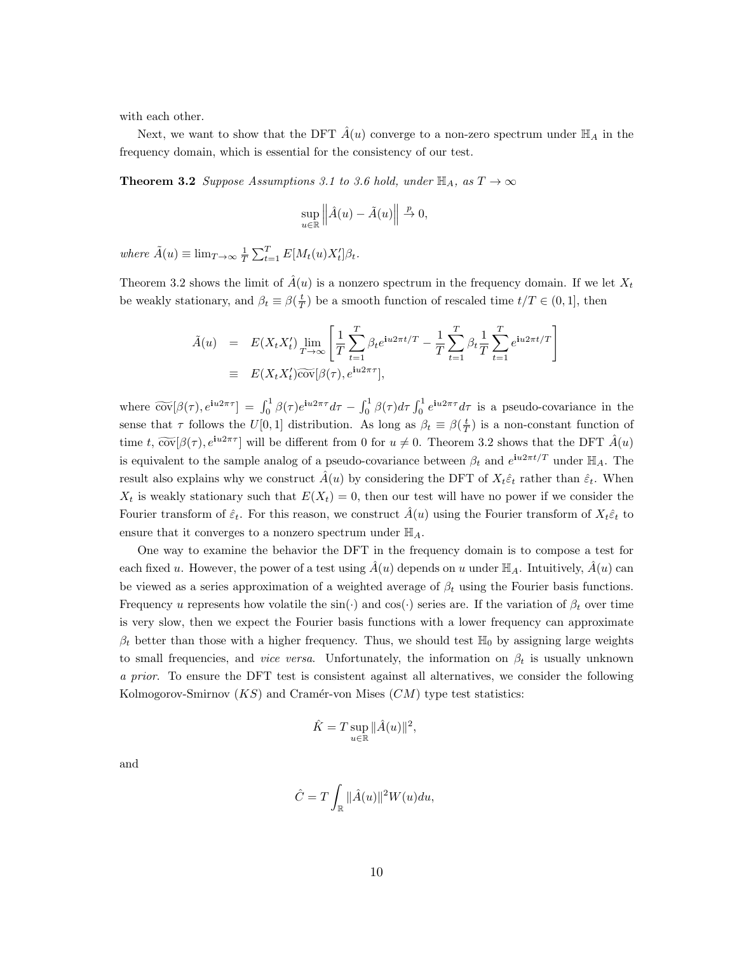with each other.

Next, we want to show that the DFT  $\hat{A}(u)$  converge to a non-zero spectrum under  $\mathbb{H}_A$  in the frequency domain, which is essential for the consistency of our test.

**Theorem 3.2** Suppose Assumptions 3.1 to 3.6 hold, under  $\mathbb{H}_A$ , as  $T \to \infty$ 

$$
\sup_{u \in \mathbb{R}} \left\| \hat{A}(u) - \tilde{A}(u) \right\| \stackrel{p}{\to} 0,
$$

where  $\tilde{A}(u) \equiv \lim_{T \to \infty} \frac{1}{T} \sum_{t=1}^{T} E[M_t(u)X'_t] \beta_t$ .

Theorem 3.2 shows the limit of  $\hat{A}(u)$  is a nonzero spectrum in the frequency domain. If we let  $X_t$ be weakly stationary, and  $\beta_t \equiv \beta(\frac{t}{T})$  be a smooth function of rescaled time  $t/T \in (0, 1]$ , then

$$
\tilde{A}(u) = E(X_t X_t') \lim_{T \to \infty} \left[ \frac{1}{T} \sum_{t=1}^T \beta_t e^{\mathbf{i}u 2\pi t/T} - \frac{1}{T} \sum_{t=1}^T \beta_t \frac{1}{T} \sum_{t=1}^T e^{\mathbf{i}u 2\pi t/T} \right]
$$
\n
$$
\equiv E(X_t X_t') \widetilde{\text{cov}}[\beta(\tau), e^{\mathbf{i}u 2\pi \tau}],
$$

where  $\widetilde{\text{cov}}[\beta(\tau), e^{\mathbf{i}u2\pi\tau}] = \int_0^1 \beta(\tau) e^{\mathbf{i}u2\pi\tau} d\tau - \int_0^1 \beta(\tau) d\tau \int_0^1 e^{\mathbf{i}u2\pi\tau} d\tau$  is a pseudo-covariance in the sense that  $\tau$  follows the  $U[0,1]$  distribution. As long as  $\beta_t \equiv \beta(\frac{t}{T})$  is a non-constant function of time t,  $\widetilde{\text{cov}}[\beta(\tau), e^{i\mu 2\pi \tau}]$  will be different from 0 for  $u \neq 0$ . Theorem 3.2 shows that the DFT  $\hat{A}(u)$ is equivalent to the sample analog of a pseudo-covariance between  $\beta_t$  and  $e^{i\omega 2\pi t/T}$  under  $\mathbb{H}_A$ . The result also explains why we construct  $\hat{A}(u)$  by considering the DFT of  $X_t \hat{\epsilon}_t$  rather than  $\hat{\epsilon}_t$ . When  $X_t$  is weakly stationary such that  $E(X_t) = 0$ , then our test will have no power if we consider the Fourier transform of  $\hat{\varepsilon}_t$ . For this reason, we construct  $\hat{A}(u)$  using the Fourier transform of  $X_t\hat{\varepsilon}_t$  to ensure that it converges to a nonzero spectrum under  $\mathbb{H}_A$ .

One way to examine the behavior the DFT in the frequency domain is to compose a test for each fixed u. However, the power of a test using  $\hat{A}(u)$  depends on u under  $\mathbb{H}_A$ . Intuitively,  $\hat{A}(u)$  can be viewed as a series approximation of a weighted average of  $\beta_t$  using the Fourier basis functions. Frequency u represents how volatile the  $sin(\cdot)$  and  $cos(\cdot)$  series are. If the variation of  $\beta_t$  over time is very slow, then we expect the Fourier basis functions with a lower frequency can approximate  $\beta_t$  better than those with a higher frequency. Thus, we should test  $\mathbb{H}_0$  by assigning large weights to small frequencies, and *vice versa*. Unfortunately, the information on  $\beta_t$  is usually unknown a prior. To ensure the DFT test is consistent against all alternatives, we consider the following Kolmogorov-Smirnov  $(KS)$  and Cramér-von Mises  $(CM)$  type test statistics:

$$
\hat{K} = T \sup_{u \in \mathbb{R}} ||\hat{A}(u)||^2,
$$

and

$$
\hat{C} = T \int_{\mathbb{R}} ||\hat{A}(u)||^2 W(u) du,
$$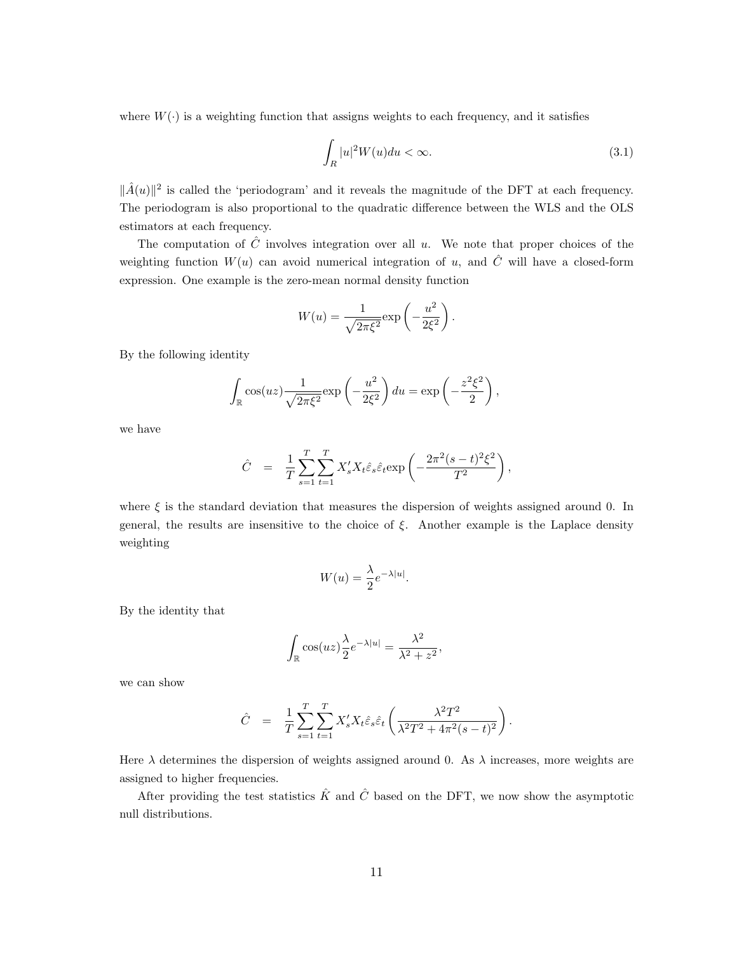where  $W(\cdot)$  is a weighting function that assigns weights to each frequency, and it satisfies

<span id="page-11-0"></span>
$$
\int_{R} |u|^2 W(u) du < \infty. \tag{3.1}
$$

 $\|\hat{A}(u)\|^2$  is called the 'periodogram' and it reveals the magnitude of the DFT at each frequency. The periodogram is also proportional to the quadratic difference between the WLS and the OLS estimators at each frequency.

The computation of  $\hat{C}$  involves integration over all u. We note that proper choices of the weighting function  $W(u)$  can avoid numerical integration of u, and  $\hat{C}$  will have a closed-form expression. One example is the zero-mean normal density function

$$
W(u) = \frac{1}{\sqrt{2\pi\xi^2}} \exp\left(-\frac{u^2}{2\xi^2}\right).
$$

By the following identity

$$
\int_{\mathbb{R}} \cos(uz) \frac{1}{\sqrt{2\pi\xi^2}} \exp\left(-\frac{u^2}{2\xi^2}\right) du = \exp\left(-\frac{z^2\xi^2}{2}\right),
$$

we have

$$
\hat{C} = \frac{1}{T} \sum_{s=1}^{T} \sum_{t=1}^{T} X_s' X_t \hat{\varepsilon}_s \hat{\varepsilon}_t \exp\left(-\frac{2\pi^2 (s-t)^2 \xi^2}{T^2}\right),
$$

where  $\xi$  is the standard deviation that measures the dispersion of weights assigned around 0. In general, the results are insensitive to the choice of  $\xi$ . Another example is the Laplace density weighting

$$
W(u) = \frac{\lambda}{2} e^{-\lambda |u|}.
$$

By the identity that

$$
\int_{\mathbb{R}} \cos(uz) \frac{\lambda}{2} e^{-\lambda |u|} = \frac{\lambda^2}{\lambda^2 + z^2},
$$

we can show

$$
\hat{C} = \frac{1}{T} \sum_{s=1}^{T} \sum_{t=1}^{T} X_s' X_t \hat{\varepsilon}_s \hat{\varepsilon}_t \left( \frac{\lambda^2 T^2}{\lambda^2 T^2 + 4\pi^2 (s-t)^2} \right)
$$

.

Here  $\lambda$  determines the dispersion of weights assigned around 0. As  $\lambda$  increases, more weights are assigned to higher frequencies.

After providing the test statistics  $\hat{K}$  and  $\hat{C}$  based on the DFT, we now show the asymptotic null distributions.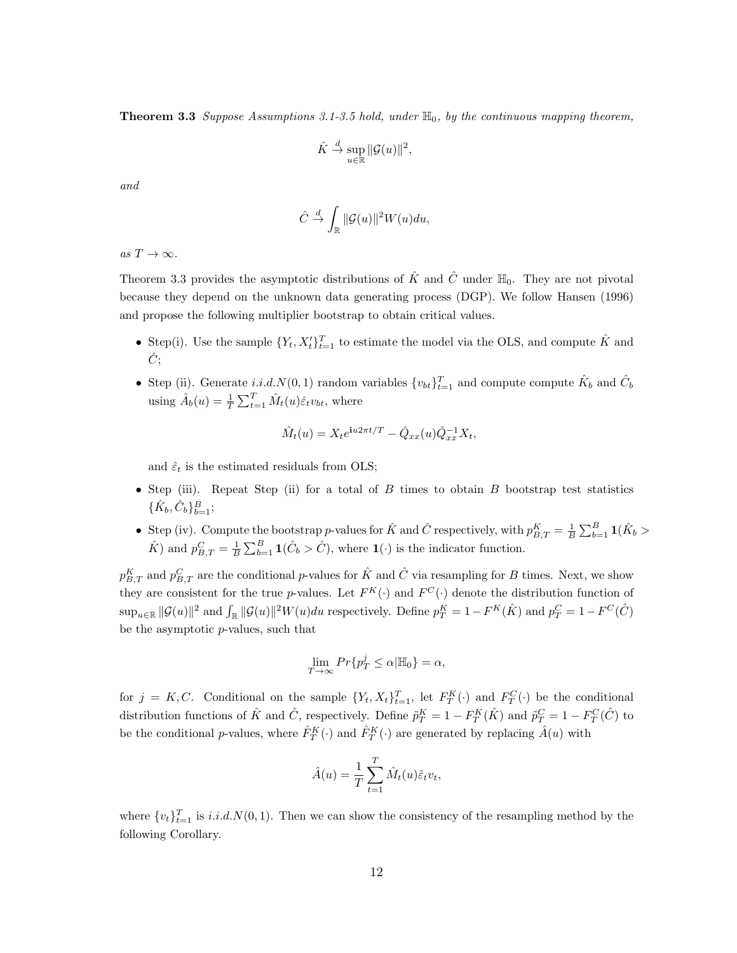**Theorem 3.3** Suppose Assumptions 3.1-3.5 hold, under  $\mathbb{H}_0$ , by the continuous mapping theorem,

$$
\hat{K} \stackrel{d}{\to} \sup_{u \in \mathbb{R}} \|\mathcal{G}(u)\|^2,
$$

and

$$
\hat{C} \stackrel{d}{\to} \int_{\mathbb{R}} ||\mathcal{G}(u)||^2 W(u) du,
$$

as  $T \to \infty$ .

Theorem 3.3 provides the asymptotic distributions of  $\hat{K}$  and  $\hat{C}$  under  $\mathbb{H}_0$ . They are not pivotal because they depend on the unknown data generating process (DGP). We follow Hansen (1996) and propose the following multiplier bootstrap to obtain critical values.

- Step(i). Use the sample  $\{Y_t, X_t'\}_{t=1}^T$  to estimate the model via the OLS, and compute  $\hat{K}$  and  $\hat{C}$ :
- Step (ii). Generate i.i.d.  $N(0, 1)$  random variables  $\{v_{bt}\}_{t=1}^T$  and compute compute  $\hat{K}_b$  and  $\hat{C}_b$ using  $\hat{A}_b(u) = \frac{1}{T} \sum_{t=1}^T \hat{M}_t(u) \hat{\varepsilon}_t v_{bt}$ , where

$$
\hat{M}_t(u) = X_t e^{iu2\pi t/T} - \hat{Q}_{xx}(u)\hat{Q}_{xx}^{-1}X_t,
$$

and  $\hat{\varepsilon}_t$  is the estimated residuals from OLS;

- Step (iii). Repeat Step (ii) for a total of  $B$  times to obtain  $B$  bootstrap test statistics  $\{\hat{K}_b, \hat{C}_b\}_{b=1}^B;$
- Step (iv). Compute the bootstrap p-values for  $\hat{K}$  and  $\hat{C}$  respectively, with  $p_{B,T}^K = \frac{1}{B} \sum_{b=1}^B \mathbf{1}(\hat{K}_b >$  $\hat{K}$  and  $p_{B,T}^C = \frac{1}{B} \sum_{b=1}^B \mathbf{1}(\hat{C}_b > \hat{C})$ , where  $\mathbf{1}(\cdot)$  is the indicator function.

 $p_{B,T}^K$  and  $p_{B,T}^C$  are the conditional p-values for  $\hat{K}$  and  $\hat{C}$  via resampling for B times. Next, we show they are consistent for the true p-values. Let  $F^{K}(\cdot)$  and  $F^{C}(\cdot)$  denote the distribution function of  $\sup_{u \in \mathbb{R}} ||\mathcal{G}(u)||^2$  and  $\int_{\mathbb{R}} ||\mathcal{G}(u)||^2 W(u) du$  respectively. Define  $p_T^K = 1 - F^K(\hat{K})$  and  $p_T^C = 1 - F^C(\hat{C})$ be the asymptotic  $p$ -values, such that

$$
\lim_{T \to \infty} Pr\{p_T^j \le \alpha | \mathbb{H}_0\} = \alpha,
$$

for  $j = K, C$ . Conditional on the sample  $\{Y_t, X_t\}_{t=1}^T$ , let  $F_T^K(\cdot)$  and  $F_T^C(\cdot)$  be the conditional distribution functions of  $\hat{K}$  and  $\hat{C}$ , respectively. Define  $\tilde{p}_T^K = 1 - F_T^K(\hat{K})$  and  $\tilde{p}_T^C = 1 - F_T^C(\hat{C})$  to be the conditional *p*-values, where  $\hat{F}_T^K(\cdot)$  and  $\hat{F}_T^K(\cdot)$  are generated by replacing  $\hat{A}(u)$  with

$$
\hat{A}(u) = \frac{1}{T} \sum_{t=1}^{T} \hat{M}_t(u) \hat{\varepsilon}_t v_t,
$$

where  $\{v_t\}_{t=1}^T$  is  $i.i.d.N(0, 1)$ . Then we can show the consistency of the resampling method by the following Corollary.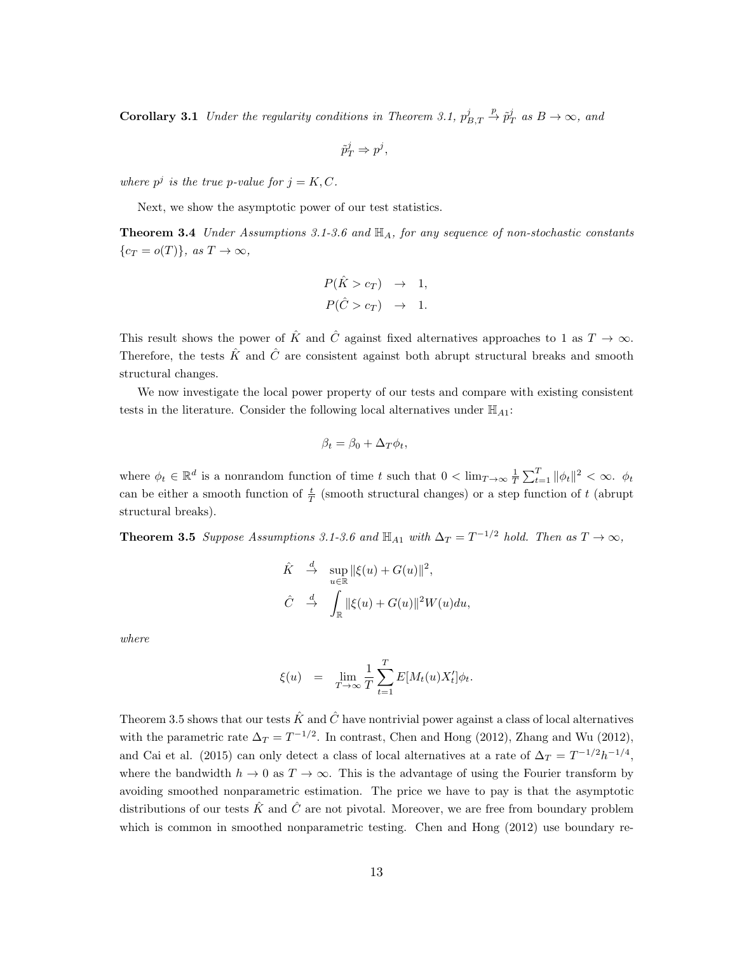**Corollary 3.1** Under the regularity conditions in Theorem 3.1,  $p_{B,T}^j \stackrel{p}{\rightarrow} \tilde{p}_T^j$  as  $B \rightarrow \infty$ , and

 $\tilde{p}_T^j \Rightarrow p^j,$ 

where  $p^j$  is the true p-value for  $j = K, C$ .

Next, we show the asymptotic power of our test statistics.

**Theorem 3.4** Under Assumptions 3.1-3.6 and  $\mathbb{H}_A$ , for any sequence of non-stochastic constants  ${c_T = o(T)}$ , as  $T \to \infty$ ,

$$
P(\hat{K} > c_T) \rightarrow 1,
$$
  

$$
P(\hat{C} > c_T) \rightarrow 1.
$$

This result shows the power of  $\hat{K}$  and  $\hat{C}$  against fixed alternatives approaches to 1 as  $T \to \infty$ . Therefore, the tests  $\hat{K}$  and  $\hat{C}$  are consistent against both abrupt structural breaks and smooth structural changes.

We now investigate the local power property of our tests and compare with existing consistent tests in the literature. Consider the following local alternatives under  $\mathbb{H}_{A1}$ :

$$
\beta_t = \beta_0 + \Delta_T \phi_t,
$$

where  $\phi_t \in \mathbb{R}^d$  is a nonrandom function of time t such that  $0 < \lim_{T \to \infty} \frac{1}{T} \sum_{t=1}^T ||\phi_t||^2 < \infty$ .  $\phi_t$ can be either a smooth function of  $\frac{t}{T}$  (smooth structural changes) or a step function of t (abrupt structural breaks).

**Theorem 3.5** Suppose Assumptions 3.1-3.6 and  $\mathbb{H}_{A1}$  with  $\Delta_T = T^{-1/2}$  hold. Then as  $T \to \infty$ ,

$$
\hat{K} \quad \stackrel{d}{\to} \quad \sup_{u \in \mathbb{R}} \|\xi(u) + G(u)\|^2,
$$
\n
$$
\hat{C} \quad \stackrel{d}{\to} \quad \int_{\mathbb{R}} \|\xi(u) + G(u)\|^2 W(u) du,
$$

where

$$
\xi(u) = \lim_{T \to \infty} \frac{1}{T} \sum_{t=1}^{T} E[M_t(u) X'_t] \phi_t.
$$

Theorem 3.5 shows that our tests  $\hat{K}$  and  $\hat{C}$  have nontrivial power against a class of local alternatives with the parametric rate  $\Delta_T = T^{-1/2}$ . In contrast, Chen and Hong (2012), Zhang and Wu (2012), and Cai et al. (2015) can only detect a class of local alternatives at a rate of  $\Delta_T = T^{-1/2}h^{-1/4}$ , where the bandwidth  $h \to 0$  as  $T \to \infty$ . This is the advantage of using the Fourier transform by avoiding smoothed nonparametric estimation. The price we have to pay is that the asymptotic distributions of our tests  $\hat{K}$  and  $\hat{C}$  are not pivotal. Moreover, we are free from boundary problem which is common in smoothed nonparametric testing. Chen and Hong (2012) use boundary re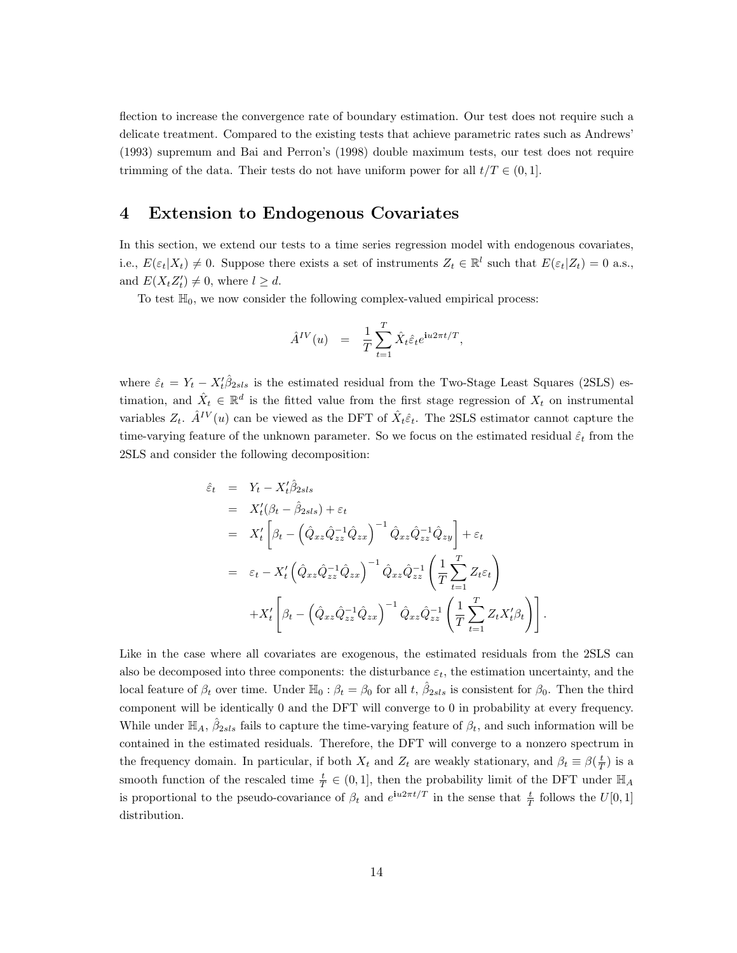flection to increase the convergence rate of boundary estimation. Our test does not require such a delicate treatment. Compared to the existing tests that achieve parametric rates such as Andrews' (1993) supremum and Bai and Perron's (1998) double maximum tests, our test does not require trimming of the data. Their tests do not have uniform power for all  $t/T \in (0, 1]$ .

# 4 Extension to Endogenous Covariates

In this section, we extend our tests to a time series regression model with endogenous covariates, i.e.,  $E(\varepsilon_t|X_t) \neq 0$ . Suppose there exists a set of instruments  $Z_t \in \mathbb{R}^l$  such that  $E(\varepsilon_t|Z_t) = 0$  a.s., and  $E(X_t Z'_t) \neq 0$ , where  $l \geq d$ .

To test  $\mathbb{H}_0$ , we now consider the following complex-valued empirical process:

$$
\hat{A}^{IV}(u) = \frac{1}{T} \sum_{t=1}^{T} \hat{X}_t \hat{\varepsilon}_t e^{\mathbf{i}u 2\pi t/T},
$$

where  $\hat{\varepsilon}_t = Y_t - X_t' \hat{\beta}_{2sls}$  is the estimated residual from the Two-Stage Least Squares (2SLS) estimation, and  $\hat{X}_t \in \mathbb{R}^d$  is the fitted value from the first stage regression of  $X_t$  on instrumental variables  $Z_t$ .  $\hat{A}^{IV}(u)$  can be viewed as the DFT of  $\hat{X}_t \hat{\epsilon}_t$ . The 2SLS estimator cannot capture the time-varying feature of the unknown parameter. So we focus on the estimated residual  $\hat{\varepsilon}_t$  from the 2SLS and consider the following decomposition:

$$
\hat{\varepsilon}_t = Y_t - X_t'\hat{\beta}_{2sls} \n= X_t'(\beta_t - \hat{\beta}_{2sls}) + \varepsilon_t \n= X_t' \left[ \beta_t - \left( \hat{Q}_{xz} \hat{Q}_{zz}^{-1} \hat{Q}_{zx} \right)^{-1} \hat{Q}_{xz} \hat{Q}_{zz}^{-1} \hat{Q}_{zy} \right] + \varepsilon_t \n= \varepsilon_t - X_t' \left( \hat{Q}_{xz} \hat{Q}_{zz}^{-1} \hat{Q}_{zx} \right)^{-1} \hat{Q}_{xz} \hat{Q}_{zz}^{-1} \left( \frac{1}{T} \sum_{t=1}^T Z_t \varepsilon_t \right) \n+ X_t' \left[ \beta_t - \left( \hat{Q}_{xz} \hat{Q}_{zz}^{-1} \hat{Q}_{zx} \right)^{-1} \hat{Q}_{xz} \hat{Q}_{zz}^{-1} \left( \frac{1}{T} \sum_{t=1}^T Z_t X_t' \beta_t \right) \right].
$$

Like in the case where all covariates are exogenous, the estimated residuals from the 2SLS can also be decomposed into three components: the disturbance  $\varepsilon_t$ , the estimation uncertainty, and the local feature of  $\beta_t$  over time. Under  $\mathbb{H}_0: \beta_t = \beta_0$  for all t,  $\hat{\beta}_{2sls}$  is consistent for  $\beta_0$ . Then the third component will be identically 0 and the DFT will converge to 0 in probability at every frequency. While under  $\mathbb{H}_A$ ,  $\hat{\beta}_{2sls}$  fails to capture the time-varying feature of  $\beta_t$ , and such information will be contained in the estimated residuals. Therefore, the DFT will converge to a nonzero spectrum in the frequency domain. In particular, if both  $X_t$  and  $Z_t$  are weakly stationary, and  $\beta_t \equiv \beta(\frac{t}{T})$  is a smooth function of the rescaled time  $\frac{t}{T} \in (0,1]$ , then the probability limit of the DFT under  $\mathbb{H}_A$ is proportional to the pseudo-covariance of  $\beta_t$  and  $e^{iu2\pi t/T}$  in the sense that  $\frac{t}{T}$  follows the  $U[0,1]$ distribution.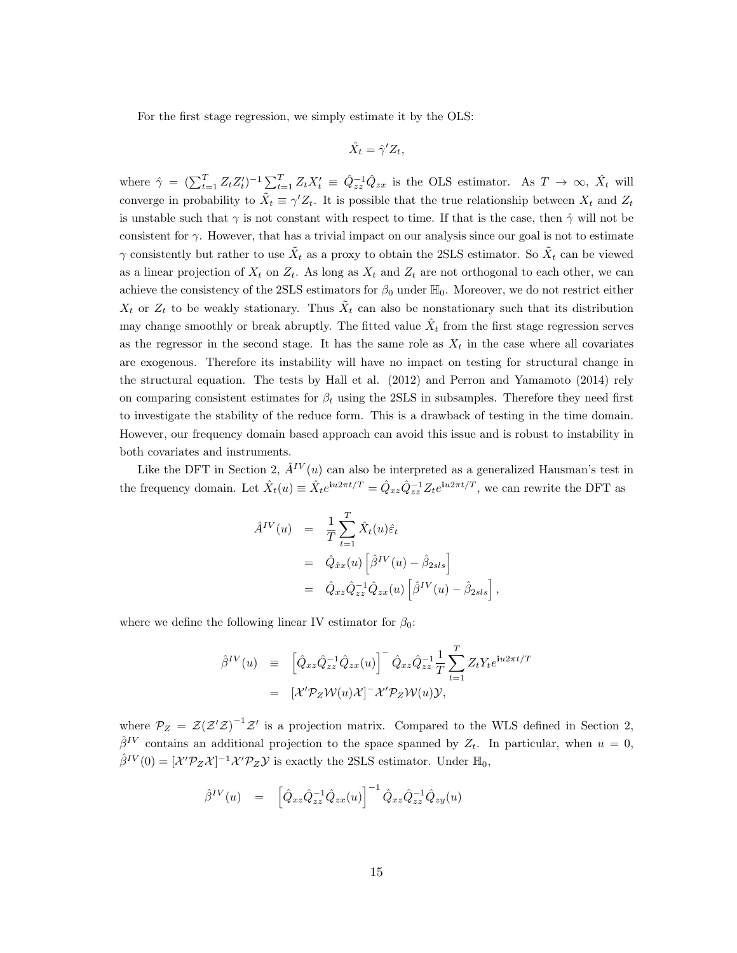For the first stage regression, we simply estimate it by the OLS:

$$
\hat{X}_t = \hat{\gamma}' Z_t,
$$

where  $\hat{\gamma} = (\sum_{t=1}^T Z_t Z_t')^{-1} \sum_{t=1}^T Z_t X_t' \equiv \hat{Q}_{zz}^{-1} \hat{Q}_{zx}$  is the OLS estimator. As  $T \to \infty$ ,  $\hat{X}_t$  will converge in probability to  $\tilde{X}_t \equiv \gamma' Z_t$ . It is possible that the true relationship between  $X_t$  and  $Z_t$ is unstable such that  $\gamma$  is not constant with respect to time. If that is the case, then  $\hat{\gamma}$  will not be consistent for  $\gamma$ . However, that has a trivial impact on our analysis since our goal is not to estimate  $\gamma$  consistently but rather to use  $\tilde{X}_t$  as a proxy to obtain the 2SLS estimator. So  $\tilde{X}_t$  can be viewed as a linear projection of  $X_t$  on  $Z_t$ . As long as  $X_t$  and  $Z_t$  are not orthogonal to each other, we can achieve the consistency of the 2SLS estimators for  $\beta_0$  under  $\mathbb{H}_0$ . Moreover, we do not restrict either  $X_t$  or  $Z_t$  to be weakly stationary. Thus  $\tilde{X}_t$  can also be nonstationary such that its distribution may change smoothly or break abruptly. The fitted value  $\hat{X}_t$  from the first stage regression serves as the regressor in the second stage. It has the same role as  $X_t$  in the case where all covariates are exogenous. Therefore its instability will have no impact on testing for structural change in the structural equation. The tests by Hall et al. (2012) and Perron and Yamamoto (2014) rely on comparing consistent estimates for  $\beta_t$  using the 2SLS in subsamples. Therefore they need first to investigate the stability of the reduce form. This is a drawback of testing in the time domain. However, our frequency domain based approach can avoid this issue and is robust to instability in both covariates and instruments.

Like the DFT in Section 2,  $\hat{A}^{IV}(u)$  can also be interpreted as a generalized Hausman's test in the frequency domain. Let  $\hat{X}_t(u) \equiv \hat{X}_t e^{iu2\pi t/T} = \hat{Q}_{xz} \hat{Q}_{zz}^{-1} Z_t e^{iu2\pi t/T}$ , we can rewrite the DFT as

$$
\hat{A}^{IV}(u) = \frac{1}{T} \sum_{t=1}^{T} \hat{X}_t(u)\hat{\varepsilon}_t
$$
  
\n
$$
= \hat{Q}_{\hat{x}x}(u) \left[ \hat{\beta}^{IV}(u) - \hat{\beta}_{2sls} \right]
$$
  
\n
$$
= \hat{Q}_{xz} \hat{Q}_{zz}^{-1} \hat{Q}_{zx}(u) \left[ \hat{\beta}^{IV}(u) - \hat{\beta}_{2sls} \right],
$$

where we define the following linear IV estimator for  $\beta_0$ :

$$
\hat{\beta}^{IV}(u) \equiv \left[ \hat{Q}_{xz} \hat{Q}_{zz}^{-1} \hat{Q}_{zx}(u) \right]^{-} \hat{Q}_{xz} \hat{Q}_{zz}^{-1} \frac{1}{T} \sum_{t=1}^{T} Z_t Y_t e^{i u 2\pi t/T}
$$

$$
= \left[ \mathcal{X}' \mathcal{P}_Z \mathcal{W}(u) \mathcal{X} \right]^{-} \mathcal{X}' \mathcal{P}_Z \mathcal{W}(u) \mathcal{Y},
$$

where  $P_Z = \mathcal{Z}(Z'Z)^{-1}Z'$  is a projection matrix. Compared to the WLS defined in Section 2,  $\hat{\beta}^{IV}$  contains an additional projection to the space spanned by  $Z_t$ . In particular, when  $u = 0$ ,  $\hat{\beta}^{IV}(0) = [\mathcal{X}'\mathcal{P}_Z\mathcal{X}]^{-1}\mathcal{X}'\mathcal{P}_Z\mathcal{Y}$  is exactly the 2SLS estimator. Under  $\mathbb{H}_0$ ,

$$
\hat{\beta}^{IV}(u) = \left[ \hat{Q}_{xz} \hat{Q}_{zz}^{-1} \hat{Q}_{zx}(u) \right]^{-1} \hat{Q}_{xz} \hat{Q}_{zz}^{-1} \hat{Q}_{zy}(u)
$$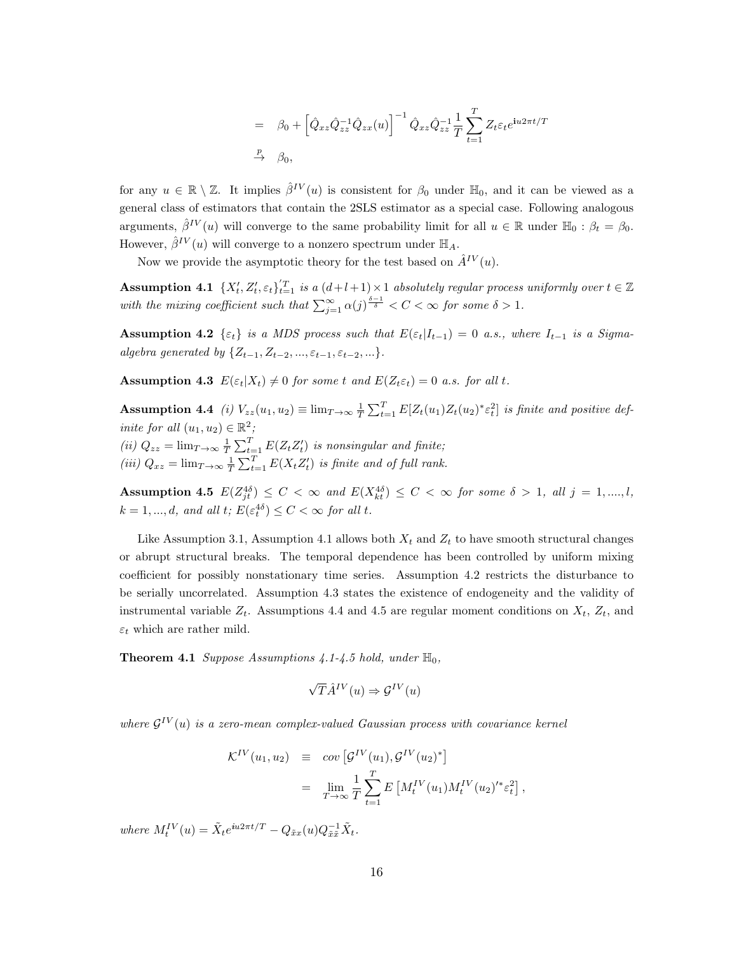$$
= \beta_0 + \left[ \hat{Q}_{xz} \hat{Q}_{zz}^{-1} \hat{Q}_{zx}(u) \right]^{-1} \hat{Q}_{xz} \hat{Q}_{zz}^{-1} \frac{1}{T} \sum_{t=1}^T Z_t \varepsilon_t e^{\mathbf{i}u2\pi t/T}
$$
  

$$
\xrightarrow{P} \beta_0,
$$

for any  $u \in \mathbb{R} \setminus \mathbb{Z}$ . It implies  $\hat{\beta}^{IV}(u)$  is consistent for  $\beta_0$  under  $\mathbb{H}_0$ , and it can be viewed as a general class of estimators that contain the 2SLS estimator as a special case. Following analogous arguments,  $\hat{\beta}^{IV}(u)$  will converge to the same probability limit for all  $u \in \mathbb{R}$  under  $\mathbb{H}_0 : \beta_t = \beta_0$ . However,  $\hat{\beta}^{IV}(u)$  will converge to a nonzero spectrum under  $\mathbb{H}_A$ .

Now we provide the asymptotic theory for the test based on  $\hat{A}^{IV}(u)$ .

**Assumption 4.1**  $\{X'_t, Z'_t, \varepsilon_t\}_{t=1}^T$  is a  $(d+l+1) \times 1$  absolutely regular process uniformly over  $t \in \mathbb{Z}$ with the mixing coefficient such that  $\sum_{j=1}^{\infty} \alpha(j)^{\frac{\delta-1}{\delta}} < C < \infty$  for some  $\delta > 1$ .

Assumption 4.2  $\{\varepsilon_t\}$  is a MDS process such that  $E(\varepsilon_t|I_{t-1}) = 0$  a.s., where  $I_{t-1}$  is a Sigmaalgebra generated by  $\{Z_{t-1}, Z_{t-2}, ..., \varepsilon_{t-1}, \varepsilon_{t-2}, ...\}$ .

**Assumption 4.3**  $E(\varepsilon_t|X_t) \neq 0$  for some t and  $E(Z_t \varepsilon_t) = 0$  a.s. for all t.

**Assumption 4.4** (i)  $V_{zz}(u_1, u_2) \equiv \lim_{T \to \infty} \frac{1}{T} \sum_{t=1}^{T} E[Z_t(u_1) Z_t(u_2)^* \varepsilon_t^2]$  is finite and positive definite for all  $(u_1, u_2) \in \mathbb{R}^2$ ; (ii)  $Q_{zz} = \lim_{T \to \infty} \frac{1}{T} \sum_{t=1}^{T} E(Z_t Z_t')$  is nonsingular and finite; (iii)  $Q_{xz} = \lim_{T \to \infty} \frac{1}{T} \sum_{t=1}^{T} E(X_t Z_t')$  is finite and of full rank.

Assumption 4.5  $E(Z_{jt}^{4\delta}) \leq C < \infty$  and  $E(X_{kt}^{4\delta}) \leq C < \infty$  for some  $\delta > 1$ , all  $j = 1, ..., l$ ,  $k = 1, ..., d$ , and all  $t; E(\varepsilon_t^{4\delta}) \le C < \infty$  for all  $t$ .

Like Assumption 3.1, Assumption 4.1 allows both  $X_t$  and  $Z_t$  to have smooth structural changes or abrupt structural breaks. The temporal dependence has been controlled by uniform mixing coefficient for possibly nonstationary time series. Assumption 4.2 restricts the disturbance to be serially uncorrelated. Assumption 4.3 states the existence of endogeneity and the validity of instrumental variable  $Z_t$ . Assumptions 4.4 and 4.5 are regular moment conditions on  $X_t$ ,  $Z_t$ , and  $\varepsilon_t$  which are rather mild.

**Theorem 4.1** Suppose Assumptions 4.1-4.5 hold, under  $\mathbb{H}_0$ ,

$$
\sqrt{T}\hat{A}^{IV}(u) \Rightarrow \mathcal{G}^{IV}(u)
$$

where  $\mathcal{G}^{IV}(u)$  is a zero-mean complex-valued Gaussian process with covariance kernel

$$
\mathcal{K}^{IV}(u_1, u_2) \equiv \text{cov}\left[\mathcal{G}^{IV}(u_1), \mathcal{G}^{IV}(u_2)^*\right]
$$
  

$$
= \lim_{T \to \infty} \frac{1}{T} \sum_{t=1}^T E\left[M_t^{IV}(u_1) M_t^{IV}(u_2)^{1*} \varepsilon_t^2\right],
$$

where  $M_t^{IV}(u) = \tilde{X}_t e^{iu2\pi t/T} - Q_{\tilde{x}x}(u) Q_{\tilde{x}\tilde{x}}^{-1} \tilde{X}_t$ .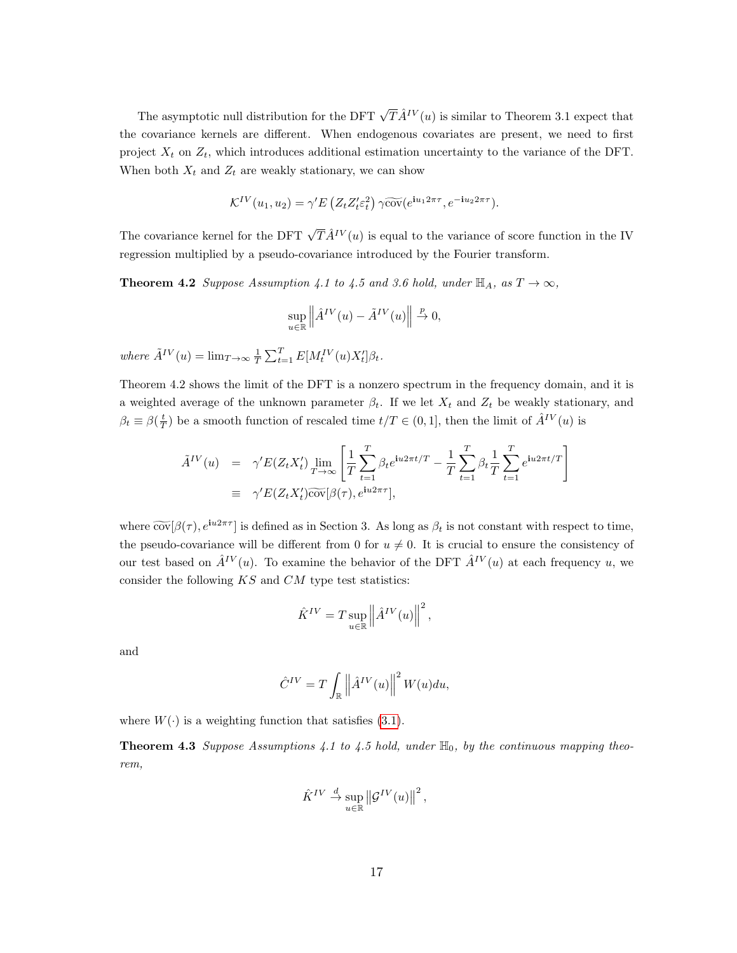The asymptotic null distribution for the DFT  $\sqrt{T}\hat{A}^{IV}(u)$  is similar to Theorem 3.1 expect that the covariance kernels are different. When endogenous covariates are present, we need to first project  $X_t$  on  $Z_t$ , which introduces additional estimation uncertainty to the variance of the DFT. When both  $X_t$  and  $Z_t$  are weakly stationary, we can show

$$
\mathcal{K}^{IV}(u_1, u_2) = \gamma' E\left(Z_t Z_t' \varepsilon_t^2\right) \gamma \widetilde{\text{cov}}(e^{\mathbf{i} u_1 2\pi\tau}, e^{-\mathbf{i} u_2 2\pi\tau}).
$$

The covariance kernel for the DFT  $\sqrt{T} \hat{A}^{IV}(u)$  is equal to the variance of score function in the IV regression multiplied by a pseudo-covariance introduced by the Fourier transform.

**Theorem 4.2** Suppose Assumption 4.1 to 4.5 and 3.6 hold, under  $\mathbb{H}_A$ , as  $T \to \infty$ ,

$$
\sup_{u \in \mathbb{R}} \left\| \hat{A}^{IV}(u) - \tilde{A}^{IV}(u) \right\| \stackrel{p}{\to} 0,
$$

where  $\tilde{A}^{IV}(u) = \lim_{T \to \infty} \frac{1}{T} \sum_{t=1}^{T} E[M_t^{IV}(u)X_t']\beta_t$ .

Theorem 4.2 shows the limit of the DFT is a nonzero spectrum in the frequency domain, and it is a weighted average of the unknown parameter  $\beta_t$ . If we let  $X_t$  and  $Z_t$  be weakly stationary, and  $\beta_t \equiv \beta(\frac{t}{T})$  be a smooth function of rescaled time  $t/T \in (0, 1]$ , then the limit of  $\hat{A}^{IV}(u)$  is

$$
\tilde{A}^{IV}(u) = \gamma' E(Z_t X_t') \lim_{T \to \infty} \left[ \frac{1}{T} \sum_{t=1}^T \beta_t e^{\mathbf{i} u 2\pi t/T} - \frac{1}{T} \sum_{t=1}^T \beta_t \frac{1}{T} \sum_{t=1}^T e^{\mathbf{i} u 2\pi t/T} \right]
$$
\n
$$
\equiv \gamma' E(Z_t X_t') \widetilde{\text{cov}}[\beta(\tau), e^{\mathbf{i} u 2\pi \tau}],
$$

where  $\widetilde{\text{cov}}[\beta(\tau), e^{\mathbf{i}u2\pi\tau}]$  is defined as in Section 3. As long as  $\beta_t$  is not constant with respect to time, the pseudo-covariance will be different from 0 for  $u \neq 0$ . It is crucial to ensure the consistency of our test based on  $\hat{A}^{IV}(u)$ . To examine the behavior of the DFT  $\hat{A}^{IV}(u)$  at each frequency u, we consider the following  $KS$  and  $CM$  type test statistics:

$$
\hat{K}^{IV} = T \sup_{u \in \mathbb{R}} \left\| \hat{A}^{IV}(u) \right\|^2,
$$

and

$$
\hat{C}^{IV} = T \int_{\mathbb{R}} \left\| \hat{A}^{IV}(u) \right\|^{2} W(u) du,
$$

where  $W(\cdot)$  is a weighting function that satisfies [\(3.1\)](#page-11-0).

**Theorem 4.3** Suppose Assumptions 4.1 to 4.5 hold, under  $\mathbb{H}_0$ , by the continuous mapping theorem,

$$
\hat{K}^{IV} \stackrel{d}{\to} \sup_{u \in \mathbb{R}} \left\| \mathcal{G}^{IV}(u) \right\|^2,
$$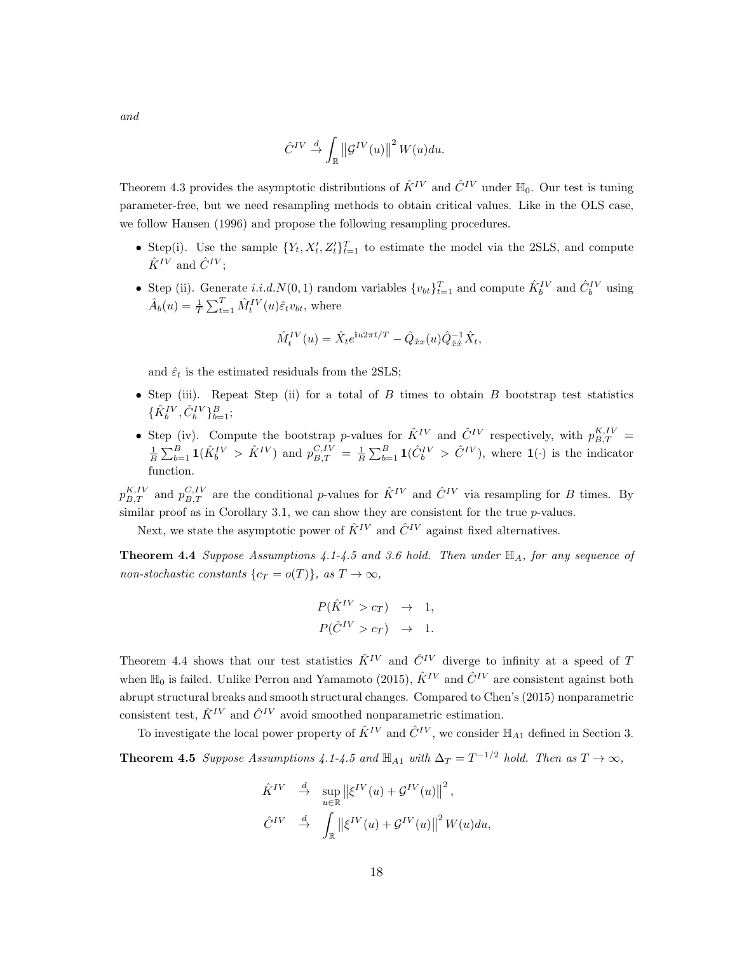$$
\hat{C}^{IV}\stackrel{d}{\rightarrow}\int_{\mathbb{R}}\left\Vert \mathcal{G}^{IV}(u)\right\Vert ^{2}W(u)du.
$$

Theorem 4.3 provides the asymptotic distributions of  $\hat{K}^{IV}$  and  $\hat{C}^{IV}$  under  $\mathbb{H}_0$ . Our test is tuning parameter-free, but we need resampling methods to obtain critical values. Like in the OLS case, we follow Hansen (1996) and propose the following resampling procedures.

- Step(i). Use the sample  $\{Y_t, X_t', Z_t'\}_{t=1}^T$  to estimate the model via the 2SLS, and compute  $\hat{K}^{IV}$  and  $\hat{C}^{IV}$ ;
- Step (ii). Generate i.i.d. $N(0, 1)$  random variables  $\{v_{bt}\}_{t=1}^T$  and compute  $\hat{K}_b^{IV}$  and  $\hat{C}_b^{IV}$  using  $\hat{A}_b(u) = \frac{1}{T} \sum_{t=1}^T \hat{M}_t^{IV}(u) \hat{\varepsilon}_t v_{bt}$ , where

$$
\hat{M}^{IV}_{t}(u)=\hat{X}_{t}e^{\textbf{i}u2\pi t/T}-\hat{Q}_{\hat{x}x}(u)\hat{Q}^{-1}_{\hat{x}\hat{x}}\hat{X}_{t},
$$

and  $\hat{\varepsilon}_t$  is the estimated residuals from the 2SLS;

- Step (iii). Repeat Step (ii) for a total of B times to obtain B bootstrap test statistics  $\{\hat{K}_{b}^{IV}, \hat{C}_{b}^{IV}\}_{b=1}^{B};$
- Step (iv). Compute the bootstrap p-values for  $\hat{K}^{IV}$  and  $\hat{C}^{IV}$  respectively, with  $p_{B,T}^{K,IV}$  =  $\frac{1}{B}\sum_{b=1}^B \mathbf{1}(\hat{K}_b^{IV} > \hat{K}^{IV})$  and  $p_{B,T}^{C,IV} = \frac{1}{B}\sum_{b=1}^B \mathbf{1}(\hat{C}_b^{IV} > \hat{C}^{IV})$ , where  $\mathbf{1}(\cdot)$  is the indicator function.

 $p_{B,T}^{K,IV}$  and  $p_{B,T}^{C,IV}$  are the conditional p-values for  $\hat{K}^{IV}$  and  $\hat{C}^{IV}$  via resampling for B times. By similar proof as in Corollary 3.1, we can show they are consistent for the true  $p$ -values.

Next, we state the asymptotic power of  $\hat{K}^{IV}$  and  $\hat{C}^{IV}$  against fixed alternatives.

**Theorem 4.4** Suppose Assumptions 4.1-4.5 and 3.6 hold. Then under  $\mathbb{H}_A$ , for any sequence of non-stochastic constants  $\{c_T = o(T)\}\text{, as } T \to \infty,$ 

$$
P(\hat{K}^{IV} > c_T) \rightarrow 1,
$$
  

$$
P(\hat{C}^{IV} > c_T) \rightarrow 1.
$$

Theorem 4.4 shows that our test statistics  $\hat{K}^{IV}$  and  $\hat{C}^{IV}$  diverge to infinity at a speed of T when  $\mathbb{H}_0$  is failed. Unlike Perron and Yamamoto (2015),  $\hat{K}^{IV}$  and  $\hat{C}^{IV}$  are consistent against both abrupt structural breaks and smooth structural changes. Compared to Chen's (2015) nonparametric consistent test,  $\hat{K}^{IV}$  and  $\hat{C}^{IV}$  avoid smoothed nonparametric estimation.

To investigate the local power property of  $\hat{K}^{IV}$  and  $\hat{C}^{IV}$ , we consider  $\mathbb{H}_{A1}$  defined in Section 3.

**Theorem 4.5** Suppose Assumptions 4.1-4.5 and  $\mathbb{H}_{A1}$  with  $\Delta_T = T^{-1/2}$  hold. Then as  $T \to \infty$ ,

$$
\hat{K}^{IV} \stackrel{d}{\to} \sup_{u \in \mathbb{R}} \left\| \xi^{IV}(u) + \mathcal{G}^{IV}(u) \right\|^2,
$$
  

$$
\hat{C}^{IV} \stackrel{d}{\to} \int_{\mathbb{R}} \left\| \xi^{IV}(u) + \mathcal{G}^{IV}(u) \right\|^2 W(u) du,
$$

and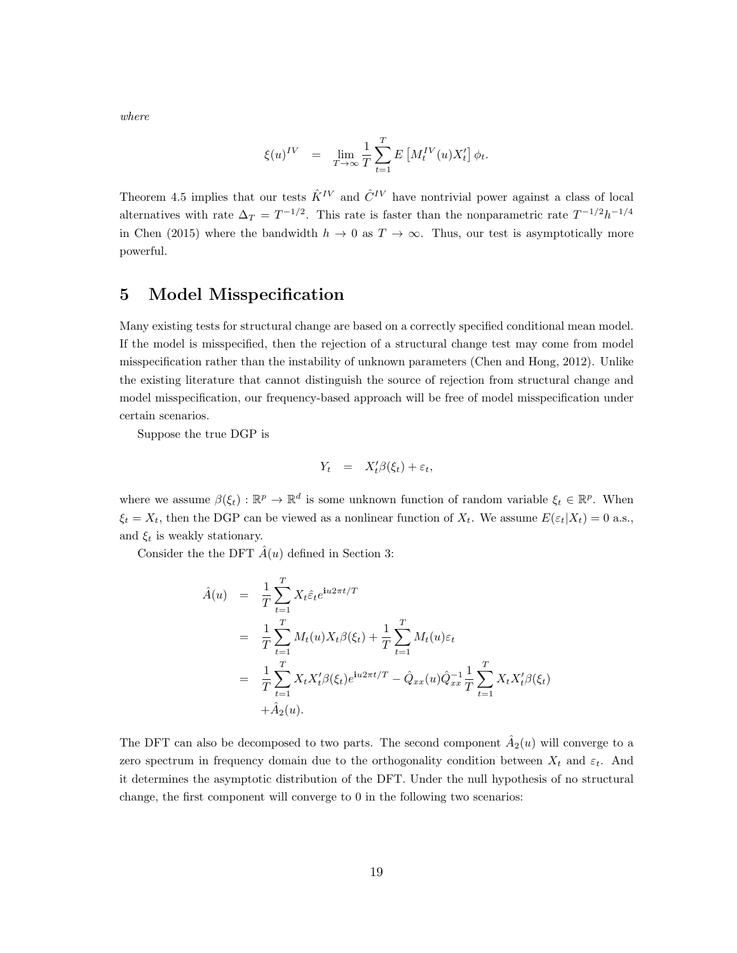where

$$
\xi(u)^{IV} \quad = \quad \lim_{T \rightarrow \infty} \frac{1}{T} \sum_{t=1}^T E\left[M_t^{IV}(u) X_t'\right] \phi_t.
$$

Theorem 4.5 implies that our tests  $\hat{K}^{IV}$  and  $\hat{C}^{IV}$  have nontrivial power against a class of local alternatives with rate  $\Delta_T = T^{-1/2}$ . This rate is faster than the nonparametric rate  $T^{-1/2}h^{-1/4}$ in Chen (2015) where the bandwidth  $h \to 0$  as  $T \to \infty$ . Thus, our test is asymptotically more powerful.

### 5 Model Misspecification

Many existing tests for structural change are based on a correctly specified conditional mean model. If the model is misspecified, then the rejection of a structural change test may come from model misspecification rather than the instability of unknown parameters (Chen and Hong, 2012). Unlike the existing literature that cannot distinguish the source of rejection from structural change and model misspecification, our frequency-based approach will be free of model misspecification under certain scenarios.

Suppose the true DGP is

$$
Y_t = X_t' \beta(\xi_t) + \varepsilon_t,
$$

where we assume  $\beta(\xi_t): \mathbb{R}^p \to \mathbb{R}^d$  is some unknown function of random variable  $\xi_t \in \mathbb{R}^p$ . When  $\xi_t = X_t$ , then the DGP can be viewed as a nonlinear function of  $X_t$ . We assume  $E(\varepsilon_t|X_t) = 0$  a.s., and  $\xi_t$  is weakly stationary.

Consider the the DFT  $\hat{A}(u)$  defined in Section 3:

$$
\hat{A}(u) = \frac{1}{T} \sum_{t=1}^{T} X_t \hat{\varepsilon}_t e^{iu2\pi t/T}
$$
\n
$$
= \frac{1}{T} \sum_{t=1}^{T} M_t(u) X_t \beta(\xi_t) + \frac{1}{T} \sum_{t=1}^{T} M_t(u) \varepsilon_t
$$
\n
$$
= \frac{1}{T} \sum_{t=1}^{T} X_t X_t' \beta(\xi_t) e^{iu2\pi t/T} - \hat{Q}_{xx}(u) \hat{Q}_{xx}^{-1} \frac{1}{T} \sum_{t=1}^{T} X_t X_t' \beta(\xi_t)
$$
\n
$$
+ \hat{A}_2(u).
$$

The DFT can also be decomposed to two parts. The second component  $\hat{A}_2(u)$  will converge to a zero spectrum in frequency domain due to the orthogonality condition between  $X_t$  and  $\varepsilon_t$ . And it determines the asymptotic distribution of the DFT. Under the null hypothesis of no structural change, the first component will converge to 0 in the following two scenarios: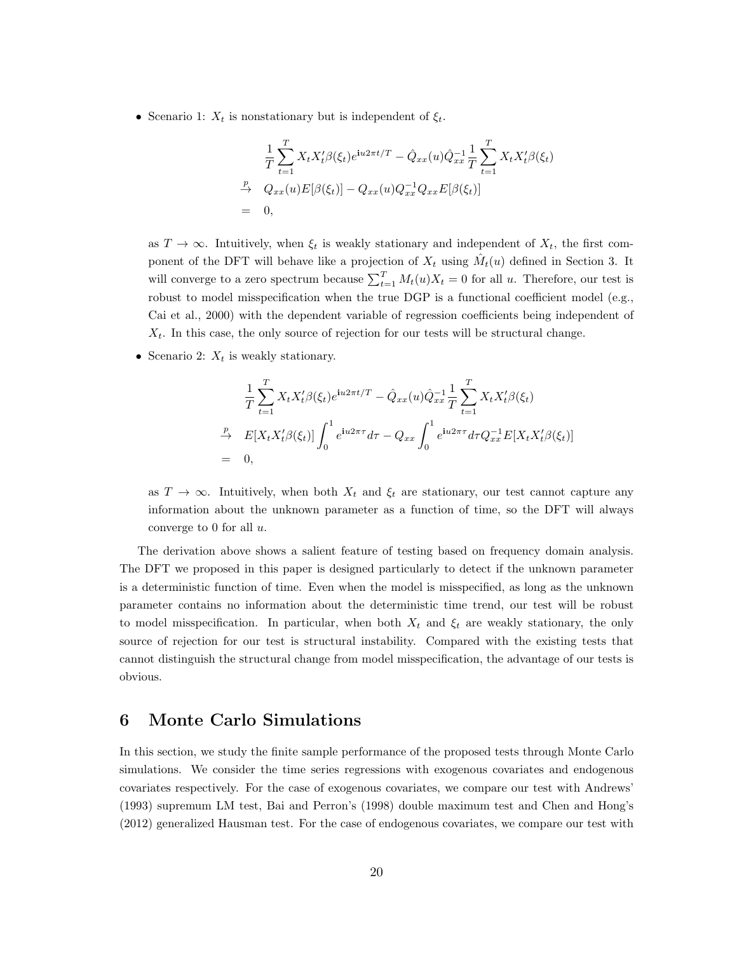• Scenario 1:  $X_t$  is nonstationary but is independent of  $\xi_t$ .

$$
\frac{1}{T} \sum_{t=1}^{T} X_t X_t' \beta(\xi_t) e^{i u 2\pi t/T} - \hat{Q}_{xx}(u) \hat{Q}_{xx}^{-1} \frac{1}{T} \sum_{t=1}^{T} X_t X_t' \beta(\xi_t)
$$
\n
$$
\xrightarrow{p} Q_{xx}(u) E[\beta(\xi_t)] - Q_{xx}(u) Q_{xx}^{-1} Q_{xx} E[\beta(\xi_t)]
$$
\n= 0,

as  $T \to \infty$ . Intuitively, when  $\xi_t$  is weakly stationary and independent of  $X_t$ , the first component of the DFT will behave like a projection of  $X_t$  using  $\hat{M}_t(u)$  defined in Section 3. It will converge to a zero spectrum because  $\sum_{t=1}^{T} M_t(u)X_t = 0$  for all u. Therefore, our test is robust to model misspecification when the true DGP is a functional coefficient model (e.g., Cai et al., 2000) with the dependent variable of regression coefficients being independent of  $X_t$ . In this case, the only source of rejection for our tests will be structural change.

• Scenario 2:  $X_t$  is weakly stationary.

$$
\frac{1}{T} \sum_{t=1}^{T} X_t X_t' \beta(\xi_t) e^{i u 2\pi t/T} - \hat{Q}_{xx}(u) \hat{Q}_{xx}^{-1} \frac{1}{T} \sum_{t=1}^{T} X_t X_t' \beta(\xi_t)
$$
\n
$$
\stackrel{p}{\to} E[X_t X_t' \beta(\xi_t)] \int_0^1 e^{i u 2\pi \tau} d\tau - Q_{xx} \int_0^1 e^{i u 2\pi \tau} d\tau Q_{xx}^{-1} E[X_t X_t' \beta(\xi_t)]
$$
\n= 0,

as  $T \to \infty$ . Intuitively, when both  $X_t$  and  $\xi_t$  are stationary, our test cannot capture any information about the unknown parameter as a function of time, so the DFT will always converge to 0 for all  $u$ .

The derivation above shows a salient feature of testing based on frequency domain analysis. The DFT we proposed in this paper is designed particularly to detect if the unknown parameter is a deterministic function of time. Even when the model is misspecified, as long as the unknown parameter contains no information about the deterministic time trend, our test will be robust to model misspecification. In particular, when both  $X_t$  and  $\xi_t$  are weakly stationary, the only source of rejection for our test is structural instability. Compared with the existing tests that cannot distinguish the structural change from model misspecification, the advantage of our tests is obvious.

# 6 Monte Carlo Simulations

In this section, we study the finite sample performance of the proposed tests through Monte Carlo simulations. We consider the time series regressions with exogenous covariates and endogenous covariates respectively. For the case of exogenous covariates, we compare our test with Andrews' (1993) supremum LM test, Bai and Perron's (1998) double maximum test and Chen and Hong's (2012) generalized Hausman test. For the case of endogenous covariates, we compare our test with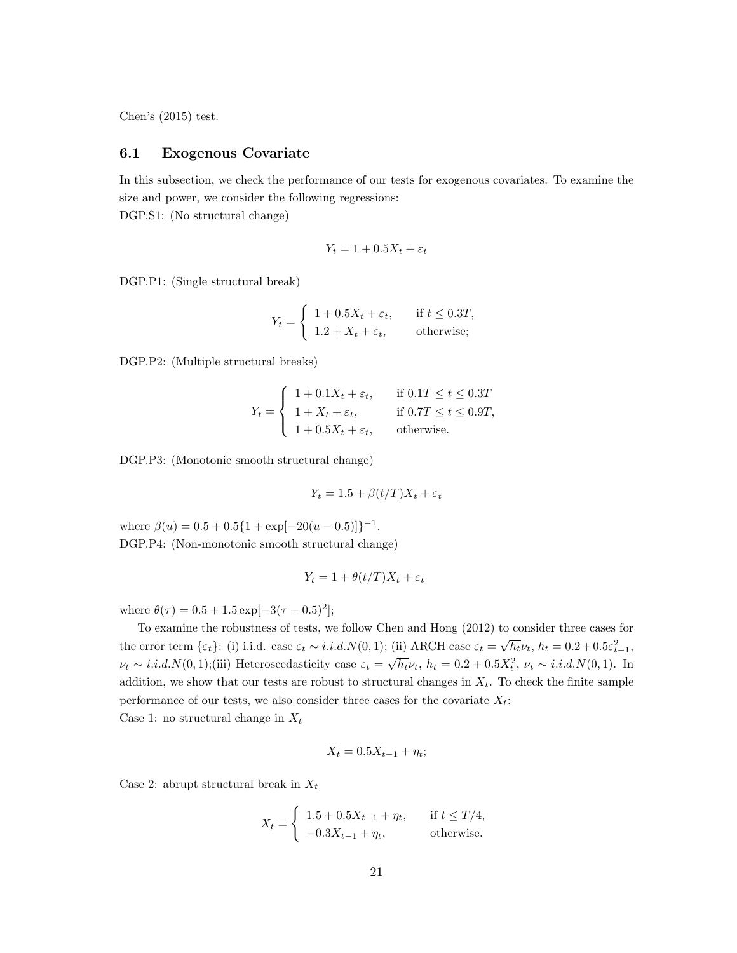Chen's (2015) test.

### 6.1 Exogenous Covariate

In this subsection, we check the performance of our tests for exogenous covariates. To examine the size and power, we consider the following regressions:

DGP.S1: (No structural change)

$$
Y_t = 1 + 0.5X_t + \varepsilon_t
$$

DGP.P1: (Single structural break)

$$
Y_t = \begin{cases} 1 + 0.5X_t + \varepsilon_t, & \text{if } t \le 0.3T, \\ 1.2 + X_t + \varepsilon_t, & \text{otherwise}; \end{cases}
$$

DGP.P2: (Multiple structural breaks)

$$
Y_t = \begin{cases} 1 + 0.1X_t + \varepsilon_t, & \text{if } 0.1T \le t \le 0.3T \\ 1 + X_t + \varepsilon_t, & \text{if } 0.7T \le t \le 0.9T, \\ 1 + 0.5X_t + \varepsilon_t, & \text{otherwise.} \end{cases}
$$

DGP.P3: (Monotonic smooth structural change)

$$
Y_t = 1.5 + \beta(t/T)X_t + \varepsilon_t
$$

where  $\beta(u) = 0.5 + 0.5\{1 + \exp[-20(u - 0.5)]\}^{-1}$ . DGP.P4: (Non-monotonic smooth structural change)

$$
Y_t = 1 + \theta(t/T)X_t + \varepsilon_t
$$

where  $\theta(\tau) = 0.5 + 1.5 \exp[-3(\tau - 0.5)^2];$ 

To examine the robustness of tests, we follow Chen and Hong (2012) to consider three cases for the error term { $\varepsilon_t$ }: (i) i.i.d. case  $\varepsilon_t \sim i.i.d. N(0, 1)$ ; (ii) ARCH case  $\varepsilon_t = \sqrt{h_t} \nu_t$ ,  $h_t = 0.2 + 0.5 \varepsilon_{t-1}^2$ ,  $\nu_t \sim i.i.d.N(0, 1);$ (iii) Heteroscedasticity case  $\varepsilon_t = \sqrt{h_t} \nu_t$ ,  $h_t = 0.2 + 0.5X_t^2$ ,  $\nu_t \sim i.i.d.N(0, 1).$  In addition, we show that our tests are robust to structural changes in  $X_t$ . To check the finite sample performance of our tests, we also consider three cases for the covariate  $X_t$ : Case 1: no structural change in  $X_t$ 

$$
X_t = 0.5X_{t-1} + \eta_t;
$$

Case 2: abrupt structural break in  $X_t$ 

$$
X_t = \begin{cases} 1.5 + 0.5X_{t-1} + \eta_t, & \text{if } t \le T/4, \\ -0.3X_{t-1} + \eta_t, & \text{otherwise.} \end{cases}
$$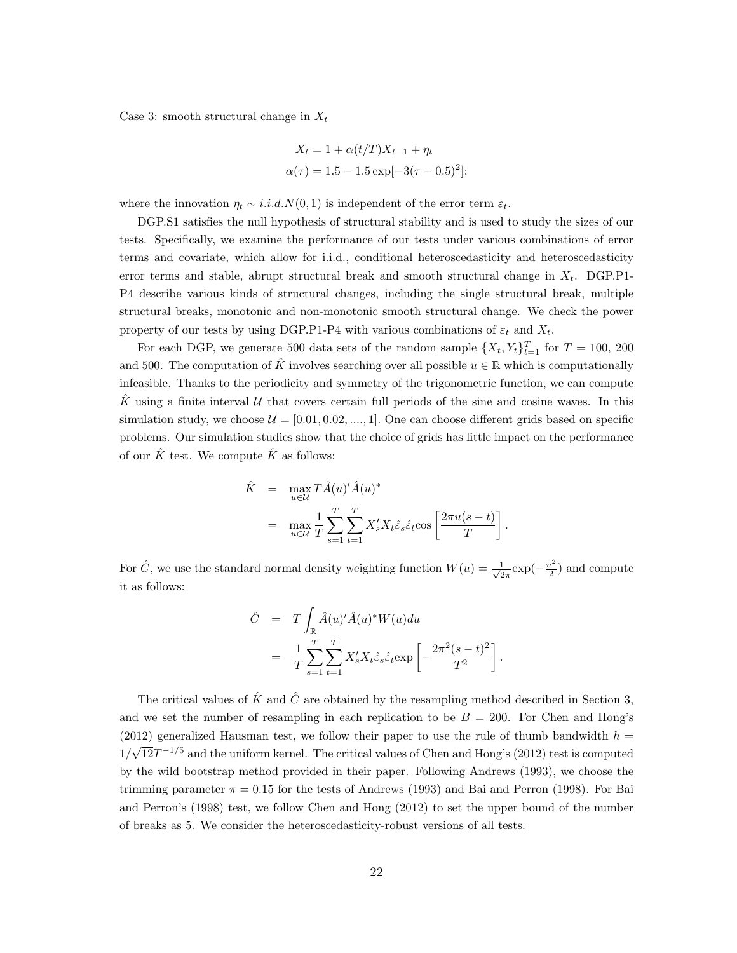Case 3: smooth structural change in  $X_t$ 

$$
X_t = 1 + \alpha(t/T)X_{t-1} + \eta_t
$$
  
\n
$$
\alpha(\tau) = 1.5 - 1.5 \exp[-3(\tau - 0.5)^2];
$$

where the innovation  $\eta_t \sim i.i.d.N(0, 1)$  is independent of the error term  $\varepsilon_t$ .

DGP.S1 satisfies the null hypothesis of structural stability and is used to study the sizes of our tests. Specifically, we examine the performance of our tests under various combinations of error terms and covariate, which allow for i.i.d., conditional heteroscedasticity and heteroscedasticity error terms and stable, abrupt structural break and smooth structural change in  $X_t$ . DGP.P1-P4 describe various kinds of structural changes, including the single structural break, multiple structural breaks, monotonic and non-monotonic smooth structural change. We check the power property of our tests by using DGP.P1-P4 with various combinations of  $\varepsilon_t$  and  $X_t$ .

For each DGP, we generate 500 data sets of the random sample  $\{X_t, Y_t\}_{t=1}^T$  for  $T = 100, 200$ and 500. The computation of K involves searching over all possible  $u \in \mathbb{R}$  which is computationally infeasible. Thanks to the periodicity and symmetry of the trigonometric function, we can compute K using a finite interval  $U$  that covers certain full periods of the sine and cosine waves. In this simulation study, we choose  $\mathcal{U} = [0.01, 0.02, \dots, 1]$ . One can choose different grids based on specific problems. Our simulation studies show that the choice of grids has little impact on the performance of our  $\hat{K}$  test. We compute  $\hat{K}$  as follows:

$$
\hat{K} = \max_{u \in \mathcal{U}} T \hat{A}(u)' \hat{A}(u)^{*}
$$
\n
$$
= \max_{u \in \mathcal{U}} \frac{1}{T} \sum_{s=1}^{T} \sum_{t=1}^{T} X'_{s} X_{t} \hat{\varepsilon}_{s} \hat{\varepsilon}_{t} \cos \left[ \frac{2\pi u(s-t)}{T} \right].
$$

For  $\hat{C}$ , we use the standard normal density weighting function  $W(u) = \frac{1}{\sqrt{2}}$  $rac{1}{2\pi}$ exp $\left(-\frac{u^2}{2}\right)$  $\frac{u^2}{2}$  and compute it as follows:

$$
\hat{C} = T \int_{\mathbb{R}} \hat{A}(u)' \hat{A}(u)^* W(u) du
$$
  
= 
$$
\frac{1}{T} \sum_{s=1}^T \sum_{t=1}^T X'_s X_t \hat{\varepsilon}_s \hat{\varepsilon}_t \exp\left[-\frac{2\pi^2 (s-t)^2}{T^2}\right]
$$

.

The critical values of  $\hat{K}$  and  $\hat{C}$  are obtained by the resampling method described in Section 3, and we set the number of resampling in each replication to be  $B = 200$ . For Chen and Hong's (2012) generalized Hausman test, we follow their paper to use the rule of thumb bandwidth  $h =$ 1/ √  $\overline{12}T^{-1/5}$  and the uniform kernel. The critical values of Chen and Hong's (2012) test is computed by the wild bootstrap method provided in their paper. Following Andrews (1993), we choose the trimming parameter  $\pi = 0.15$  for the tests of Andrews (1993) and Bai and Perron (1998). For Bai and Perron's (1998) test, we follow Chen and Hong (2012) to set the upper bound of the number of breaks as 5. We consider the heteroscedasticity-robust versions of all tests.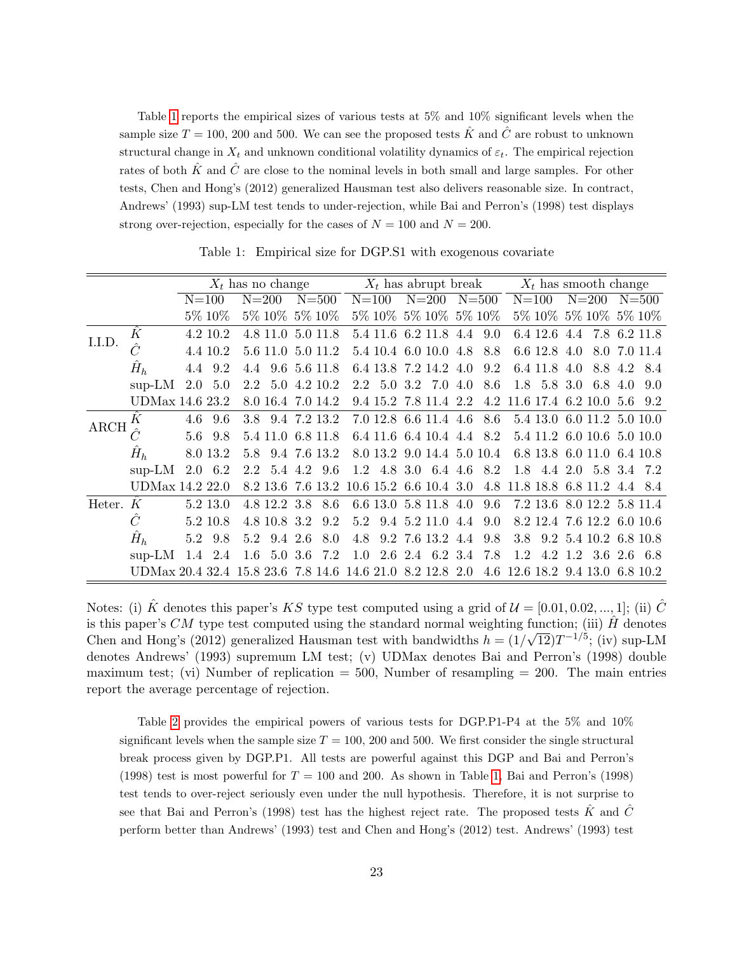Table [1](#page-23-0) reports the empirical sizes of various tests at 5% and 10% significant levels when the sample size  $T = 100$ , 200 and 500. We can see the proposed tests  $\hat{K}$  and  $\hat{C}$  are robust to unknown structural change in  $X_t$  and unknown conditional volatility dynamics of  $\varepsilon_t$ . The empirical rejection rates of both  $\hat{K}$  and  $\hat{C}$  are close to the nominal levels in both small and large samples. For other tests, Chen and Hong's (2012) generalized Hausman test also delivers reasonable size. In contract, Andrews' (1993) sup-LM test tends to under-rejection, while Bai and Perron's (1998) test displays strong over-rejection, especially for the cases of  $N = 100$  and  $N = 200$ .

<span id="page-23-0"></span>

|             |                                                           | $X_t$ has no change |                |           |                   |  |              |     | $X_t$ has abrupt break |  |                               |     |           | $X_t$ has smooth change |                                 |         |             |     |             |
|-------------|-----------------------------------------------------------|---------------------|----------------|-----------|-------------------|--|--------------|-----|------------------------|--|-------------------------------|-----|-----------|-------------------------|---------------------------------|---------|-------------|-----|-------------|
|             |                                                           |                     | $N=100$        | $N = 200$ |                   |  | $N = 500$    |     | $N = 100$              |  | $N = 200$                     |     | $N = 500$ |                         | $N = 100$                       |         | $N = 200$   |     | $N = 500$   |
|             |                                                           |                     | 5\% 10\%       |           | 5\% 10\% 5\% 10\% |  |              |     |                        |  | 5\% 10\% 5\% 10\% 5\% 10\%    |     |           |                         | 5% 10% 5% 10% 5% 10%            |         |             |     |             |
| I.I.D.      | $\ddot{K}$                                                |                     | 4.2 10.2       |           | 4.8 11.0 5.0 11.8 |  |              |     |                        |  | 5.4 11.6 6.2 11.8 4.4         |     | 9.0       |                         | 6.4 12.6 4.4 7.8 6.2 11.8       |         |             |     |             |
|             |                                                           |                     | 4.4 10.2       |           | 5.6 11.0          |  | 5.0 11.2     |     |                        |  | 5.4 10.4 6.0 10.0 4.8         |     | 8.8       |                         | 6.6 12.8 4.0                    |         | 8.0         |     | 7.0 11.4    |
|             | $\hat{H}_h$                                               | 4.4                 | 9.2            | 4.4       |                   |  | 9.6 5.6 11.8 |     |                        |  | 6.4 13.8 7.2 14.2 4.0         |     | 9.2       |                         | 6.4 11.8                        | 4.0     | 8.8         | 4.2 | 8.4         |
|             | $sup-LM$                                                  | $2.0\,$             | 5.0            |           | 2.2 5.0 4.2 10.2  |  |              |     | 2.2 5.0 3.2            |  | 7.0                           | 4.0 | 8.6       |                         | 1.8 5.8 3.0                     |         | 6.8         | 4.0 | 9.0         |
|             | UDMax 14.6 23.2                                           |                     |                |           | 8.0 16.4 7.0 14.2 |  |              |     |                        |  | 9.4 15.2 7.8 11.4 2.2         |     | 4.2       |                         | 11.6 17.4 6.2 10.0              |         |             | 5.6 | 9.2         |
| <b>ARCH</b> | Κ                                                         | 4.6                 | 9.6            |           | 3.8 9.4 7.2 13.2  |  |              |     |                        |  | 7.0 12.8 6.6 11.4 4.6         |     | 8.6       |                         | 5.4 13.0 6.0 11.2 5.0 10.0      |         |             |     |             |
|             |                                                           | 5.6                 | 9.8            |           | 5.4 11.0          |  | 6.8 11.8     |     |                        |  | 6.4 11.6 6.4 10.4 4.4 8.2     |     |           |                         | 5.4 11.2 6.0 10.6 5.0 10.0      |         |             |     |             |
|             | $\hat{H}_h$                                               |                     | 8.0 13.2       | 5.8       |                   |  | 9.4 7.6 13.2 |     |                        |  | 8.0 13.2 9.0 14.4 5.0 10.4    |     |           |                         | 6.8 13.8 6.0 11.0               |         |             |     | 6.4 10.8    |
|             | $sup-LM$                                                  |                     | $2.0\quad 6.2$ | 2.2       | 5.4 4.2           |  | 9.6          |     |                        |  | $1.2$ 4.8 3.0 6.4 4.6         |     | 8.2       | 1.8                     | 4.4 2.0                         |         |             |     | 5.8 3.4 7.2 |
|             | UDMax 14.2 22.0                                           |                     |                |           | 8.2 13.6 7.6 13.2 |  |              |     |                        |  | $10.6$ 15.2 6.6 10.4 3.0      |     | 4.8       |                         | 11.8 18.8 6.8 11.2              |         |             |     | 4.4 8.4     |
| Heter.      | K                                                         |                     | 5.2 13.0       |           | 4.8 12.2 3.8      |  | 8.6          |     |                        |  | 6.6 13.0 5.8 11.8 4.0         |     | 9.6       |                         | 7.2 13.6 8.0 12.2 5.8 11.4      |         |             |     |             |
|             | Ĉ                                                         |                     | 5.2 10.8       |           | 4.8 10.8 3.2      |  | 9.2          | 5.2 |                        |  | 9.4 5.2 11.0 4.4              |     | 9.0       |                         | 8.2 12.4 7.6 12.2 6.0 10.6      |         |             |     |             |
|             | $\hat{H}_h$                                               | 5.2                 | 9.8            | 5.2       | 9.4 2.6           |  | 8.0          | 4.8 |                        |  | 9.2 7.6 13.2 4.4              |     | 9.8       |                         | 3.8 9.2 5.4 10.2 6.8 10.8       |         |             |     |             |
|             | $sup-LM$                                                  | 1.4                 | 2.4            | $1.6\,$   | $5.0\,3.6$        |  | 7.2          |     |                        |  | $1.0$ $2.6$ $2.4$ $6.2$ $3.4$ |     | 7.8       | 1.2                     |                                 | 4.2 1.2 | 3.6 2.6 6.8 |     |             |
|             | UDMax 20.4 32.4 15.8 23.6 7.8 14.6 14.6 21.0 8.2 12.8 2.0 |                     |                |           |                   |  |              |     |                        |  |                               |     |           |                         | 4.6 12.6 18.2 9.4 13.0 6.8 10.2 |         |             |     |             |

Table 1: Empirical size for DGP.S1 with exogenous covariate

Notes: (i)  $\hat{K}$  denotes this paper's KS type test computed using a grid of  $\mathcal{U} = [0.01, 0.02, ..., 1]$ ; (ii)  $\hat{C}$ is this paper's CM type test computed using the standard normal weighting function; (iii)  $\hat{H}$  denotes Chen and Hong's (2012) generalized Hausman test with bandwidths  $h = (1/\sqrt{12})T^{-1/5}$ ; (iv) sup-LM denotes Andrews' (1993) supremum LM test; (v) UDMax denotes Bai and Perron's (1998) double maximum test; (vi) Number of replication  $= 500$ , Number of resampling  $= 200$ . The main entries report the average percentage of rejection.

Table [2](#page-24-0) provides the empirical powers of various tests for DGP.P1-P4 at the 5% and 10% significant levels when the sample size  $T = 100$ , 200 and 500. We first consider the single structural break process given by DGP.P1. All tests are powerful against this DGP and Bai and Perron's (1998) test is most powerful for  $T = 100$  and 200. As shown in Table [1,](#page-23-0) Bai and Perron's (1998) test tends to over-reject seriously even under the null hypothesis. Therefore, it is not surprise to see that Bai and Perron's (1998) test has the highest reject rate. The proposed tests  $\hat{K}$  and  $\hat{C}$ perform better than Andrews' (1993) test and Chen and Hong's (2012) test. Andrews' (1993) test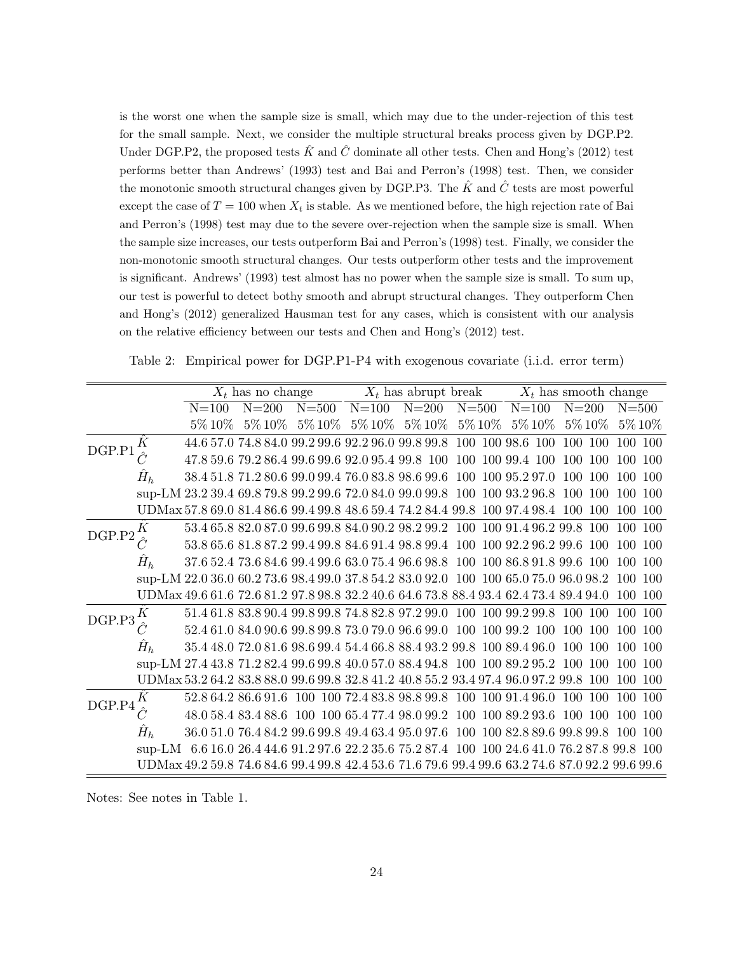is the worst one when the sample size is small, which may due to the under-rejection of this test for the small sample. Next, we consider the multiple structural breaks process given by DGP.P2. Under DGP.P2, the proposed tests  $\hat{K}$  and  $\hat{C}$  dominate all other tests. Chen and Hong's (2012) test performs better than Andrews' (1993) test and Bai and Perron's (1998) test. Then, we consider the monotonic smooth structural changes given by DGP.P3. The  $\hat{K}$  and  $\hat{C}$  tests are most powerful except the case of  $T = 100$  when  $X_t$  is stable. As we mentioned before, the high rejection rate of Bai and Perron's (1998) test may due to the severe over-rejection when the sample size is small. When the sample size increases, our tests outperform Bai and Perron's (1998) test. Finally, we consider the non-monotonic smooth structural changes. Our tests outperform other tests and the improvement is significant. Andrews' (1993) test almost has no power when the sample size is small. To sum up, our test is powerful to detect bothy smooth and abrupt structural changes. They outperform Chen and Hong's (2012) generalized Hausman test for any cases, which is consistent with our analysis on the relative efficiency between our tests and Chen and Hong's (2012) test.

Table 2: Empirical power for DGP.P1-P4 with exogenous covariate (i.i.d. error term)

<span id="page-24-0"></span>

|        |       |              | $X_t$ has no change |               |         | $X_t$ has abrupt break                                                         |           | $X_t$ has smooth change |                                                                                                 |                   |  |
|--------|-------|--------------|---------------------|---------------|---------|--------------------------------------------------------------------------------|-----------|-------------------------|-------------------------------------------------------------------------------------------------|-------------------|--|
|        |       | $N = 100$    | $N = 200$           | $N = 500$     | $N=100$ | $N = 200$                                                                      | $N = 500$ | $N = 100$               | $N = 200$                                                                                       | $N = 500$         |  |
|        |       | $5\%$ $10\%$ |                     | 5% 10% 5% 10% |         | 5\% 10\% 5\% 10\%                                                              |           | 5\% 10\% 5\% 10\%       | $5\%$ $10\%$                                                                                    | 5\% 10\%          |  |
| DGP.P1 |       |              |                     |               |         | 44.6 57.0 74.8 84.0 99.2 99.6 92.2 96.0 99.8 99.8                              |           | 100 100 98.6 100        | 100 100                                                                                         | 100 100           |  |
|        |       |              |                     |               |         | 47.8 59.6 79.2 86.4 99.6 99.6 92.0 95.4 99.8 100                               | 100       | 100 99.4 100            | 100<br>100                                                                                      | 100<br>100        |  |
|        | $H_h$ |              |                     |               |         | 38.4 51.8 71.2 80.6 99.0 99.4 76.0 83.8 98.6 99.6                              |           | 100 100 95.2 97.0       | 100<br>100                                                                                      | -100<br>100.      |  |
|        |       |              |                     |               |         | sup-LM 23.2 39.4 69.8 79.8 99.2 99.6 72.0 84.0 99.0 99.8 100 100 93.2 96.8     |           |                         | 100 100                                                                                         | 100 100           |  |
|        |       |              |                     |               |         | UDMax 57.8 69.0 81.4 86.6 99.4 99.8 48.6 59.4 74.2 84.4 99.8 100 97.4 98.4 100 |           |                         | <sup>100</sup>                                                                                  | 100 100           |  |
| DGP.P2 | Κ     |              |                     |               |         |                                                                                |           |                         | 53.4 65.8 82.0 87.0 99.6 99.8 84.0 90.2 98.2 99.2 100 100 91.4 96.2 99.8 100                    | 100<br>-100       |  |
|        |       |              |                     |               |         | 53.8 65.6 81.8 87.2 99.4 99.8 84.6 91.4 98.8 99.4 100 100 92.2 96.2 99.6       |           |                         | 100                                                                                             | 100<br>100        |  |
|        | $H_h$ |              |                     |               |         | 37.6 52.4 73.6 84.6 99.4 99.6 63.0 75.4 96.6 98.8 100 100 86.8 91.8 99.6 100   |           |                         |                                                                                                 | 100 100           |  |
|        |       |              |                     |               |         |                                                                                |           |                         | sup-LM 22.0 36.0 60.2 73.6 98.4 99.0 37.8 54.2 83.0 92.0 100 100 65.0 75.0 96.0 98.2            | 100 100           |  |
|        |       |              |                     |               |         |                                                                                |           |                         | UDMax 49.6 61.6 72.6 81.2 97.8 98.8 32.2 40.6 64.6 73.8 88.4 93.4 62.4 73.4 89.4 94.0           | 100 100           |  |
| DGP.P3 | Κ     |              |                     |               |         |                                                                                |           |                         | 51.4 61.8 83.8 90.4 99.8 99.8 74.8 82.8 97.2 99.0 100 100 99.2 99.8 100 100                     | 100<br>-100       |  |
|        |       |              |                     |               |         | 52.4 61.0 84.0 90.6 99.8 99.8 73.0 79.0 96.6 99.0 100 100 99.2 100             |           |                         | 100<br>100                                                                                      | 100<br>100        |  |
|        | $H_h$ |              |                     |               |         | 35.4 48.0 72.0 81.6 98.6 99.4 54.4 66.8 88.4 93.2 99.8 100 89.4 96.0           |           |                         | 100<br><b>100</b>                                                                               | <b>100</b><br>100 |  |
|        |       |              |                     |               |         |                                                                                |           |                         | sup-LM 27.4 43.8 71.2 82.4 99.6 99.8 40.0 57.0 88.4 94.8 100 100 89.2 95.2 100 100              | 100 100           |  |
|        |       |              |                     |               |         |                                                                                |           |                         | UDMax 53.2 64.2 83.8 88.0 99.6 99.8 32.8 41.2 40.8 55.2 93.4 97.4 96.0 97.2 99.8 100            | 100 100           |  |
| DGP.P4 | Κ     |              |                     |               |         | 52.8 64.2 86.6 91.6 100 100 72.4 83.8 98.8 99.8 100 100 91.4 96.0              |           |                         | 100<br><b>100</b>                                                                               | <b>100</b><br>100 |  |
|        |       |              |                     |               |         | 48.0 58.4 83.4 88.6 100 100 65.4 77.4 98.0 99.2 100 100 89.2 93.6              |           |                         | - 100-100                                                                                       | 100<br>100.       |  |
|        | $H_h$ |              |                     |               |         | 36.0 51.0 76.4 84.2 99.6 99.8 49.4 63.4 95.0 97.6 100 100 82.8 89.6 99.8 99.8  |           |                         |                                                                                                 | -100<br>100       |  |
|        |       |              |                     |               |         |                                                                                |           |                         | sup-LM 6.6 16.0 26.4 44.6 91.2 97.6 22.2 35.6 75.2 87.4 100 100 24.6 41.0 76.2 87.8 99.8 100    |                   |  |
|        |       |              |                     |               |         |                                                                                |           |                         | UDMax 49.2 59.8 74.6 84.6 99.4 99.8 42.4 53.6 71.6 79.6 99.4 99.6 63.2 74.6 87.0 92.2 99.6 99.6 |                   |  |

Notes: See notes in Table 1.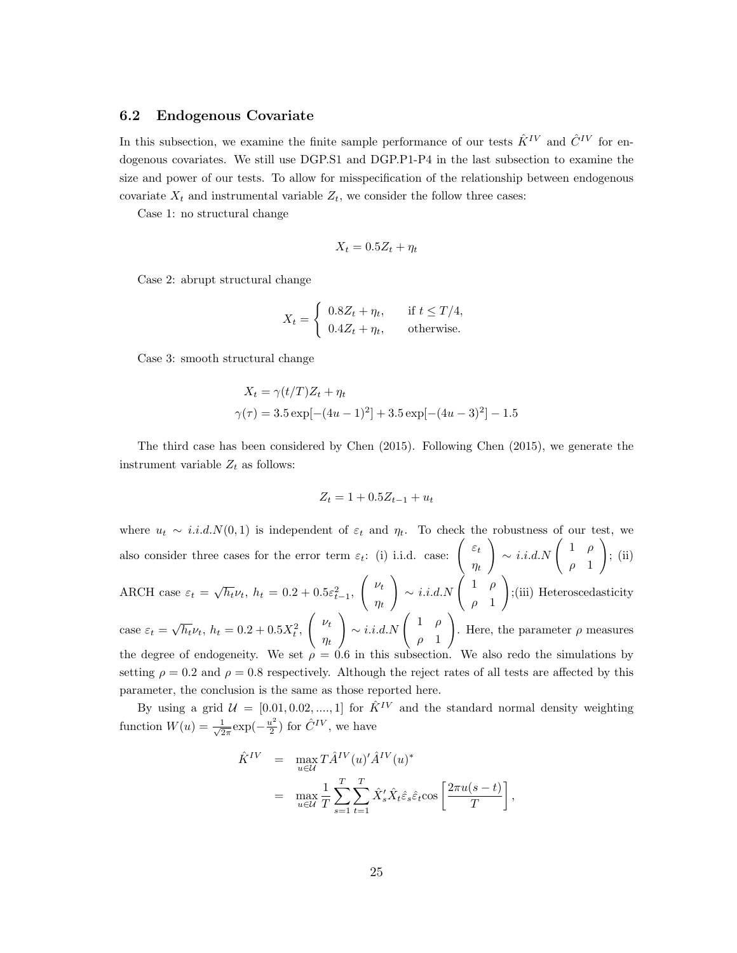#### 6.2 Endogenous Covariate

In this subsection, we examine the finite sample performance of our tests  $\hat{K}^{IV}$  and  $\hat{C}^{IV}$  for endogenous covariates. We still use DGP.S1 and DGP.P1-P4 in the last subsection to examine the size and power of our tests. To allow for misspecification of the relationship between endogenous covariate  $X_t$  and instrumental variable  $Z_t$ , we consider the follow three cases:

Case 1: no structural change

$$
X_t = 0.5Z_t + \eta_t
$$

Case 2: abrupt structural change

$$
X_t = \begin{cases} 0.8Z_t + \eta_t, & \text{if } t \le T/4, \\ 0.4Z_t + \eta_t, & \text{otherwise.} \end{cases}
$$

Case 3: smooth structural change

$$
X_t = \gamma(t/T)Z_t + \eta_t
$$
  
 
$$
\gamma(\tau) = 3.5 \exp[-(4u - 1)^2] + 3.5 \exp[-(4u - 3)^2] - 1.5
$$

The third case has been considered by Chen (2015). Following Chen (2015), we generate the instrument variable  $Z_t$  as follows:

$$
Z_t = 1 + 0.5Z_{t-1} + u_t
$$

where  $u_t \sim i.i.d.N(0,1)$  is independent of  $\varepsilon_t$  and  $\eta_t$ . To check the robustness of our test, we also consider three cases for the error term  $\varepsilon_t$ : (i) i.i.d. case:  $\int_{0}^{\varepsilon_t}$  $\eta_t$  $\bigg\} \sim i.i.d.N \left( \begin{array}{cc} 1 & \rho \end{array} \right)$  $\rho$  1  $\setminus$ ; (ii) ARCH case  $\varepsilon_t = \sqrt{h_t} \nu_t$ ,  $h_t = 0.2 + 0.5 \varepsilon_{t-1}^2$ ,  $\left(\nu_t\right)$  $\eta_t$  $\bigg\} \sim i.i.d.N \left( \begin{array}{cc} 1 & \rho \end{array} \right)$  $\rho$  1  $\setminus$ ;(iii) Heteroscedasticity case  $\varepsilon_t = \sqrt{h_t} \nu_t$ ,  $h_t = 0.2 + 0.5X_t^2$ ,  $\left(\nu_t\right)$  $\eta_t$  $\bigg\} \sim i.i.d.N \left( \begin{array}{cc} 1 & \rho \end{array} \right)$  $\rho$  1  $\setminus$ . Here, the parameter  $\rho$  measures the degree of endogeneity. We set  $\rho = 0.6$  in this subsection. We also redo the simulations by setting  $\rho = 0.2$  and  $\rho = 0.8$  respectively. Although the reject rates of all tests are affected by this parameter, the conclusion is the same as those reported here.

By using a grid  $\mathcal{U} = [0.01, 0.02, ..., 1]$  for  $\hat{K}^{IV}$  and the standard normal density weighting function  $W(u) = \frac{1}{\sqrt{2}}$  $rac{1}{2\pi}$ exp $\left(-\frac{u^2}{2}\right)$  $\frac{\mu^2}{2}$ ) for  $\hat{C}^{IV}$ , we have

$$
\hat{K}^{IV} = \max_{u \in \mathcal{U}} T \hat{A}^{IV}(u)^{\prime} \hat{A}^{IV}(u)^{*}
$$
\n
$$
= \max_{u \in \mathcal{U}} \frac{1}{T} \sum_{s=1}^{T} \sum_{t=1}^{T} \hat{X}_{s}^{\prime} \hat{X}_{t} \hat{\varepsilon}_{s} \hat{\varepsilon}_{t} \cos \left[ \frac{2\pi u(s-t)}{T} \right],
$$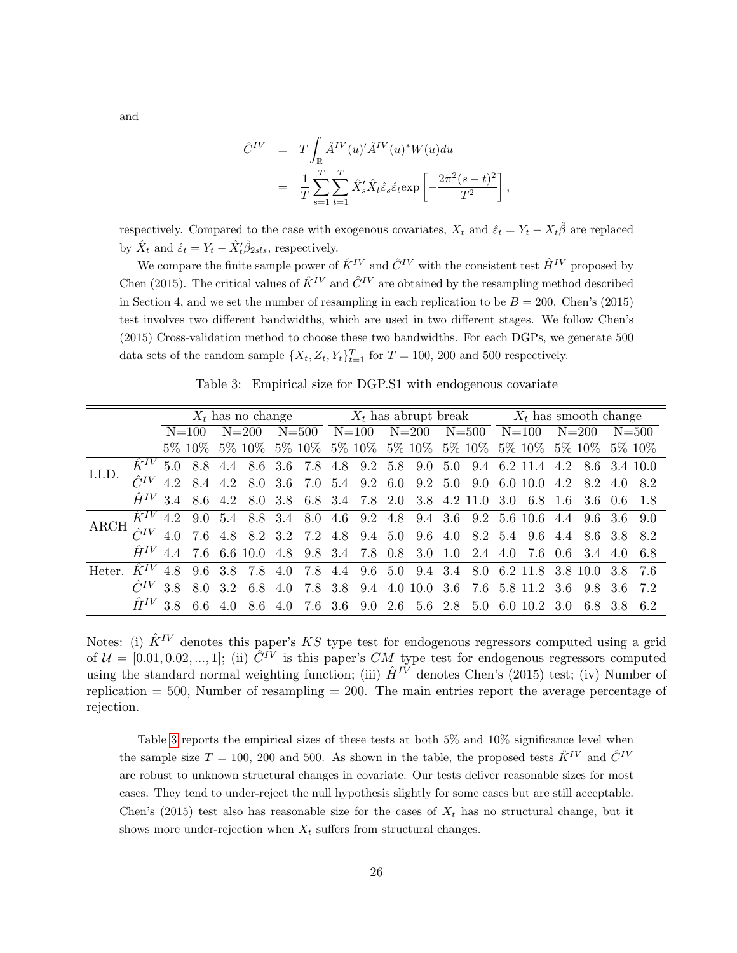$$
\hat{C}^{IV} = T \int_{\mathbb{R}} \hat{A}^{IV}(u)' \hat{A}^{IV}(u)^{*} W(u) du
$$

$$
= \frac{1}{T} \sum_{s=1}^{T} \sum_{t=1}^{T} \hat{X}'_{s} \hat{X}_{t} \hat{\varepsilon}_{s} \hat{\varepsilon}_{t} \exp\left[-\frac{2\pi^{2}(s-t)^{2}}{T^{2}}\right]
$$

,

respectively. Compared to the case with exogenous covariates,  $X_t$  and  $\hat{\varepsilon}_t = Y_t - X_t\hat{\beta}$  are replaced by  $\hat{X}_t$  and  $\hat{\varepsilon}_t = Y_t - \hat{X}'_t \hat{\beta}_{2sls}$ , respectively.

We compare the finite sample power of  $\hat{K}^{IV}$  and  $\hat{C}^{IV}$  with the consistent test  $\hat{H}^{IV}$  proposed by Chen (2015). The critical values of  $\hat{K}^{IV}$  and  $\hat{C}^{IV}$  are obtained by the resampling method described in Section 4, and we set the number of resampling in each replication to be  $B = 200$ . Chen's (2015) test involves two different bandwidths, which are used in two different stages. We follow Chen's (2015) Cross-validation method to choose these two bandwidths. For each DGPs, we generate 500 data sets of the random sample  $\{X_t, Z_t, Y_t\}_{t=1}^T$  for  $T = 100, 200$  and 500 respectively.

Table 3: Empirical size for DGP.S1 with endogenous covariate

<span id="page-26-0"></span>

|        |                  |     |             |     |                                |     |           |                                                 |           |           |     |                                                                         |                  | $X_t$ has no change $X_t$ has abrupt break $X_t$ has smooth change |  |                 |
|--------|------------------|-----|-------------|-----|--------------------------------|-----|-----------|-------------------------------------------------|-----------|-----------|-----|-------------------------------------------------------------------------|------------------|--------------------------------------------------------------------|--|-----------------|
|        |                  |     | $N = 100$   |     | $N = 200$                      |     | $N = 500$ | $N = 100$                                       | $N = 200$ | $N = 500$ |     | $N = 100$                                                               |                  | $N = 200$                                                          |  | $N = 500$       |
|        |                  |     | 5\% 10\%    |     | 5% 10%                         |     |           |                                                 |           |           |     |                                                                         |                  | 5% 10% 5% 10% 5% 10% 5% 10% 5% 10% 5% 10% 5% 10%                   |  |                 |
|        |                  |     |             |     | $\hat{K}^{IV}$ 5.0 8.8 4.4 8.6 | 3.6 |           |                                                 |           |           |     | 7.8 4.8 9.2 5.8 9.0 5.0 9.4 6.2 11.4                                    | 4.2 8.6 3.4 10.0 |                                                                    |  |                 |
| I.I.D. | $\hat{C}^{IV}$   |     |             |     |                                |     |           | 4.2 8.4 4.2 8.0 3.6 7.0 5.4 9.2 6.0 9.2 5.0 9.0 |           |           |     | 6.0 10.0                                                                | 4.2              |                                                                    |  | 8.2 4.0 8.2     |
|        | $\hat{H}^{IV}$   |     | 3.4 8.6 4.2 |     |                                |     |           | 8.0 3.8 6.8 3.4 7.8 2.0 3.8 4.2 11.0            |           |           | 3.0 | 6.8 1.6                                                                 |                  | 3.6 0.6 1.8                                                        |  |                 |
| ARCH   |                  |     |             |     |                                |     |           |                                                 |           |           |     | $\hat{K}^{IV}$ 4.2 9.0 5.4 8.8 3.4 8.0 4.6 9.2 4.8 9.4 3.6 9.2 5.6 10.6 | 4.4              |                                                                    |  | $9.6$ 3.6 $9.0$ |
|        |                  |     |             |     |                                |     |           |                                                 |           |           |     | $\hat{C}^{IV}$ 4.0 7.6 4.8 8.2 3.2 7.2 4.8 9.4 5.0 9.6 4.0 8.2 5.4 9.6  | 4.4              | 8.6 3.8 8.2                                                        |  |                 |
|        | $\hat{H}^{IV}$   | 44  |             |     | 7.6 6.6 10.0                   |     |           | 4.8 9.8 3.4 7.8 0.8 3.0 1.0 2.4 4.0             |           |           |     | 7.6 0.6                                                                 |                  | 3.4 4.0                                                            |  |                 |
| Heter  | $\ddot{K}^{IV}$  | 4.8 | 9.6         |     | 3.8 7.8                        | 4.0 |           |                                                 |           |           |     |                                                                         |                  | 7.8 4.4 9.6 5.0 9.4 3.4 8.0 6.2 11.8 3.8 10.0 3.8 7.6              |  |                 |
|        | $\tilde{C}^{IV}$ |     | 3.8 8.0 3.2 |     | $6.8\,$                        | 4.0 |           |                                                 |           |           |     | 7.8 3.8 9.4 4.0 10.0 3.6 7.6 5.8 11.2 3.6                               |                  |                                                                    |  | 9.8 3.6 7.2     |
|        | $\hat{H}^{IV}$   |     | 38 66       | 4 O | 8.6                            | 4.0 |           | 7.6 3.6 9.0 2.6 5.6 2.8                         |           | 5.0       |     | 6.0 10.2                                                                | -3.0             | 6.8 3.8                                                            |  |                 |

Notes: (i)  $\hat{K}^{IV}$  denotes this paper's KS type test for endogenous regressors computed using a grid of  $\mathcal{U} = [0.01, 0.02, ..., 1]$ ; (ii)  $\hat{C}^{IV}$  is this paper's CM type test for endogenous regressors computed using the standard normal weighting function; (iii)  $\hat{H}^{IV}$  denotes Chen's (2015) test; (iv) Number of replication  $= 500$ , Number of resampling  $= 200$ . The main entries report the average percentage of rejection.

Table [3](#page-26-0) reports the empirical sizes of these tests at both 5% and 10% significance level when the sample size  $T = 100$ , 200 and 500. As shown in the table, the proposed tests  $\hat{K}^{IV}$  and  $\hat{C}^{IV}$ are robust to unknown structural changes in covariate. Our tests deliver reasonable sizes for most cases. They tend to under-reject the null hypothesis slightly for some cases but are still acceptable. Chen's (2015) test also has reasonable size for the cases of  $X_t$  has no structural change, but it shows more under-rejection when  $X_t$  suffers from structural changes.

and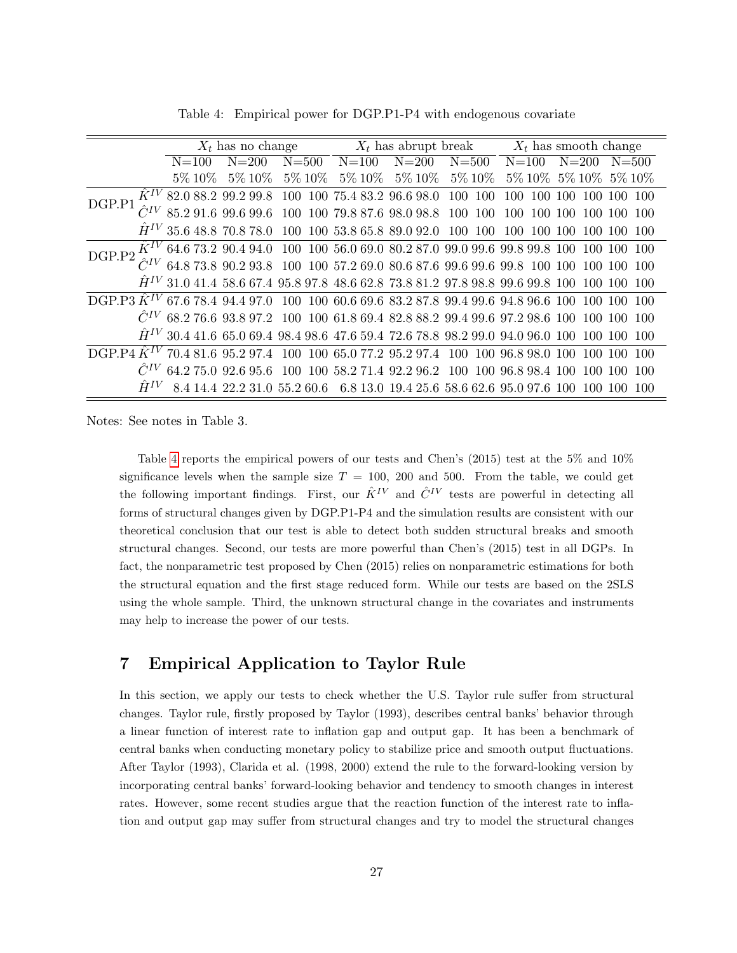<span id="page-27-0"></span>

|                          |            | $X_t$ has no change                                                                                                 |            |              |            |              | $X_t$ has abrupt break $X_t$ has smooth change |                                                                                                           |  |  |
|--------------------------|------------|---------------------------------------------------------------------------------------------------------------------|------------|--------------|------------|--------------|------------------------------------------------|-----------------------------------------------------------------------------------------------------------|--|--|
|                          | $N = 100$  | $N = 200$                                                                                                           | $N = 500$  | $N = 100$    | $N = 200$  | $N = 500$    | $N = 100$                                      | $N = 200$<br>$N = 500$                                                                                    |  |  |
|                          | $5\%~10\%$ | $5\%~10\%$                                                                                                          | $5\%~10\%$ | $5\%$ $10\%$ | $5\%~10\%$ | $5\%$ $10\%$ |                                                | 5\% 10\% 5\% 10\% 5\% 10\%                                                                                |  |  |
| $\hat{K}^{IV}$<br>DGP.P1 |            | 82.0 88.2 99.2 99.8 100 100 75.4 83.2 96.6 98.0 100 100                                                             |            |              |            |              | 100                                            | 100 100 100 100 100                                                                                       |  |  |
| $\hat{C}^{IV}$           |            | 85.2 91.6 99.6 99.6 100 100 79.8 87.6 98.0 98.8                                                                     |            |              |            | 100<br>100   | 100<br>100                                     | 100                                                                                                       |  |  |
| $H^{IV}$                 |            | 35.6 48.8 70.8 78.0 100 100 53.8 65.8 89.0 92.0 100 100                                                             |            |              |            |              | 100 100 100                                    | 100 100                                                                                                   |  |  |
| $\hat{K}^{IV}$<br>DGP.P2 |            |                                                                                                                     |            |              |            |              |                                                | $64.6\ 73.2\ 90.4\ 94.0\ 100\ 100\ 56.0\ 69.0\ 80.2\ 87.0\ 99.0\ 99.6\ 99.8\ 99.8\ 100\ 100\ 100$<br>-100 |  |  |
|                          |            |                                                                                                                     |            |              |            |              |                                                | $\hat{C}^{IV}$ 64.8 73.8 90.2 93.8 100 100 57.2 69.0 80.6 87.6 99.6 99.6 99.8 100 100 100 100             |  |  |
|                          |            |                                                                                                                     |            |              |            |              |                                                | $\hat{H}^{IV}$ 31.0 41.4 58.6 67.4 95.8 97.8 48.6 62.8 73.8 81.2 97.8 98.8 99.6 99.8 100 100 100 100      |  |  |
| DGP.P3 $\hat{K}^{IV}$    |            |                                                                                                                     |            |              |            |              |                                                | 67.6 78.4 94.4 97.0 100 100 60.6 69.6 83.2 87.8 99.4 99.6 94.8 96.6 100 100 100 100                       |  |  |
|                          |            |                                                                                                                     |            |              |            |              |                                                | $\hat{C}^{IV}$ 68.2 76.6 93.8 97.2 100 100 61.8 69.4 82.8 88.2 99.4 99.6 97.2 98.6 100 100 100 100        |  |  |
|                          |            |                                                                                                                     |            |              |            |              |                                                | $\hat{H}^{IV}$ 30.4 41.6 65.0 69.4 98.4 98.6 47.6 59.4 72.6 78.8 98.2 99.0 94.0 96.0 100 100 100 100      |  |  |
| DGP.P4 $\hat{K}^{IV}$    |            | $70.4 \ 81.6 \ 95.2 \ 97.4 \ \ 100 \ \ 100 \ \ 65.0 \ 77.2 \ \ 95.2 \ 97.4 \ \ 100 \ \ 100 \ \ 96.8 \ 98.0 \ \ 100$ |            |              |            |              |                                                | 100 100                                                                                                   |  |  |
|                          |            |                                                                                                                     |            |              |            |              |                                                | 64.2 75.0 92.6 95.6 100 100 58.2 71.4 92.2 96.2 100 100 96.8 98.4 100 100 100 100                         |  |  |
| $\ddot{H}^{IV}$          |            |                                                                                                                     |            |              |            |              |                                                | 14.4 22.2 31.0 55.2 60.6 6.8 13.0 19.4 25.6 58.6 62.6 95.0 97.6 100 100 100                               |  |  |

Table 4: Empirical power for DGP.P1-P4 with endogenous covariate

Notes: See notes in Table 3.

Table [4](#page-27-0) reports the empirical powers of our tests and Chen's (2015) test at the 5% and 10% significance levels when the sample size  $T = 100, 200$  and 500. From the table, we could get the following important findings. First, our  $\hat{K}^{IV}$  and  $\hat{C}^{IV}$  tests are powerful in detecting all forms of structural changes given by DGP.P1-P4 and the simulation results are consistent with our theoretical conclusion that our test is able to detect both sudden structural breaks and smooth structural changes. Second, our tests are more powerful than Chen's (2015) test in all DGPs. In fact, the nonparametric test proposed by Chen (2015) relies on nonparametric estimations for both the structural equation and the first stage reduced form. While our tests are based on the 2SLS using the whole sample. Third, the unknown structural change in the covariates and instruments may help to increase the power of our tests.

# 7 Empirical Application to Taylor Rule

In this section, we apply our tests to check whether the U.S. Taylor rule suffer from structural changes. Taylor rule, firstly proposed by Taylor (1993), describes central banks' behavior through a linear function of interest rate to inflation gap and output gap. It has been a benchmark of central banks when conducting monetary policy to stabilize price and smooth output fluctuations. After Taylor (1993), Clarida et al. (1998, 2000) extend the rule to the forward-looking version by incorporating central banks' forward-looking behavior and tendency to smooth changes in interest rates. However, some recent studies argue that the reaction function of the interest rate to inflation and output gap may suffer from structural changes and try to model the structural changes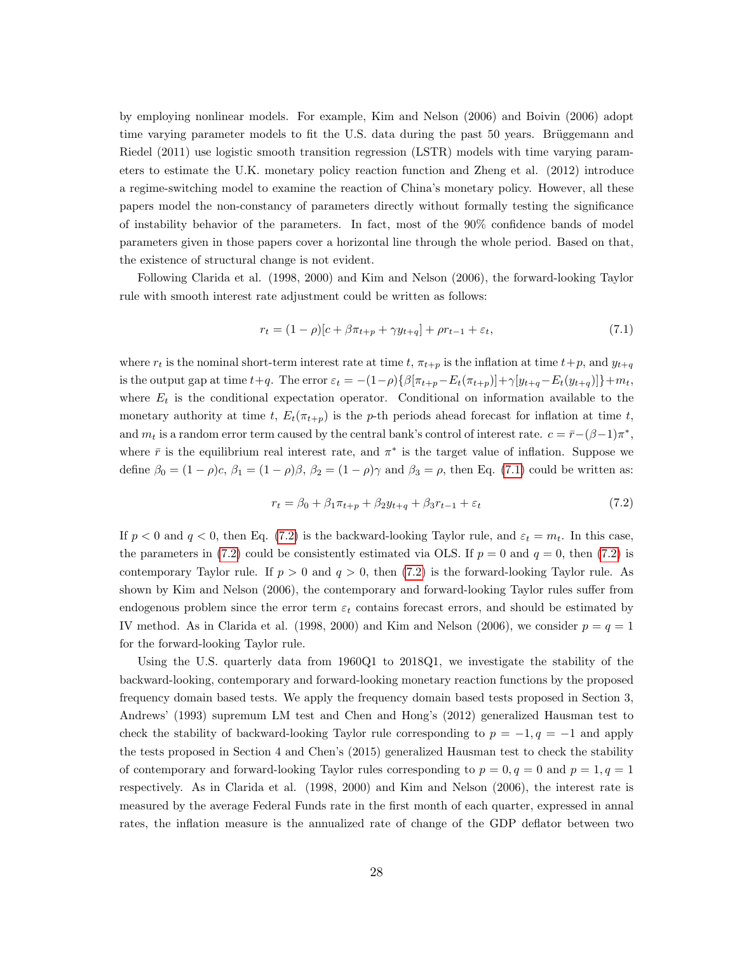by employing nonlinear models. For example, Kim and Nelson (2006) and Boivin (2006) adopt time varying parameter models to fit the U.S. data during the past 50 years. Brüggemann and Riedel (2011) use logistic smooth transition regression (LSTR) models with time varying parameters to estimate the U.K. monetary policy reaction function and Zheng et al. (2012) introduce a regime-switching model to examine the reaction of China's monetary policy. However, all these papers model the non-constancy of parameters directly without formally testing the significance of instability behavior of the parameters. In fact, most of the 90% confidence bands of model parameters given in those papers cover a horizontal line through the whole period. Based on that, the existence of structural change is not evident.

Following Clarida et al. (1998, 2000) and Kim and Nelson (2006), the forward-looking Taylor rule with smooth interest rate adjustment could be written as follows:

<span id="page-28-0"></span>
$$
r_t = (1 - \rho)[c + \beta \pi_{t+p} + \gamma y_{t+q}] + \rho r_{t-1} + \varepsilon_t,
$$
\n(7.1)

where  $r_t$  is the nominal short-term interest rate at time t,  $\pi_{t+p}$  is the inflation at time  $t+p$ , and  $y_{t+q}$ is the output gap at time  $t+q$ . The error  $\varepsilon_t = -(1-\rho)\{\beta[\pi_{t+p}-E_t(\pi_{t+p})]+\gamma[y_{t+q}-E_t(y_{t+q})]\}+m_t$ , where  $E_t$  is the conditional expectation operator. Conditional on information available to the monetary authority at time t,  $E_t(\pi_{t+p})$  is the p-th periods ahead forecast for inflation at time t, and  $m_t$  is a random error term caused by the central bank's control of interest rate.  $c = \bar{r}-(\beta-1)\pi^*$ , where  $\bar{r}$  is the equilibrium real interest rate, and  $\pi^*$  is the target value of inflation. Suppose we define  $\beta_0 = (1 - \rho)c$ ,  $\beta_1 = (1 - \rho)\beta$ ,  $\beta_2 = (1 - \rho)\gamma$  and  $\beta_3 = \rho$ , then Eq. (7.[1\)](#page-28-0) could be written as:

<span id="page-28-1"></span>
$$
r_t = \beta_0 + \beta_1 \pi_{t+p} + \beta_2 y_{t+q} + \beta_3 r_{t-1} + \varepsilon_t \tag{7.2}
$$

If  $p < 0$  and  $q < 0$ , then Eq. [\(7](#page-28-1).2) is the backward-looking Taylor rule, and  $\varepsilon_t = m_t$ . In this case, the parameters in (7.[2\)](#page-28-1) could be consistently estimated via OLS. If  $p = 0$  and  $q = 0$ , then (7.2) is contemporary Taylor rule. If  $p > 0$  and  $q > 0$ , then [\(7](#page-28-1).2) is the forward-looking Taylor rule. As shown by Kim and Nelson (2006), the contemporary and forward-looking Taylor rules suffer from endogenous problem since the error term  $\varepsilon_t$  contains forecast errors, and should be estimated by IV method. As in Clarida et al. (1998, 2000) and Kim and Nelson (2006), we consider  $p = q = 1$ for the forward-looking Taylor rule.

Using the U.S. quarterly data from 1960Q1 to 2018Q1, we investigate the stability of the backward-looking, contemporary and forward-looking monetary reaction functions by the proposed frequency domain based tests. We apply the frequency domain based tests proposed in Section 3, Andrews' (1993) supremum LM test and Chen and Hong's (2012) generalized Hausman test to check the stability of backward-looking Taylor rule corresponding to  $p = -1, q = -1$  and apply the tests proposed in Section 4 and Chen's (2015) generalized Hausman test to check the stability of contemporary and forward-looking Taylor rules corresponding to  $p = 0, q = 0$  and  $p = 1, q = 1$ respectively. As in Clarida et al. (1998, 2000) and Kim and Nelson (2006), the interest rate is measured by the average Federal Funds rate in the first month of each quarter, expressed in annal rates, the inflation measure is the annualized rate of change of the GDP deflator between two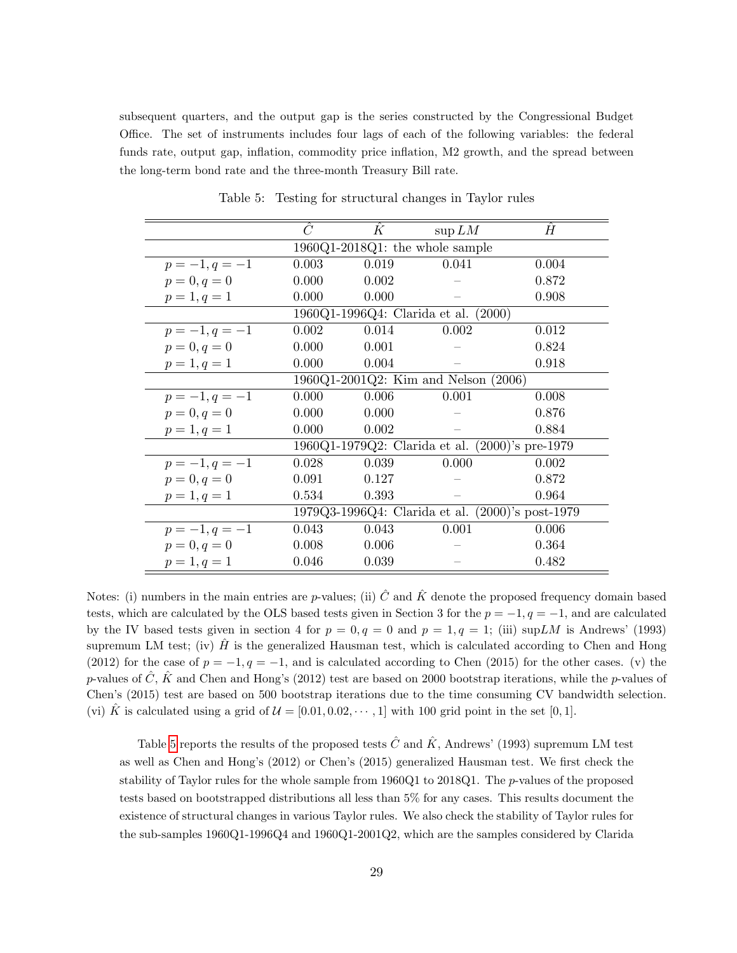subsequent quarters, and the output gap is the series constructed by the Congressional Budget Office. The set of instruments includes four lags of each of the following variables: the federal funds rate, output gap, inflation, commodity price inflation, M2 growth, and the spread between the long-term bond rate and the three-month Treasury Bill rate.

<span id="page-29-0"></span>

|                | Ĉ                                                | $\boldsymbol{K}$ | $\sup LM$                                       | H     |  |  |  |  |  |  |  |
|----------------|--------------------------------------------------|------------------|-------------------------------------------------|-------|--|--|--|--|--|--|--|
|                | 1960Q1-2018Q1: the whole sample                  |                  |                                                 |       |  |  |  |  |  |  |  |
| $p=-1, q=-1$   | 0.003                                            | 0.019            | 0.041                                           | 0.004 |  |  |  |  |  |  |  |
| $p = 0, q = 0$ | 0.000                                            | 0.002            |                                                 | 0.872 |  |  |  |  |  |  |  |
| $p=1, q=1$     | 0.000                                            | 0.000            |                                                 | 0.908 |  |  |  |  |  |  |  |
|                |                                                  |                  | 1960Q1-1996Q4: Clarida et al. (2000)            |       |  |  |  |  |  |  |  |
| $p=-1, q=-1$   | 0.002                                            | 0.014            | 0.002                                           | 0.012 |  |  |  |  |  |  |  |
| $p = 0, q = 0$ | 0.000                                            | 0.001            |                                                 | 0.824 |  |  |  |  |  |  |  |
| $p=1, q=1$     | 0.000                                            | 0.004            |                                                 | 0.918 |  |  |  |  |  |  |  |
|                | 1960Q1-2001Q2: Kim and Nelson (2006)             |                  |                                                 |       |  |  |  |  |  |  |  |
| $p=-1, q=-1$   | 0.000                                            | 0.006            | 0.001                                           | 0.008 |  |  |  |  |  |  |  |
| $p = 0, q = 0$ | 0.000                                            | 0.000            |                                                 | 0.876 |  |  |  |  |  |  |  |
| $p=1, q=1$     | 0.000                                            | 0.002            |                                                 | 0.884 |  |  |  |  |  |  |  |
|                |                                                  |                  | 1960Q1-1979Q2: Clarida et al. (2000)'s pre-1979 |       |  |  |  |  |  |  |  |
| $p=-1, q=-1$   | 0.028                                            | 0.039            | 0.000                                           | 0.002 |  |  |  |  |  |  |  |
| $p = 0, q = 0$ | 0.091                                            | 0.127            |                                                 | 0.872 |  |  |  |  |  |  |  |
| $p = 1, q = 1$ | 0.534                                            | 0.393            |                                                 | 0.964 |  |  |  |  |  |  |  |
|                | 1979Q3-1996Q4: Clarida et al. (2000)'s post-1979 |                  |                                                 |       |  |  |  |  |  |  |  |
| $p=-1, q=-1$   | 0.043                                            | 0.043            | 0.001                                           | 0.006 |  |  |  |  |  |  |  |
| $p = 0, q = 0$ | 0.008                                            | 0.006            |                                                 | 0.364 |  |  |  |  |  |  |  |
| $p = 1, q = 1$ | 0.046                                            | 0.039            |                                                 | 0.482 |  |  |  |  |  |  |  |

Table 5: Testing for structural changes in Taylor rules

Notes: (i) numbers in the main entries are p-values; (ii)  $\hat{C}$  and  $\hat{K}$  denote the proposed frequency domain based tests, which are calculated by the OLS based tests given in Section 3 for the  $p = -1, q = -1$ , and are calculated by the IV based tests given in section 4 for  $p = 0, q = 0$  and  $p = 1, q = 1$ ; (iii) sup LM is Andrews' (1993) supremum LM test; (iv)  $\hat{H}$  is the generalized Hausman test, which is calculated according to Chen and Hong (2012) for the case of  $p = -1, q = -1$ , and is calculated according to Chen (2015) for the other cases. (v) the p-values of  $\ddot{C}$ ,  $\ddot{K}$  and Chen and Hong's (2012) test are based on 2000 bootstrap iterations, while the p-values of Chen's (2015) test are based on 500 bootstrap iterations due to the time consuming CV bandwidth selection. (vi) K<sup> $\dot{K}$ </sup> is calculated using a grid of  $\mathcal{U} = [0.01, 0.02, \cdots, 1]$  with 100 grid point in the set [0, 1].

Table [5](#page-29-0) reports the results of the proposed tests  $\hat{C}$  and  $\hat{K}$ , Andrews' (1993) supremum LM test as well as Chen and Hong's (2012) or Chen's (2015) generalized Hausman test. We first check the stability of Taylor rules for the whole sample from 1960Q1 to 2018Q1. The p-values of the proposed tests based on bootstrapped distributions all less than 5% for any cases. This results document the existence of structural changes in various Taylor rules. We also check the stability of Taylor rules for the sub-samples 1960Q1-1996Q4 and 1960Q1-2001Q2, which are the samples considered by Clarida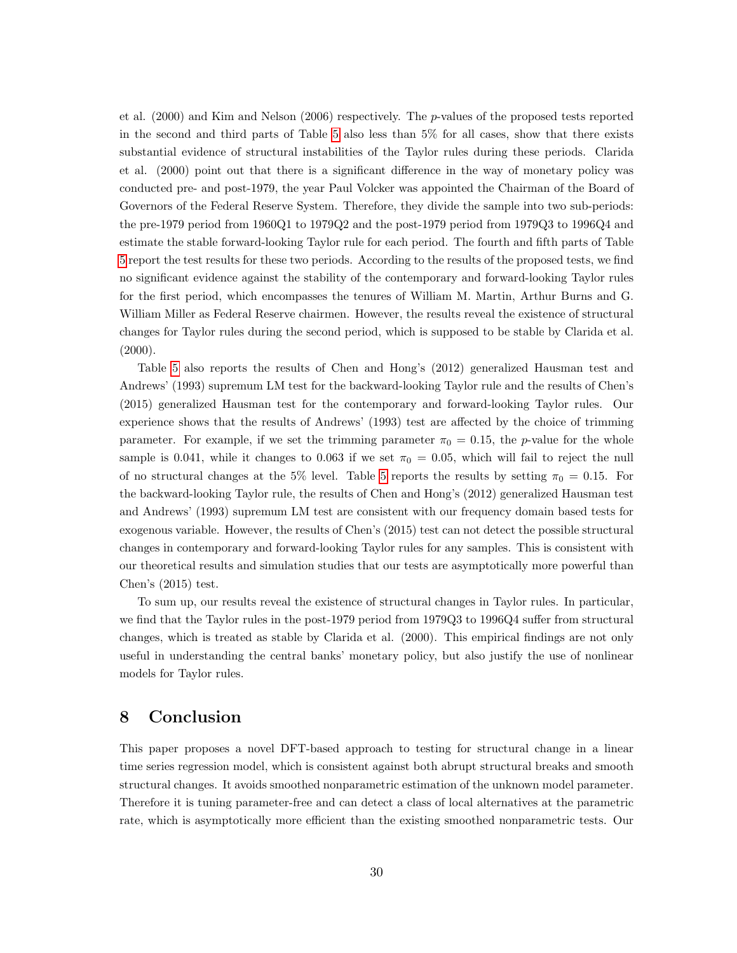et al.  $(2000)$  and Kim and Nelson  $(2006)$  respectively. The *p*-values of the proposed tests reported in the second and third parts of Table [5](#page-29-0) also less than 5% for all cases, show that there exists substantial evidence of structural instabilities of the Taylor rules during these periods. Clarida et al. (2000) point out that there is a significant difference in the way of monetary policy was conducted pre- and post-1979, the year Paul Volcker was appointed the Chairman of the Board of Governors of the Federal Reserve System. Therefore, they divide the sample into two sub-periods: the pre-1979 period from 1960Q1 to 1979Q2 and the post-1979 period from 1979Q3 to 1996Q4 and estimate the stable forward-looking Taylor rule for each period. The fourth and fifth parts of Table [5](#page-29-0) report the test results for these two periods. According to the results of the proposed tests, we find no significant evidence against the stability of the contemporary and forward-looking Taylor rules for the first period, which encompasses the tenures of William M. Martin, Arthur Burns and G. William Miller as Federal Reserve chairmen. However, the results reveal the existence of structural changes for Taylor rules during the second period, which is supposed to be stable by Clarida et al.  $(2000).$ 

Table [5](#page-29-0) also reports the results of Chen and Hong's (2012) generalized Hausman test and Andrews' (1993) supremum LM test for the backward-looking Taylor rule and the results of Chen's (2015) generalized Hausman test for the contemporary and forward-looking Taylor rules. Our experience shows that the results of Andrews' (1993) test are affected by the choice of trimming parameter. For example, if we set the trimming parameter  $\pi_0 = 0.15$ , the p-value for the whole sample is 0.041, while it changes to 0.063 if we set  $\pi_0 = 0.05$ , which will fail to reject the null of no structural changes at the [5](#page-29-0)% level. Table 5 reports the results by setting  $\pi_0 = 0.15$ . For the backward-looking Taylor rule, the results of Chen and Hong's (2012) generalized Hausman test and Andrews' (1993) supremum LM test are consistent with our frequency domain based tests for exogenous variable. However, the results of Chen's (2015) test can not detect the possible structural changes in contemporary and forward-looking Taylor rules for any samples. This is consistent with our theoretical results and simulation studies that our tests are asymptotically more powerful than Chen's (2015) test.

To sum up, our results reveal the existence of structural changes in Taylor rules. In particular, we find that the Taylor rules in the post-1979 period from 1979Q3 to 1996Q4 suffer from structural changes, which is treated as stable by Clarida et al. (2000). This empirical findings are not only useful in understanding the central banks' monetary policy, but also justify the use of nonlinear models for Taylor rules.

# 8 Conclusion

This paper proposes a novel DFT-based approach to testing for structural change in a linear time series regression model, which is consistent against both abrupt structural breaks and smooth structural changes. It avoids smoothed nonparametric estimation of the unknown model parameter. Therefore it is tuning parameter-free and can detect a class of local alternatives at the parametric rate, which is asymptotically more efficient than the existing smoothed nonparametric tests. Our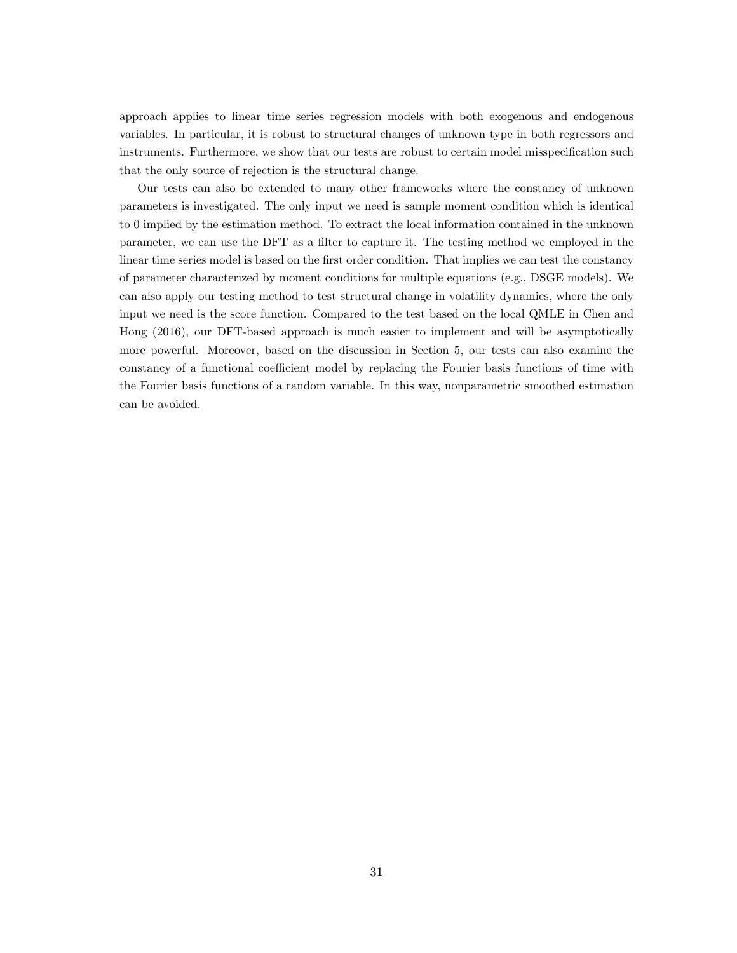approach applies to linear time series regression models with both exogenous and endogenous variables. In particular, it is robust to structural changes of unknown type in both regressors and instruments. Furthermore, we show that our tests are robust to certain model misspecification such that the only source of rejection is the structural change.

Our tests can also be extended to many other frameworks where the constancy of unknown parameters is investigated. The only input we need is sample moment condition which is identical to 0 implied by the estimation method. To extract the local information contained in the unknown parameter, we can use the DFT as a filter to capture it. The testing method we employed in the linear time series model is based on the first order condition. That implies we can test the constancy of parameter characterized by moment conditions for multiple equations (e.g., DSGE models). We can also apply our testing method to test structural change in volatility dynamics, where the only input we need is the score function. Compared to the test based on the local QMLE in Chen and Hong (2016), our DFT-based approach is much easier to implement and will be asymptotically more powerful. Moreover, based on the discussion in Section 5, our tests can also examine the constancy of a functional coefficient model by replacing the Fourier basis functions of time with the Fourier basis functions of a random variable. In this way, nonparametric smoothed estimation can be avoided.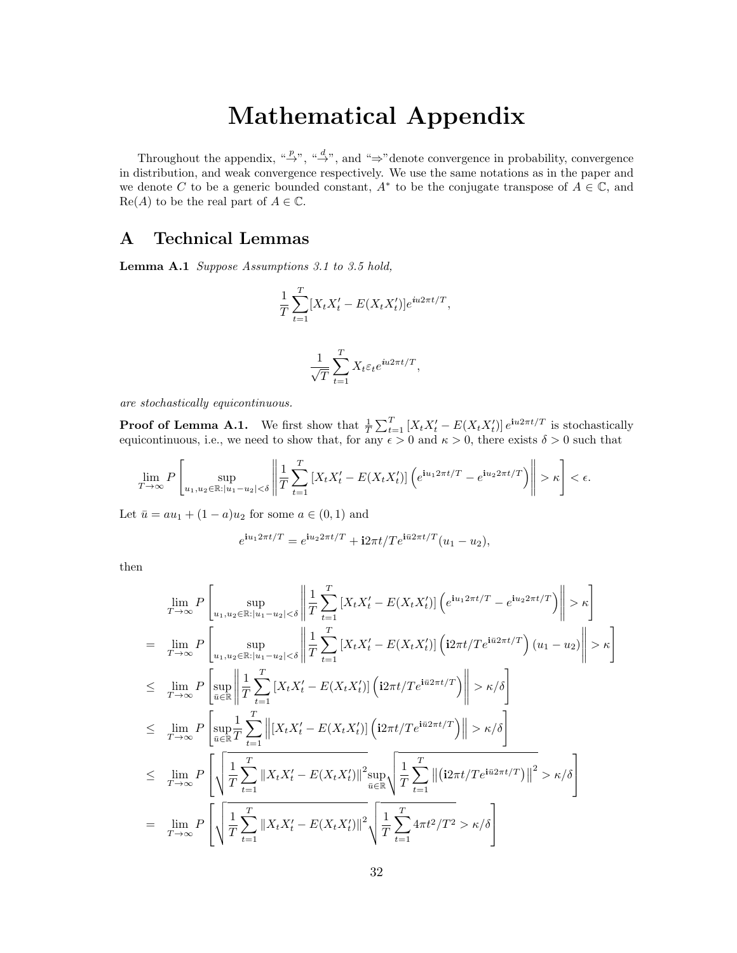# Mathematical Appendix

Throughout the appendix, " $\stackrel{p}{\rightarrow}$ ", " $\stackrel{d}{\rightarrow}$ ", and " $\Rightarrow$ " denote convergence in probability, convergence in distribution, and weak convergence respectively. We use the same notations as in the paper and we denote C to be a generic bounded constant,  $A^*$  to be the conjugate transpose of  $A \in \mathbb{C}$ , and  $\text{Re}(A)$  to be the real part of  $A \in \mathbb{C}$ .

# A Technical Lemmas

Lemma A.1 Suppose Assumptions 3.1 to 3.5 hold,

$$
\frac{1}{T} \sum_{t=1}^{T} [X_t X_t' - E(X_t X_t')] e^{iu2\pi t/T},
$$

$$
\frac{1}{\sqrt{T}} \sum_{t=1}^{T} X_t \varepsilon_t e^{iu2\pi t/T},
$$

are stochastically equicontinuous.

**Proof of Lemma A.1.** We first show that  $\frac{1}{T} \sum_{t=1}^{T} [X_t X_t' - E(X_t X_t')] e^{i u 2\pi t/T}$  is stochastically equicontinuous, i.e., we need to show that, for any  $\epsilon > 0$  and  $\kappa > 0$ , there exists  $\delta > 0$  such that

$$
\lim_{T \to \infty} P\left[\sup_{u_1, u_2 \in \mathbb{R}: |u_1 - u_2| < \delta} \left\| \frac{1}{T} \sum_{t=1}^T \left[ X_t X_t' - E(X_t X_t') \right] \left( e^{i u_1 2\pi t/T} - e^{i u_2 2\pi t/T} \right) \right\| > \kappa \right] < \epsilon.
$$

Let  $\bar{u} = au_1 + (1 - a)u_2$  for some  $a \in (0, 1)$  and

$$
e^{i u_1 2\pi t/T} = e^{i u_2 2\pi t/T} + i 2\pi t / T e^{i\bar{u}2\pi t/T} (u_1 - u_2),
$$

then

$$
\lim_{T \to \infty} P\left[\sup_{u_1, u_2 \in \mathbb{R}: |u_1 - u_2| < \delta} \left\| \frac{1}{T} \sum_{t=1}^T \left[ X_t X_t' - E(X_t X_t') \right] \left( e^{i u_1 2\pi t/T} - e^{i u_2 2\pi t/T} \right) \right\| > \kappa \right]
$$
\n
$$
= \lim_{T \to \infty} P\left[\sup_{u_1, u_2 \in \mathbb{R}: |u_1 - u_2| < \delta} \left\| \frac{1}{T} \sum_{t=1}^T \left[ X_t X_t' - E(X_t X_t') \right] \left( i2\pi t / T e^{i\bar{u}2\pi t/T} \right) (u_1 - u_2) \right\| > \kappa \right]
$$
\n
$$
\leq \lim_{T \to \infty} P\left[\sup_{\bar{u} \in \mathbb{R}} \left\| \frac{1}{T} \sum_{t=1}^T \left[ X_t X_t' - E(X_t X_t') \right] \left( i2\pi t / T e^{i\bar{u}2\pi t/T} \right) \right\| > \kappa/\delta \right]
$$
\n
$$
\leq \lim_{T \to \infty} P\left[\sup_{\bar{u} \in \mathbb{R}} \frac{1}{T} \sum_{t=1}^T \left\| \left[ X_t X_t' - E(X_t X_t') \right] \left( i2\pi t / T e^{i\bar{u}2\pi t/T} \right) \right\| > \kappa/\delta \right]
$$
\n
$$
\leq \lim_{T \to \infty} P\left[\sqrt{\frac{1}{T} \sum_{t=1}^T \left\| X_t X_t' - E(X_t X_t') \right\|^2 \sup_{\bar{u} \in \mathbb{R}} \left\| \frac{1}{T} \sum_{t=1}^T \left\| \left( i2\pi t / T e^{i\bar{u}2\pi t/T} \right) \right\|^2 > \kappa/\delta \right]
$$
\n
$$
= \lim_{T \to \infty} P\left[\sqrt{\frac{1}{T} \sum_{t=1}^T \left\| X_t X_t' - E(X_t X_t') \right\|^2 \sqrt{\frac{1}{T} \sum_{t=1}^T 4\pi t^2 / T^2} > \kappa/\delta \
$$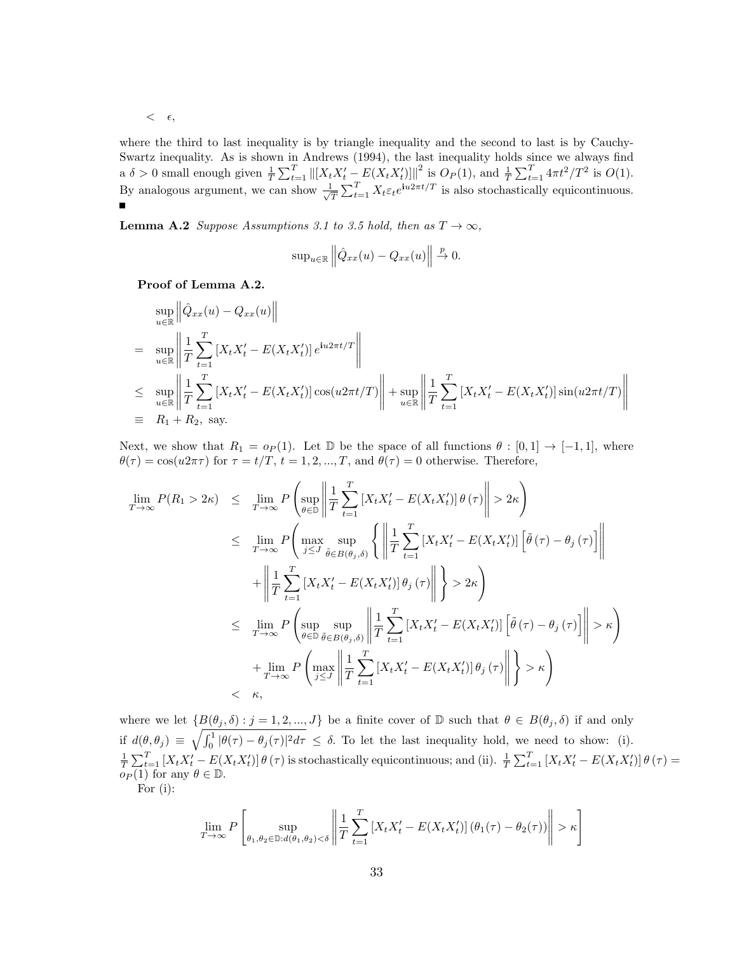$<$   $\epsilon$ ,

where the third to last inequality is by triangle inequality and the second to last is by Cauchy-Swartz inequality. As is shown in Andrews (1994), the last inequality holds since we always find a  $\delta > 0$  small enough given  $\frac{1}{T} \sum_{t=1}^T ||[X_t X_t' - E(X_t X_t')]||^2$  is  $O_P(1)$ , and  $\frac{1}{T} \sum_{t=1}^T 4\pi t^2 / T^2$  is  $O(1)$ . By analogous argument, we can show  $\frac{1}{\sqrt{2}}$  $\frac{1}{T} \sum_{t=1}^T X_t \varepsilon_t e^{\mathbf{i}u2\pi t/T}$  is also stochastically equicontinuous.

**Lemma A.2** Suppose Assumptions 3.1 to 3.5 hold, then as  $T \to \infty$ ,

$$
\sup_{u \in \mathbb{R}} \left\| \hat{Q}_{xx}(u) - Q_{xx}(u) \right\| \stackrel{p}{\to} 0.
$$

Proof of Lemma A.2.

$$
\sup_{u \in \mathbb{R}} \left\| \hat{Q}_{xx}(u) - Q_{xx}(u) \right\|
$$
\n
$$
= \sup_{u \in \mathbb{R}} \left\| \frac{1}{T} \sum_{t=1}^{T} \left[ X_t X_t' - E(X_t X_t') \right] e^{i u 2 \pi t/T} \right\|
$$
\n
$$
\leq \sup_{u \in \mathbb{R}} \left\| \frac{1}{T} \sum_{t=1}^{T} \left[ X_t X_t' - E(X_t X_t') \right] \cos(u 2 \pi t/T) \right\| + \sup_{u \in \mathbb{R}} \left\| \frac{1}{T} \sum_{t=1}^{T} \left[ X_t X_t' - E(X_t X_t') \right] \sin(u 2 \pi t/T) \right\|
$$
\n
$$
\equiv R_1 + R_2, \text{ say.}
$$

Next, we show that  $R_1 = o_P(1)$ . Let D be the space of all functions  $\theta : [0,1] \rightarrow [-1,1]$ , where  $\theta(\tau) = \cos(u2\pi\tau)$  for  $\tau = t/T$ ,  $t = 1, 2, ..., T$ , and  $\theta(\tau) = 0$  otherwise. Therefore,

$$
\lim_{T \to \infty} P(R_1 > 2\kappa) \leq \lim_{T \to \infty} P\left(\sup_{\theta \in \mathbb{D}} \left\| \frac{1}{T} \sum_{t=1}^T \left[ X_t X_t' - E(X_t X_t') \right] \theta(\tau) \right\| > 2\kappa \right)
$$
\n
$$
\leq \lim_{T \to \infty} P\left(\max_{j \leq J} \sup_{\tilde{\theta} \in B(\theta_j, \delta)} \left\{ \left\| \frac{1}{T} \sum_{t=1}^T \left[ X_t X_t' - E(X_t X_t') \right] \left[ \tilde{\theta}(\tau) - \theta_j(\tau) \right] \right\| \right.
$$
\n
$$
+ \left\| \frac{1}{T} \sum_{t=1}^T \left[ X_t X_t' - E(X_t X_t') \right] \theta_j(\tau) \right\| \right\} > 2\kappa \right)
$$
\n
$$
\leq \lim_{T \to \infty} P\left(\sup_{\theta \in \mathbb{D}} \sup_{\tilde{\theta} \in B(\theta_j, \delta)} \left\| \frac{1}{T} \sum_{t=1}^T \left[ X_t X_t' - E(X_t X_t') \right] \left[ \tilde{\theta}(\tau) - \theta_j(\tau) \right] \right\| > \kappa \right)
$$
\n
$$
+ \lim_{T \to \infty} P\left(\max_{j \leq J} \left\| \frac{1}{T} \sum_{t=1}^T \left[ X_t X_t' - E(X_t X_t') \right] \theta_j(\tau) \right\| \right\} > \kappa \right)
$$
\n
$$
< \kappa,
$$

where we let  $\{B(\theta_j, \delta) : j = 1, 2, ..., J\}$  be a finite cover of D such that  $\theta \in B(\theta_j, \delta)$  if and only if  $d(\theta, \theta_j) \equiv \sqrt{\int_0^1 |\theta(\tau) - \theta_j(\tau)|^2 d\tau} \leq \delta$ . To let the last inequality hold, we need to show: (i).  $\frac{1}{T}\sum_{t=1}^T [X_tX_t'-E(X_tX_t')]\theta(\tau)$  is stochastically equicontinuous; and (ii).  $\frac{1}{T}\sum_{t=1}^T [X_tX_t'-E(X_tX_t')]\theta(\tau) =$  $o_P(1)$  for any  $\theta \in \mathbb{D}$ .

For (i):

$$
\lim_{T \to \infty} P\left[\sup_{\theta_1, \theta_2 \in \mathbb{D}: d(\theta_1, \theta_2) < \delta} \left\| \frac{1}{T} \sum_{t=1}^T \left[ X_t X_t' - E(X_t X_t') \right] (\theta_1(\tau) - \theta_2(\tau)) \right\| > \kappa \right]
$$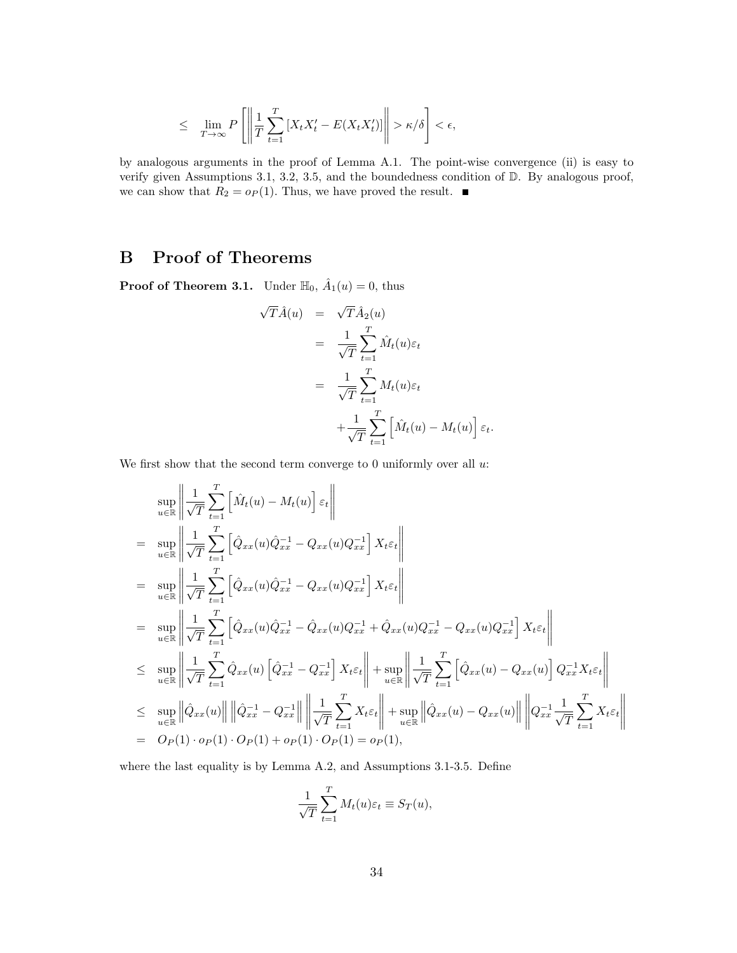$$
\leq \lim_{T \to \infty} P\left[ \left\| \frac{1}{T} \sum_{t=1}^T \left[ X_t X_t' - E(X_t X_t') \right] \right\| > \kappa/\delta \right] < \epsilon,
$$

by analogous arguments in the proof of Lemma A.1. The point-wise convergence (ii) is easy to verify given Assumptions 3.1, 3.2, 3.5, and the boundedness condition of D. By analogous proof, we can show that  $R_2 = o_P(1)$ . Thus, we have proved the result.  $\blacksquare$ 

# B Proof of Theorems

**Proof of Theorem 3.1.** Under  $\mathbb{H}_0$ ,  $\hat{A}_1(u) = 0$ , thus

$$
\begin{split}\n\sqrt{T}\hat{A}(u) &= \sqrt{T}\hat{A}_2(u) \\
&= \frac{1}{\sqrt{T}} \sum_{t=1}^T \hat{M}_t(u)\varepsilon_t \\
&= \frac{1}{\sqrt{T}} \sum_{t=1}^T M_t(u)\varepsilon_t \\
&+ \frac{1}{\sqrt{T}} \sum_{t=1}^T \left[ \hat{M}_t(u) - M_t(u) \right] \varepsilon_t.\n\end{split}
$$

We first show that the second term converge to 0 uniformly over all  $u$ .

$$
\sup_{u \in \mathbb{R}} \left\| \frac{1}{\sqrt{T}} \sum_{t=1}^{T} \left[ \hat{M}_t(u) - M_t(u) \right] \varepsilon_t \right\|
$$
\n
$$
= \sup_{u \in \mathbb{R}} \left\| \frac{1}{\sqrt{T}} \sum_{t=1}^{T} \left[ \hat{Q}_{xx}(u) \hat{Q}_{xx}^{-1} - Q_{xx}(u) Q_{xx}^{-1} \right] X_t \varepsilon_t \right\|
$$
\n
$$
= \sup_{u \in \mathbb{R}} \left\| \frac{1}{\sqrt{T}} \sum_{t=1}^{T} \left[ \hat{Q}_{xx}(u) \hat{Q}_{xx}^{-1} - Q_{xx}(u) Q_{xx}^{-1} \right] X_t \varepsilon_t \right\|
$$
\n
$$
= \sup_{u \in \mathbb{R}} \left\| \frac{1}{\sqrt{T}} \sum_{t=1}^{T} \left[ \hat{Q}_{xx}(u) \hat{Q}_{xx}^{-1} - \hat{Q}_{xx}(u) Q_{xx}^{-1} + \hat{Q}_{xx}(u) Q_{xx}^{-1} - Q_{xx}(u) Q_{xx}^{-1} \right] X_t \varepsilon_t \right\|
$$
\n
$$
\leq \sup_{u \in \mathbb{R}} \left\| \frac{1}{\sqrt{T}} \sum_{t=1}^{T} \hat{Q}_{xx}(u) \left[ \hat{Q}_{xx}^{-1} - Q_{xx}^{-1} \right] X_t \varepsilon_t \right\| + \sup_{u \in \mathbb{R}} \left\| \frac{1}{\sqrt{T}} \sum_{t=1}^{T} \left[ \hat{Q}_{xx}(u) - Q_{xx}(u) \right] Q_{xx}^{-1} X_t \varepsilon_t \right\|
$$
\n
$$
\leq \sup_{u \in \mathbb{R}} \left\| \hat{Q}_{xx}(u) \right\| \left\| \hat{Q}_{xx}^{-1} - Q_{xx}^{-1} \right\| \left\| \frac{1}{\sqrt{T}} \sum_{t=1}^{T} X_t \varepsilon_t \right\| + \sup_{u \in \mathbb{R}} \left\| \hat{Q}_{xx}(u) - Q_{xx}(u) \right\| \left\| Q_{xx}^{-1} \sum_{t=1}^{T} X_t \varepsilon_t \right\|
$$
\n
$$
= O_P(1) \cdot o_P(1) \cdot O_P(1) + o_P(1) \cdot
$$

where the last equality is by Lemma A.2, and Assumptions 3.1-3.5. Define

$$
\frac{1}{\sqrt{T}} \sum_{t=1}^{T} M_t(u) \varepsilon_t \equiv S_T(u),
$$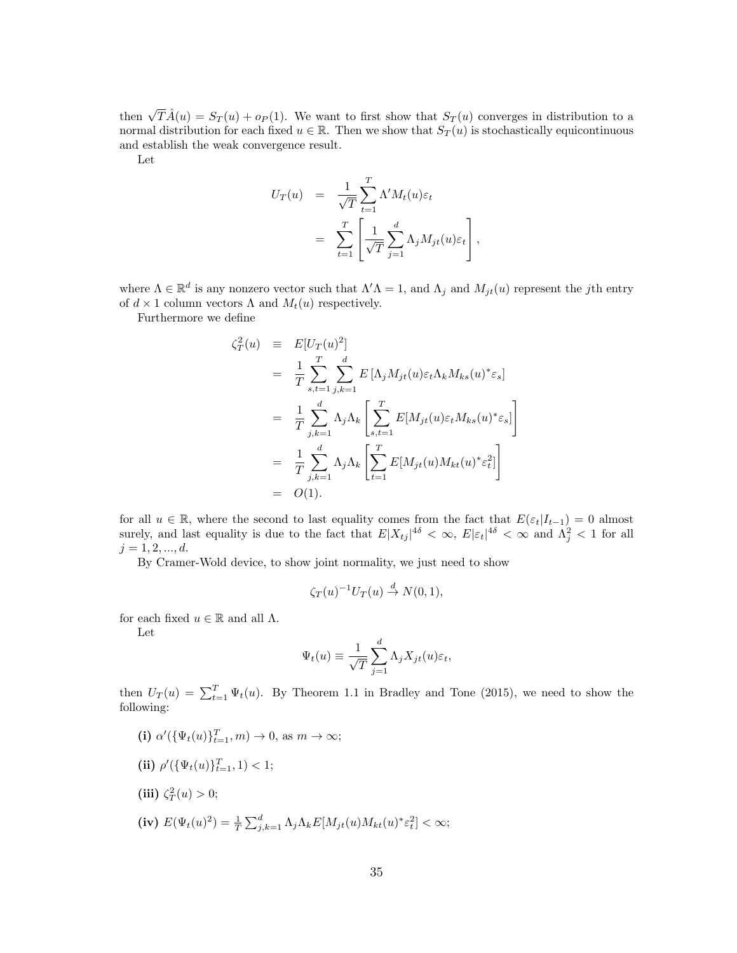then  $\sqrt{T}\hat{A}(u) = S_T(u) + o_P(1)$ . We want to first show that  $S_T(u)$  converges in distribution to a normal distribution for each fixed  $u \in \mathbb{R}$ . Then we show that  $S_T(u)$  is stochastically equicontinuous and establish the weak convergence result.

Let

$$
U_T(u) = \frac{1}{\sqrt{T}} \sum_{t=1}^T \Lambda' M_t(u) \varepsilon_t
$$
  
= 
$$
\sum_{t=1}^T \left[ \frac{1}{\sqrt{T}} \sum_{j=1}^d \Lambda_j M_{jt}(u) \varepsilon_t \right],
$$

where  $\Lambda \in \mathbb{R}^d$  is any nonzero vector such that  $\Lambda' \Lambda = 1$ , and  $\Lambda_j$  and  $M_{jt}(u)$  represent the jth entry of  $d \times 1$  column vectors  $\Lambda$  and  $M_t(u)$  respectively.

Furthermore we define

$$
\begin{split}\n\zeta_T^2(u) & \equiv E[U_T(u)^2] \\
& = \frac{1}{T} \sum_{s,t=1}^T \sum_{j,k=1}^d E\left[\Lambda_j M_{jt}(u) \varepsilon_t \Lambda_k M_{ks}(u)^* \varepsilon_s\right] \\
& = \frac{1}{T} \sum_{j,k=1}^d \Lambda_j \Lambda_k \left[\sum_{s,t=1}^T E[M_{jt}(u) \varepsilon_t M_{ks}(u)^* \varepsilon_s]\right] \\
& = \frac{1}{T} \sum_{j,k=1}^d \Lambda_j \Lambda_k \left[\sum_{t=1}^T E[M_{jt}(u) M_{kt}(u)^* \varepsilon_t^2]\right] \\
& = O(1).\n\end{split}
$$

for all  $u \in \mathbb{R}$ , where the second to last equality comes from the fact that  $E(\varepsilon_t|I_{t-1}) = 0$  almost surely, and last equality is due to the fact that  $E|X_{tj}|^{4\delta} < \infty$ ,  $E|\varepsilon_t|^{4\delta} < \infty$  and  $\Lambda_j^2 < 1$  for all  $j = 1, 2, ..., d$ .

By Cramer-Wold device, to show joint normality, we just need to show

$$
\zeta_T(u)^{-1}U_T(u) \stackrel{d}{\to} N(0,1),
$$

for each fixed  $u \in \mathbb{R}$  and all  $\Lambda$ .

Let

$$
\Psi_t(u) \equiv \frac{1}{\sqrt{T}} \sum_{j=1}^d \Lambda_j X_{jt}(u) \varepsilon_t,
$$

then  $U_T(u) = \sum_{t=1}^T \Psi_t(u)$ . By Theorem 1.1 in Bradley and Tone (2015), we need to show the following:

- (i)  $\alpha'(\{\Psi_t(u)\}_{t=1}^T, m) \to 0$ , as  $m \to \infty$ ;
- (ii)  $\rho'(\{\Psi_t(u)\}_{t=1}^T, 1) < 1;$
- (iii)  $\zeta_T^2(u) > 0;$
- (iv)  $E(\Psi_t(u)^2) = \frac{1}{T} \sum_{j,k=1}^d \Lambda_j \Lambda_k E[M_{jt}(u)M_{kt}(u)^* \varepsilon_t^2] < \infty;$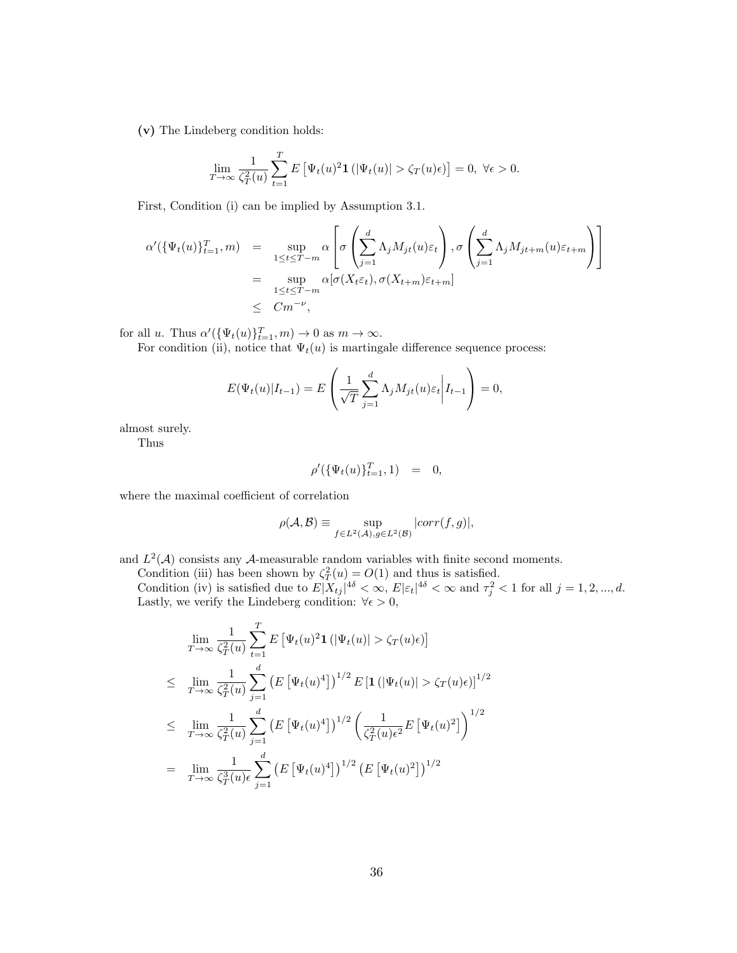(v) The Lindeberg condition holds:

$$
\lim_{T \to \infty} \frac{1}{\zeta_T^2(u)} \sum_{t=1}^T E\left[\Psi_t(u)^2 \mathbf{1}\left(|\Psi_t(u)| > \zeta_T(u)\epsilon\right)\right] = 0, \ \forall \epsilon > 0.
$$

First, Condition (i) can be implied by Assumption 3.1.

$$
\alpha'(\{\Psi_t(u)\}_{t=1}^T, m) = \sup_{1 \le t \le T-m} \alpha \left[ \sigma \left( \sum_{j=1}^d \Lambda_j M_{jt}(u) \varepsilon_t \right), \sigma \left( \sum_{j=1}^d \Lambda_j M_{jt+m}(u) \varepsilon_{t+m} \right) \right]
$$
  

$$
= \sup_{1 \le t \le T-m} \alpha [\sigma(X_t \varepsilon_t), \sigma(X_{t+m}) \varepsilon_{t+m}]
$$
  

$$
\le Cm^{-\nu},
$$

for all u. Thus  $\alpha'(\{\Psi_t(u)\}_{t=1}^T, m) \to 0$  as  $m \to \infty$ .

For condition (ii), notice that  $\Psi_t(u)$  is martingale difference sequence process:

$$
E(\Psi_t(u)|I_{t-1}) = E\left(\frac{1}{\sqrt{T}}\sum_{j=1}^d \Lambda_j M_{jt}(u)\varepsilon_t \middle| I_{t-1}\right) = 0,
$$

almost surely.

Thus

$$
\rho'(\{\Psi_t(u)\}_{t=1}^T, 1) = 0,
$$

where the maximal coefficient of correlation

$$
\rho(\mathcal{A}, \mathcal{B}) \equiv \sup_{f \in L^2(\mathcal{A}), g \in L^2(\mathcal{B})} |corr(f, g)|,
$$

and  $L^2(\mathcal{A})$  consists any  $\mathcal{A}$ -measurable random variables with finite second moments.

Condition (iii) has been shown by  $\zeta_T^2(u) = O(1)$  and thus is satisfied.

Condition (iv) is satisfied due to  $E|X_{tj}|^{4\delta} < \infty$ ,  $E|\varepsilon_t|^{4\delta} < \infty$  and  $\tau_j^2 < 1$  for all  $j = 1, 2, ..., d$ . Lastly, we verify the Lindeberg condition:  $\forall \epsilon > 0$ ,

$$
\lim_{T \to \infty} \frac{1}{\zeta_T^2(u)} \sum_{t=1}^T E \left[ \Psi_t(u)^2 \mathbf{1} \left( |\Psi_t(u)| > \zeta_T(u)\epsilon \right) \right]
$$
\n
$$
\leq \lim_{T \to \infty} \frac{1}{\zeta_T^2(u)} \sum_{j=1}^d \left( E \left[ \Psi_t(u)^4 \right] \right)^{1/2} E \left[ \mathbf{1} \left( |\Psi_t(u)| > \zeta_T(u)\epsilon \right) \right]^{1/2}
$$
\n
$$
\leq \lim_{T \to \infty} \frac{1}{\zeta_T^2(u)} \sum_{j=1}^d \left( E \left[ \Psi_t(u)^4 \right] \right)^{1/2} \left( \frac{1}{\zeta_T^2(u)\epsilon^2} E \left[ \Psi_t(u)^2 \right] \right)^{1/2}
$$
\n
$$
= \lim_{T \to \infty} \frac{1}{\zeta_T^3(u)\epsilon} \sum_{j=1}^d \left( E \left[ \Psi_t(u)^4 \right] \right)^{1/2} \left( E \left[ \Psi_t(u)^2 \right] \right)^{1/2}
$$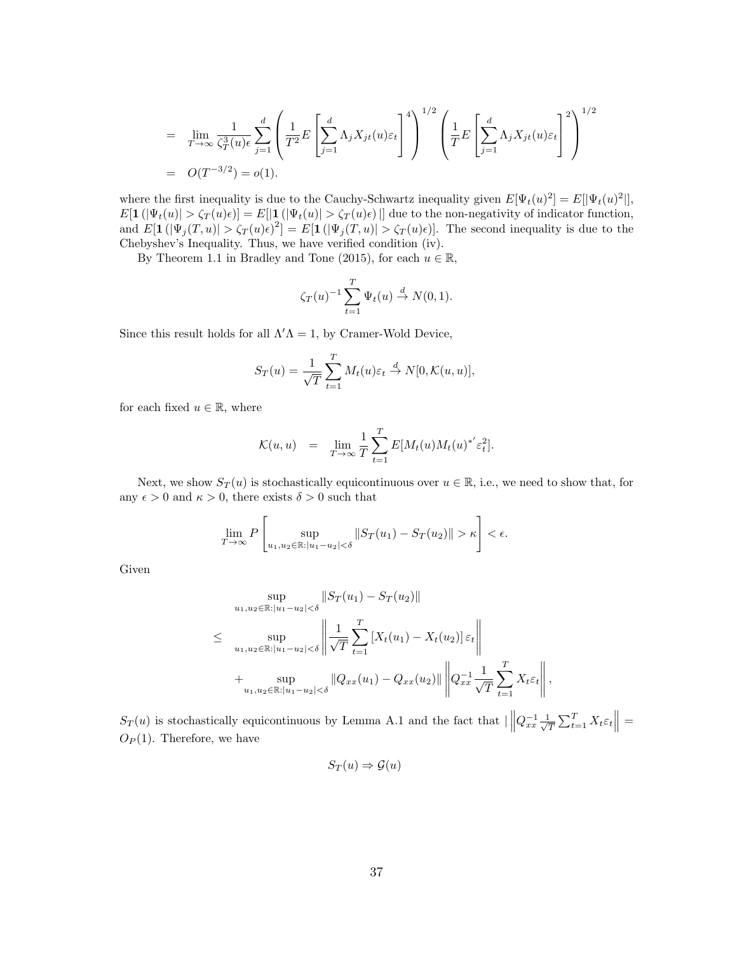$$
= \lim_{T \to \infty} \frac{1}{\zeta_T^3(u)} \sum_{j=1}^d \left( \frac{1}{T^2} E\left[\sum_{j=1}^d \Lambda_j X_{jt}(u) \varepsilon_t \right]^4 \right)^{1/2} \left( \frac{1}{T} E\left[\sum_{j=1}^d \Lambda_j X_{jt}(u) \varepsilon_t \right]^2 \right)^{1/2}
$$
  
=  $O(T^{-3/2}) = o(1).$ 

where the first inequality is due to the Cauchy-Schwartz inequality given  $E[\Psi_t(u)^2] = E[|\Psi_t(u)^2|]$ ,  $E[\mathbf{1}(|\Psi_t(u)| > \zeta_T(u)\epsilon)] = E[|\mathbf{1}(|\Psi_t(u)| > \zeta_T(u)\epsilon)]$  due to the non-negativity of indicator function, and  $E[\mathbf{1}(|\Psi_j(T, u)| > \zeta_T(u)\epsilon)^2] = E[\mathbf{1}(|\Psi_j(T, u)| > \zeta_T(u)\epsilon)].$  The second inequality is due to the Chebyshev's Inequality. Thus, we have verified condition (iv).

By Theorem 1.1 in Bradley and Tone (2015), for each  $u \in \mathbb{R}$ ,

$$
\zeta_T(u)^{-1} \sum_{t=1}^T \Psi_t(u) \stackrel{d}{\to} N(0,1).
$$

Since this result holds for all  $\Lambda' \Lambda = 1$ , by Cramer-Wold Device,

$$
S_T(u) = \frac{1}{\sqrt{T}} \sum_{t=1}^T M_t(u) \varepsilon_t \stackrel{d}{\to} N[0, \mathcal{K}(u, u)],
$$

for each fixed  $u \in \mathbb{R}$ , where

$$
\mathcal{K}(u, u) = \lim_{T \to \infty} \frac{1}{T} \sum_{t=1}^{T} E[M_t(u) M_t(u)^{*'} \varepsilon_t^2].
$$

Next, we show  $S_T(u)$  is stochastically equicontinuous over  $u \in \mathbb{R}$ , i.e., we need to show that, for any  $\epsilon > 0$  and  $\kappa > 0$ , there exists  $\delta > 0$  such that

$$
\lim_{T \to \infty} P\left[\sup_{u_1, u_2 \in \mathbb{R}: |u_1 - u_2| < \delta} \|S_T(u_1) - S_T(u_2)\| > \kappa\right] < \epsilon.
$$

Given

$$
\sup_{u_1, u_2 \in \mathbb{R}: |u_1 - u_2| < \delta} \|S_T(u_1) - S_T(u_2)\|
$$
\n
$$
\leq \sup_{u_1, u_2 \in \mathbb{R}: |u_1 - u_2| < \delta} \left\| \frac{1}{\sqrt{T}} \sum_{t=1}^T \left[ X_t(u_1) - X_t(u_2) \right] \varepsilon_t \right\|
$$
\n
$$
+ \sup_{u_1, u_2 \in \mathbb{R}: |u_1 - u_2| < \delta} \|Q_{xx}(u_1) - Q_{xx}(u_2)\| \left\| Q_{xx}^{-1} \frac{1}{\sqrt{T}} \sum_{t=1}^T X_t \varepsilon_t \right\|,
$$

 $S_T(u)$  is stochastically equicontinuous by Lemma A.1 and the fact that  $\left|\left|Q_{xx}^{-1}\frac{1}{\sqrt{2}}\right|\right|$  $\frac{1}{T} \sum_{t=1}^T X_t \varepsilon_t \Big\| =$  $O_P(1)$ . Therefore, we have

$$
S_T(u) \Rightarrow \mathcal{G}(u)
$$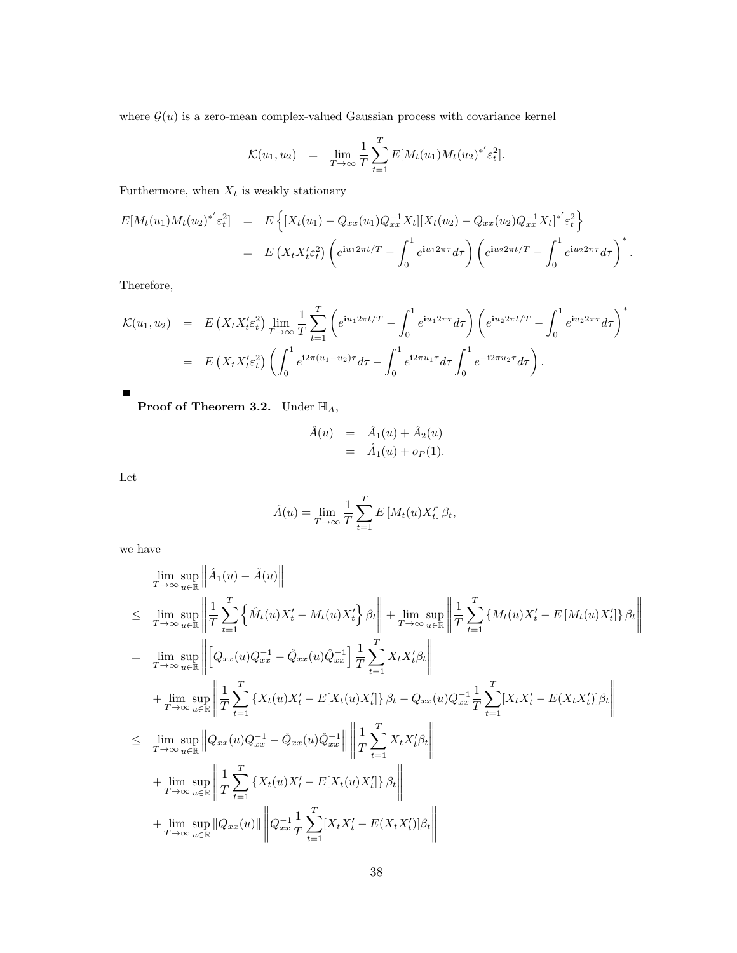where  $\mathcal{G}(u)$  is a zero-mean complex-valued Gaussian process with covariance kernel

$$
\mathcal{K}(u_1, u_2) = \lim_{T \to \infty} \frac{1}{T} \sum_{t=1}^T E[M_t(u_1) M_t(u_2)^{*'} \varepsilon_t^2].
$$

Furthermore, when  $X_t$  is weakly stationary

$$
E[M_t(u_1)M_t(u_2)^{*'}\varepsilon_t^2] = E\left\{ [X_t(u_1) - Q_{xx}(u_1)Q_{xx}^{-1}X_t][X_t(u_2) - Q_{xx}(u_2)Q_{xx}^{-1}X_t]^{*'}\varepsilon_t^2 \right\}
$$
  
= 
$$
E(X_tX_t'\varepsilon_t^2)\left(e^{iu_12\pi t/T} - \int_0^1 e^{iu_12\pi \tau}d\tau\right)\left(e^{iu_22\pi t/T} - \int_0^1 e^{iu_22\pi \tau}d\tau\right)^*.
$$

Therefore,

$$
\mathcal{K}(u_1, u_2) = E\left(X_t X_t' \varepsilon_t^2\right) \lim_{T \to \infty} \frac{1}{T} \sum_{t=1}^T \left(e^{i u_1 2\pi t/T} - \int_0^1 e^{i u_1 2\pi \tau} d\tau\right) \left(e^{i u_2 2\pi t/T} - \int_0^1 e^{i u_2 2\pi \tau} d\tau\right)^*
$$
  
= 
$$
E\left(X_t X_t' \varepsilon_t^2\right) \left(\int_0^1 e^{i 2\pi (u_1 - u_2)\tau} d\tau - \int_0^1 e^{i 2\pi u_1 \tau} d\tau \int_0^1 e^{-i 2\pi u_2 \tau} d\tau\right).
$$

**Proof of Theorem 3.2.** Under  $\mathbb{H}_A$ ,

$$
\hat{A}(u) = \hat{A}_1(u) + \hat{A}_2(u) \n= \hat{A}_1(u) + o_P(1).
$$

Let

 $\blacksquare$ 

$$
\tilde{A}(u) = \lim_{T \to \infty} \frac{1}{T} \sum_{t=1}^{T} E\left[M_t(u)X_t'\right]\beta_t,
$$

we have

$$
\lim_{T \to \infty} \sup_{u \in \mathbb{R}} \left\| \hat{A}_1(u) - \tilde{A}(u) \right\| \n\leq \lim_{T \to \infty} \sup_{u \in \mathbb{R}} \left\| \frac{1}{T} \sum_{t=1}^T \left\{ \hat{M}_t(u) X_t' - M_t(u) X_t' \right\} \beta_t \right\| + \lim_{T \to \infty} \sup_{u \in \mathbb{R}} \left\| \frac{1}{T} \sum_{t=1}^T \left\{ M_t(u) X_t' - E\left[ M_t(u) X_t' \right] \right\} \beta_t \right\| \n= \lim_{T \to \infty} \sup_{u \in \mathbb{R}} \left\| \left[ Q_{xx}(u) Q_{xx}^{-1} - \hat{Q}_{xx}(u) \hat{Q}_{xx}^{-1} \right] \frac{1}{T} \sum_{t=1}^T X_t X_t' \beta_t \right\| \n+ \lim_{T \to \infty} \sup_{u \in \mathbb{R}} \left\| \frac{1}{T} \sum_{t=1}^T \left\{ X_t(u) X_t' - E[X_t(u) X_t'] \right\} \beta_t - Q_{xx}(u) Q_{xx}^{-1} \frac{1}{T} \sum_{t=1}^T \left[ X_t X_t' - E(X_t X_t') \right] \beta_t \right\| \n\leq \lim_{T \to \infty} \sup_{u \in \mathbb{R}} \left\| Q_{xx}(u) Q_{xx}^{-1} - \hat{Q}_{xx}(u) \hat{Q}_{xx}^{-1} \right\| \left\| \frac{1}{T} \sum_{t=1}^T X_t X_t' \beta_t \right\| \n+ \lim_{T \to \infty} \sup_{u \in \mathbb{R}} \left\| \frac{1}{T} \sum_{t=1}^T \left\{ X_t(u) X_t' - E[X_t(u) X_t'] \right\} \beta_t \right\| \n+ \lim_{T \to \infty} \sup_{u \in \mathbb{R}} \left\| Q_{xx}(u) \right\| \left\| Q_{xx}^{-1} \frac{1}{T} \sum_{t=1}^T \left[ X_t X_t' - E(X_t X_t') \right] \beta_t \right\|
$$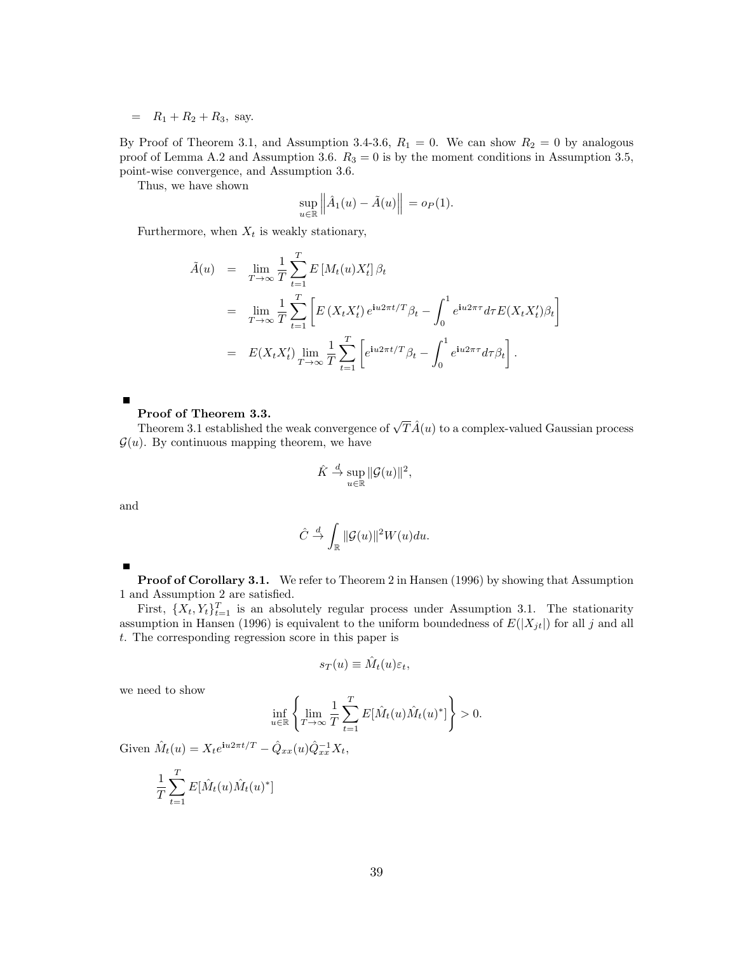$= R_1 + R_2 + R_3$ , say.

By Proof of Theorem 3.1, and Assumption 3.4-3.6,  $R_1 = 0$ . We can show  $R_2 = 0$  by analogous proof of Lemma A.2 and Assumption 3.6.  $R_3 = 0$  is by the moment conditions in Assumption 3.5, point-wise convergence, and Assumption 3.6.

Thus, we have shown

$$
\sup_{u \in \mathbb{R}} \left\| \hat{A}_1(u) - \tilde{A}(u) \right\| = o_P(1).
$$

Furthermore, when  $X_t$  is weakly stationary,

$$
\tilde{A}(u) = \lim_{T \to \infty} \frac{1}{T} \sum_{t=1}^{T} E\left[M_t(u)X_t'\right] \beta_t
$$
\n
$$
= \lim_{T \to \infty} \frac{1}{T} \sum_{t=1}^{T} \left[ E\left(X_t X_t'\right) e^{i u 2\pi t/T} \beta_t - \int_0^1 e^{i u 2\pi \tau} d\tau E(X_t X_t') \beta_t \right]
$$
\n
$$
= E(X_t X_t') \lim_{T \to \infty} \frac{1}{T} \sum_{t=1}^{T} \left[ e^{i u 2\pi t/T} \beta_t - \int_0^1 e^{i u 2\pi \tau} d\tau \beta_t \right].
$$

#### Proof of Theorem 3.3.

**Proot of Theorem 3.3.**<br>Theorem 3.1 established the weak convergence of  $\sqrt{T}\hat{A}(u)$  to a complex-valued Gaussian process  $\mathcal{G}(u)$ . By continuous mapping theorem, we have

$$
\hat{K} \stackrel{d}{\to} \sup_{u \in \mathbb{R}} \|\mathcal{G}(u)\|^2,
$$

and

П

$$
\hat{C} \stackrel{d}{\to} \int_{\mathbb{R}} ||\mathcal{G}(u)||^2 W(u) du.
$$

Proof of Corollary 3.1. We refer to Theorem 2 in Hansen (1996) by showing that Assumption 1 and Assumption 2 are satisfied.

First,  $\{X_t, Y_t\}_{t=1}^T$  is an absolutely regular process under Assumption 3.1. The stationarity assumption in Hansen (1996) is equivalent to the uniform boundedness of  $E(|X_{jt}|)$  for all j and all t. The corresponding regression score in this paper is

$$
s_T(u) \equiv \hat{M}_t(u)\varepsilon_t,
$$

we need to show

$$
\inf_{u \in \mathbb{R}} \left\{ \lim_{T \to \infty} \frac{1}{T} \sum_{t=1}^{T} E[\hat{M}_t(u)\hat{M}_t(u)^*] \right\} > 0.
$$

Given  $\hat{M}_t(u) = X_t e^{iu2\pi t/T} - \hat{Q}_{xx}(u)\hat{Q}_{xx}^{-1}X_t,$ 

$$
\frac{1}{T} \sum_{t=1}^{T} E[\hat{M}_t(u)\hat{M}_t(u)^*]
$$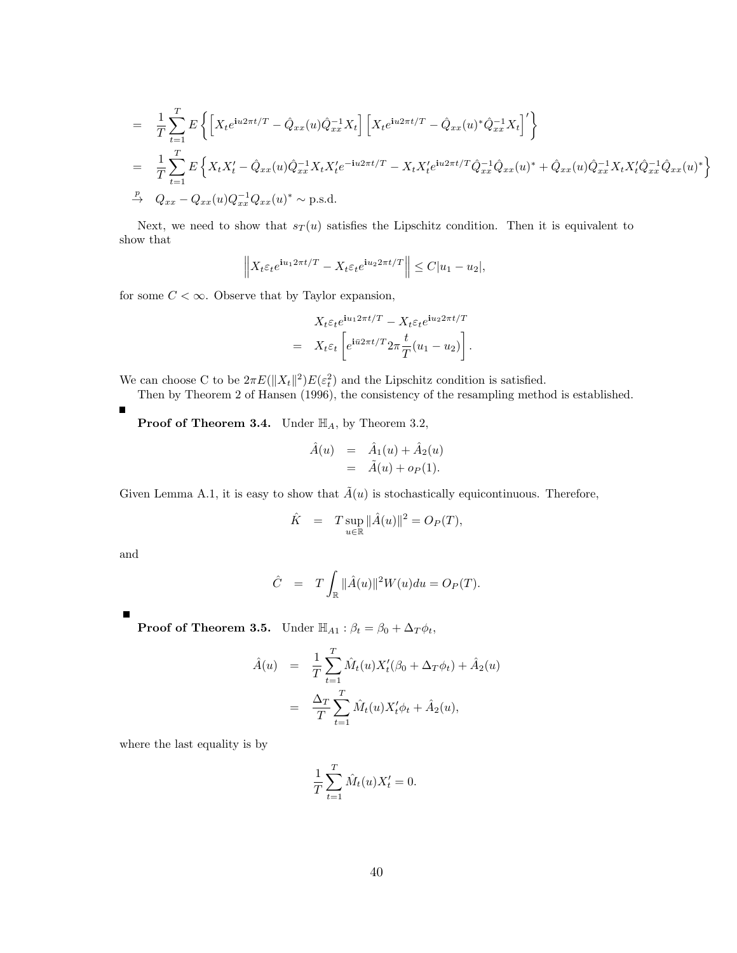$$
= \frac{1}{T} \sum_{t=1}^{T} E \left\{ \left[ X_t e^{i u 2\pi t/T} - \hat{Q}_{xx}(u) \hat{Q}_{xx}^{-1} X_t \right] \left[ X_t e^{i u 2\pi t/T} - \hat{Q}_{xx}(u)^* \hat{Q}_{xx}^{-1} X_t \right]' \right\}
$$
  
\n
$$
= \frac{1}{T} \sum_{t=1}^{T} E \left\{ X_t X_t' - \hat{Q}_{xx}(u) \hat{Q}_{xx}^{-1} X_t X_t' e^{-i u 2\pi t/T} - X_t X_t' e^{i u 2\pi t/T} \hat{Q}_{xx}^{-1} \hat{Q}_{xx}(u)^* + \hat{Q}_{xx}(u) \hat{Q}_{xx}^{-1} X_t X_t' \hat{Q}_{xx}^{-1} \hat{Q}_{xx}(u)^* \right\}
$$
  
\n
$$
\stackrel{P}{\rightarrow} Q_{xx} - Q_{xx}(u) Q_{xx}^{-1} Q_{xx}(u)^* \sim \text{p.s.d.}
$$

Next, we need to show that  $s_T(u)$  satisfies the Lipschitz condition. Then it is equivalent to show that

$$
\left\| X_t \varepsilon_t e^{\mathbf{i} u_1 2\pi t/T} - X_t \varepsilon_t e^{\mathbf{i} u_2 2\pi t/T} \right\| \le C|u_1 - u_2|,
$$

for some  $C < \infty$ . Observe that by Taylor expansion,

$$
X_t \varepsilon_t e^{\mathbf{i}u_1 2\pi t/T} - X_t \varepsilon_t e^{\mathbf{i}u_2 2\pi t/T}
$$
  
= 
$$
X_t \varepsilon_t \left[ e^{\mathbf{i} \bar{u} 2\pi t/T} 2\pi \frac{t}{T} (u_1 - u_2) \right].
$$

We can choose C to be  $2\pi E(||X_t||^2)E(\varepsilon_t^2)$  and the Lipschitz condition is satisfied.

Then by Theorem 2 of Hansen (1996), the consistency of the resampling method is established.

**Proof of Theorem 3.4.** Under  $\mathbb{H}_A$ , by Theorem 3.2,

$$
\hat{A}(u) = \hat{A}_1(u) + \hat{A}_2(u)
$$
  
= 
$$
\tilde{A}(u) + o_P(1).
$$

Given Lemma A.1, it is easy to show that  $\tilde{A}(u)$  is stochastically equicontinuous. Therefore,

$$
\hat{K} = T \sup_{u \in \mathbb{R}} ||\hat{A}(u)||^2 = O_P(T),
$$

and

$$
\hat{C} = T \int_{\mathbb{R}} ||\hat{A}(u)||^2 W(u) du = O_P(T).
$$

**Proof of Theorem 3.5.** Under  $\mathbb{H}_{A1}$ :  $\beta_t = \beta_0 + \Delta_T \phi_t$ ,

$$
\hat{A}(u) = \frac{1}{T} \sum_{t=1}^{T} \hat{M}_t(u) X'_t(\beta_0 + \Delta_T \phi_t) + \hat{A}_2(u) \n= \frac{\Delta_T}{T} \sum_{t=1}^{T} \hat{M}_t(u) X'_t \phi_t + \hat{A}_2(u),
$$

where the last equality is by

$$
\frac{1}{T} \sum_{t=1}^T \hat{M}_t(u) X'_t = 0.
$$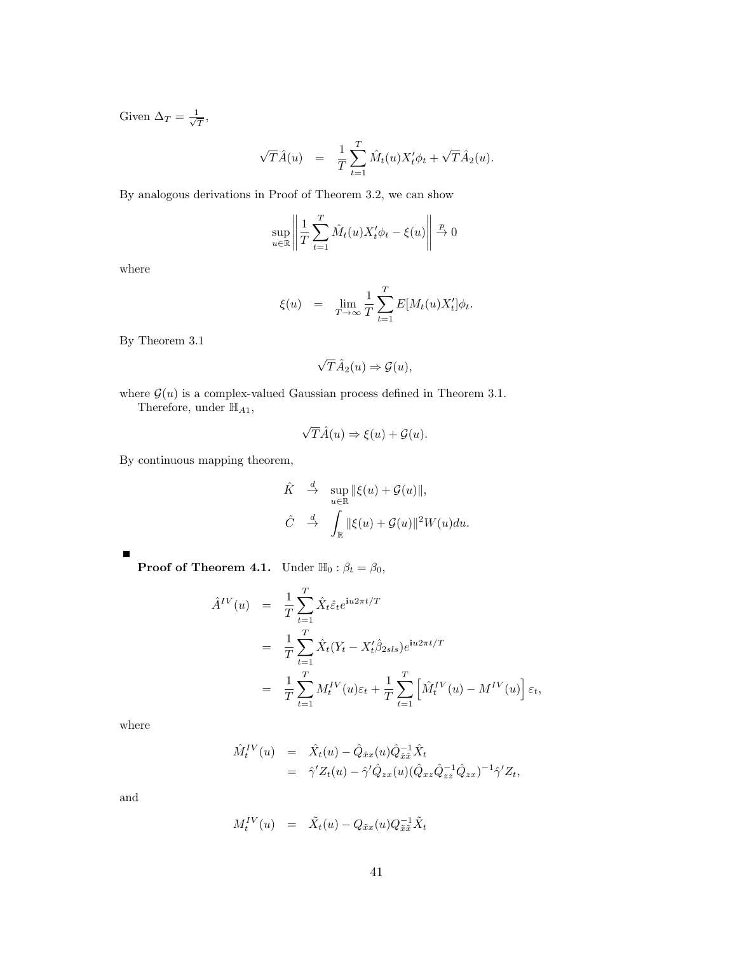Given  $\Delta_T = \frac{1}{\sqrt{2}}$  $\frac{\mathbb{I}}{T},$ 

$$
\sqrt{T}\hat{A}(u) = \frac{1}{T} \sum_{t=1}^{T} \hat{M}_t(u) X_t' \phi_t + \sqrt{T} \hat{A}_2(u).
$$

By analogous derivations in Proof of Theorem 3.2, we can show

$$
\sup_{u \in \mathbb{R}} \left\| \frac{1}{T} \sum_{t=1}^{T} \hat{M}_t(u) X_t' \phi_t - \xi(u) \right\| \xrightarrow{p} 0
$$

where

$$
\xi(u) = \lim_{T \to \infty} \frac{1}{T} \sum_{t=1}^{T} E[M_t(u) X'_t] \phi_t.
$$

By Theorem 3.1

$$
\sqrt{T}\hat{A}_2(u) \Rightarrow \mathcal{G}(u),
$$

where  $\mathcal{G}(u)$  is a complex-valued Gaussian process defined in Theorem 3.1. Therefore, under  $\mathbb{H}_{A1},$ 

$$
\sqrt{T}\hat{A}(u) \Rightarrow \xi(u) + \mathcal{G}(u).
$$

By continuous mapping theorem,

$$
\hat{K} \stackrel{d}{\to} \sup_{u \in \mathbb{R}} \|\xi(u) + \mathcal{G}(u)\|,
$$
  

$$
\hat{C} \stackrel{d}{\to} \int_{\mathbb{R}} \|\xi(u) + \mathcal{G}(u)\|^2 W(u) du.
$$

 $\blacksquare$ 

**Proof of Theorem 4.1.** Under  $\mathbb{H}_0 : \beta_t = \beta_0$ ,

$$
\hat{A}^{IV}(u) = \frac{1}{T} \sum_{t=1}^{T} \hat{X}_t \hat{\varepsilon}_t e^{iu2\pi t/T}
$$
\n
$$
= \frac{1}{T} \sum_{t=1}^{T} \hat{X}_t (Y_t - X_t' \hat{\beta}_{2sls}) e^{iu2\pi t/T}
$$
\n
$$
= \frac{1}{T} \sum_{t=1}^{T} M_t^{IV}(u) \varepsilon_t + \frac{1}{T} \sum_{t=1}^{T} \left[ \hat{M}_t^{IV}(u) - M^{IV}(u) \right] \varepsilon_t,
$$

where

$$
\hat{M}_{t}^{IV}(u) = \hat{X}_{t}(u) - \hat{Q}_{\hat{x}x}(u)\hat{Q}_{\hat{x}\hat{x}}^{-1}\hat{X}_{t} \n= \hat{\gamma}'Z_{t}(u) - \hat{\gamma}'\hat{Q}_{zx}(u)(\hat{Q}_{xz}\hat{Q}_{zz}^{-1}\hat{Q}_{zx})^{-1}\hat{\gamma}'Z_{t},
$$

and

$$
M_t^{IV}(u) = \tilde{X}_t(u) - Q_{\tilde{x}x}(u)Q_{\tilde{x}\tilde{x}}^{-1}\tilde{X}_t
$$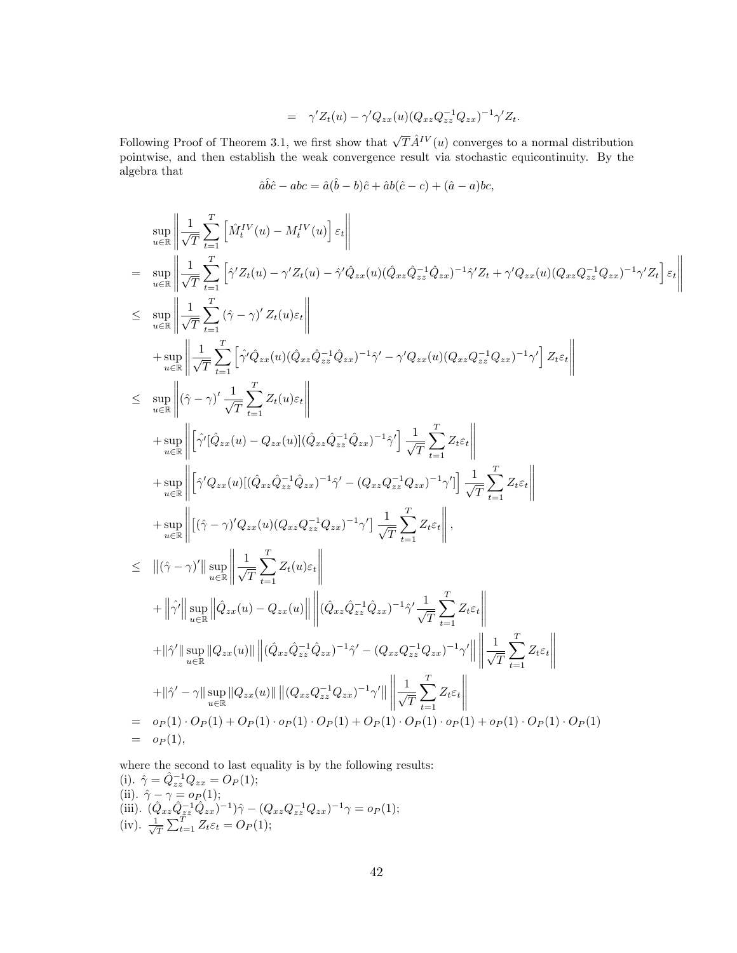$$
= \gamma' Z_t(u) - \gamma' Q_{zx}(u) (Q_{xz} Q_{zz}^{-1} Q_{zx})^{-1} \gamma' Z_t.
$$

Following Proof of Theorem 3.1, we first show that  $\sqrt{T} \hat{A}^{IV}(u)$  converges to a normal distribution pointwise, and then establish the weak convergence result via stochastic equicontinuity. By the algebra that

$$
\hat{a}\hat{b}\hat{c} - abc = \hat{a}(\hat{b} - b)\hat{c} + \hat{a}b(\hat{c} - c) + (\hat{a} - a)bc,
$$

$$
\sup_{u \in \mathbb{R}} \left\| \frac{1}{\sqrt{T}} \sum_{t=1}^{T} \left[ \hat{M}_{t}^{IV}(u) - M_{t}^{IV}(u) \right] \varepsilon_{t} \right\|
$$
\n
$$
= \sup_{u \in \mathbb{R}} \left\| \frac{1}{\sqrt{T}} \sum_{t=1}^{T} \left[ \hat{\gamma}' Z_{t}(u) - \gamma' Z_{t}(u) - \hat{\gamma}' \hat{Q}_{zx}(u) (\hat{Q}_{xz} \hat{Q}_{zz}^{-1} \hat{Q}_{zx})^{-1} \hat{\gamma}' Z_{t} + \gamma' Q_{zx}(u) (Q_{xz} Q_{zz}^{-1} Q_{zx})^{-1} \gamma' Z_{t} \right] \varepsilon_{t} \right\|
$$
\n
$$
\leq \sup_{u \in \mathbb{R}} \left\| \frac{1}{\sqrt{T}} \sum_{t=1}^{T} \left[ \hat{\gamma}' \hat{Q}_{zx}(u) (\hat{Q}_{xz} \hat{Q}_{zz}^{-1} \hat{Q}_{zx})^{-1} \hat{\gamma}' - \gamma' Q_{zx}(u) (Q_{xz} Q_{zz}^{-1} Q_{zx})^{-1} \gamma' \right] Z_{t} \varepsilon_{t} \right\|
$$
\n
$$
\leq \sup_{u \in \mathbb{R}} \left\| (\hat{\gamma} - \gamma)' \frac{1}{\sqrt{T}} \sum_{t=1}^{T} Z_{t}(u) \varepsilon_{t} \right\|
$$
\n
$$
+ \sup_{u \in \mathbb{R}} \left\| \left[ \hat{\gamma}' (\hat{Q}_{zx}(u) - Q_{zx}(u)) ((\hat{Q}_{xz} \hat{Q}_{zz}^{-1} \hat{Q}_{zx})^{-1} \hat{\gamma}' \right] \frac{1}{\sqrt{T}} \sum_{t=1}^{T} Z_{t} \varepsilon_{t} \right\|
$$
\n
$$
+ \sup_{u \in \mathbb{R}} \left\| \left[ (\hat{\gamma} - \gamma)' Q_{zx}(u) ((Q_{xz} \hat{Q}_{zz}^{-1} \hat{Q}_{zx})^{-1} \hat{\gamma}' - (Q_{xz} Q_{zz}^{-1} Q_{zx})^{-1} \gamma' \right] \frac{1}{\sqrt{T}} \sum_{t=1}^{T} Z_{t} \varepsilon_{t} \right\|
$$
\n
$$
+ \sup_{u \in \mathbb{R}} \left\| (\hat{\gamma} - \gamma)' Q_{zx}(
$$

where the second to last equality is by the following results: (i).  $\hat{\gamma} = \hat{Q}_{zz}^{-1} Q_{zx} = O_P(1);$ (ii).  $\hat{\gamma} - \gamma = o_P(1);$ (iii).  $(\hat{Q}_{xz}\hat{Q}_{zz}^{-1}\hat{Q}_{zx})^{-1})\hat{\gamma} - (Q_{xz}Q_{zz}^{-1}Q_{zx})^{-1}\gamma = o_P(1);$  $(iv). \frac{1}{\sqrt{2}}$  $\frac{1}{T} \sum_{t=1}^{T} Z_t \varepsilon_t = O_P(1);$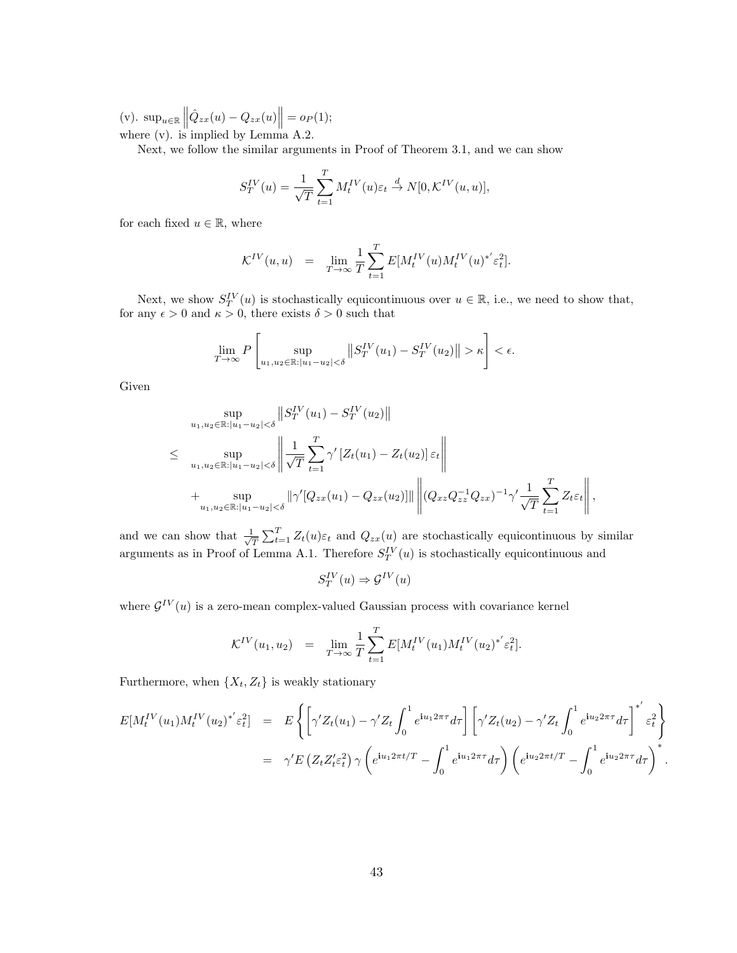(v).  $\sup_{u \in \mathbb{R}} ||\hat{Q}_{zx}(u) - Q_{zx}(u)|| = o_P(1);$ where  $(v)$ . is implied by Lemma A.2.

Next, we follow the similar arguments in Proof of Theorem 3.1, and we can show

$$
S_T^{IV}(u) = \frac{1}{\sqrt{T}} \sum_{t=1}^T M_t^{IV}(u) \varepsilon_t \stackrel{d}{\to} N[0, \mathcal{K}^{IV}(u, u)],
$$

for each fixed  $u \in \mathbb{R}$ , where

$$
\mathcal{K}^{IV}(u,u) \quad = \quad \lim_{T \rightarrow \infty} \frac{1}{T} \sum_{t=1}^T E[M_t^{IV}(u) M_t^{IV}(u)^{*'} \varepsilon_t^2].
$$

Next, we show  $S_T^{IV}(u)$  is stochastically equicontinuous over  $u \in \mathbb{R}$ , i.e., we need to show that, for any  $\epsilon > 0$  and  $\kappa > 0$ , there exists  $\delta > 0$  such that

$$
\lim_{T \to \infty} P\left[\sup_{u_1, u_2 \in \mathbb{R} : |u_1 - u_2| < \delta} \left\| S_T^{IV}(u_1) - S_T^{IV}(u_2) \right\| > \kappa \right] < \epsilon.
$$

Given

$$
\sup_{u_1, u_2 \in \mathbb{R}: |u_1 - u_2| < \delta} \| S_T^{\text{IV}}(u_1) - S_T^{\text{IV}}(u_2) \|
$$
\n
$$
\leq \sup_{u_1, u_2 \in \mathbb{R}: |u_1 - u_2| < \delta} \left\| \frac{1}{\sqrt{T}} \sum_{t=1}^T \gamma' \left[ Z_t(u_1) - Z_t(u_2) \right] \varepsilon_t \right\|
$$
\n
$$
+ \sup_{u_1, u_2 \in \mathbb{R}: |u_1 - u_2| < \delta} \| \gamma' [Q_{zx}(u_1) - Q_{zx}(u_2)] \| \left\| (Q_{xz} Q_{zz}^{-1} Q_{zx})^{-1} \gamma' \frac{1}{\sqrt{T}} \sum_{t=1}^T Z_t \varepsilon_t \right\|,
$$

and we can show that  $\frac{1}{\sqrt{2}}$  $\frac{1}{T} \sum_{t=1}^{T} Z_t(u) \varepsilon_t$  and  $Q_{zx}(u)$  are stochastically equicontinuous by similar arguments as in Proof of Lemma A.1. Therefore  $S_T^{IV}(u)$  is stochastically equicontinuous and

$$
S_T^{IV}(u) \Rightarrow \mathcal{G}^{IV}(u)
$$

where  $\mathcal{G}^{IV}(u)$  is a zero-mean complex-valued Gaussian process with covariance kernel

$$
\mathcal{K}^{IV}(u_1, u_2) = \lim_{T \to \infty} \frac{1}{T} \sum_{t=1}^{T} E[M_t^{IV}(u_1) M_t^{IV}(u_2)^{*'} \varepsilon_t^2].
$$

Furthermore, when  $\{X_t, Z_t\}$  is weakly stationary

$$
E[M_t^{IV}(u_1)M_t^{IV}(u_2)^{*'}\varepsilon_t^2] = E\left\{ \left[ \gamma' Z_t(u_1) - \gamma' Z_t \int_0^1 e^{i u_1 2\pi \tau} d\tau \right] \left[ \gamma' Z_t(u_2) - \gamma' Z_t \int_0^1 e^{i u_2 2\pi \tau} d\tau \right]^{*'} \varepsilon_t^2 \right\}
$$
  

$$
= \gamma' E\left(Z_t Z_t' \varepsilon_t^2\right) \gamma \left( e^{i u_1 2\pi t/T} - \int_0^1 e^{i u_1 2\pi \tau} d\tau \right) \left( e^{i u_2 2\pi t/T} - \int_0^1 e^{i u_2 2\pi \tau} d\tau \right)^*.
$$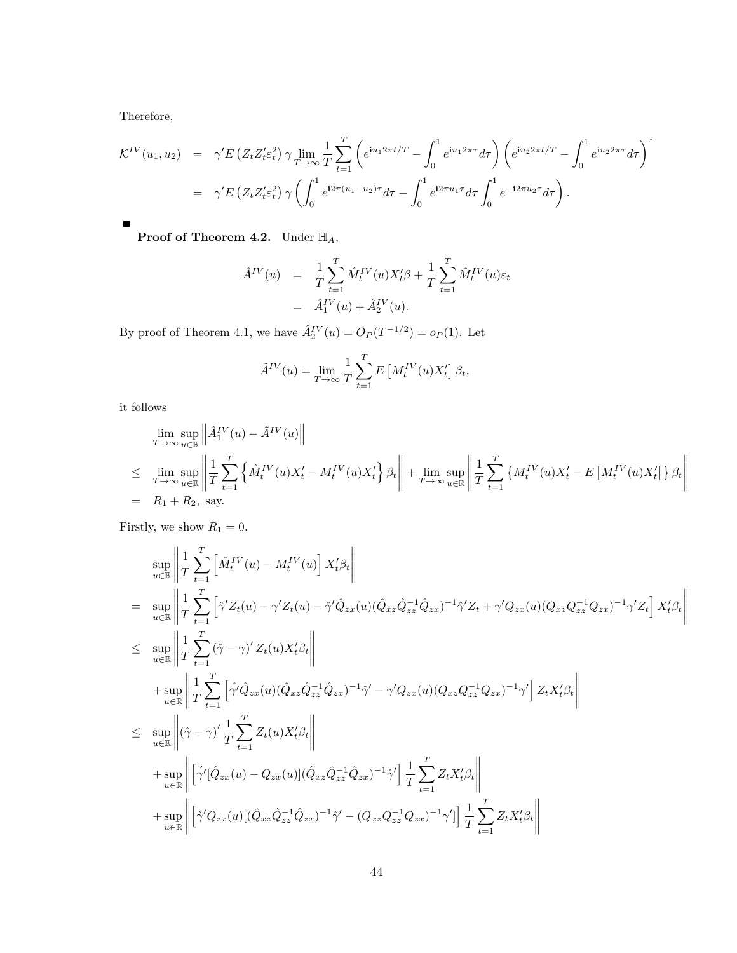Therefore,

$$
\mathcal{K}^{IV}(u_1, u_2) = \gamma' E \left( Z_t Z_t' \varepsilon_t^2 \right) \gamma \lim_{T \to \infty} \frac{1}{T} \sum_{t=1}^T \left( e^{i u_1 2 \pi t/T} - \int_0^1 e^{i u_1 2 \pi \tau} d\tau \right) \left( e^{i u_2 2 \pi t/T} - \int_0^1 e^{i u_2 2 \pi \tau} d\tau \right)^*
$$
  

$$
= \gamma' E \left( Z_t Z_t' \varepsilon_t^2 \right) \gamma \left( \int_0^1 e^{i 2 \pi (u_1 - u_2) \tau} d\tau - \int_0^1 e^{i 2 \pi u_1 \tau} d\tau \int_0^1 e^{-i 2 \pi u_2 \tau} d\tau \right).
$$

**Proof of Theorem 4.2.** Under  $\mathbb{H}_A$ ,

$$
\hat{A}^{IV}(u) = \frac{1}{T} \sum_{t=1}^{T} \hat{M}_t^{IV}(u) X_t^{\prime} \beta + \frac{1}{T} \sum_{t=1}^{T} \hat{M}_t^{IV}(u) \varepsilon_t \n= \hat{A}_1^{IV}(u) + \hat{A}_2^{IV}(u).
$$

By proof of Theorem 4.1, we have  $\hat{A}_{2}^{IV}(u) = O_{P}(T^{-1/2}) = o_{P}(1)$ . Let

$$
\tilde{A}^{IV}(u) = \lim_{T \to \infty} \frac{1}{T} \sum_{t=1}^{T} E\left[M_t^{IV}(u)X_t'\right] \beta_t,
$$

it follows

$$
\lim_{T \to \infty} \sup_{u \in \mathbb{R}} \left\| \hat{A}_1^{IV}(u) - \tilde{A}^{IV}(u) \right\|
$$
\n
$$
\leq \lim_{T \to \infty} \sup_{u \in \mathbb{R}} \left\| \frac{1}{T} \sum_{t=1}^T \left\{ \hat{M}_t^{IV}(u) X_t' - M_t^{IV}(u) X_t' \right\} \beta_t \right\| + \lim_{T \to \infty} \sup_{u \in \mathbb{R}} \left\| \frac{1}{T} \sum_{t=1}^T \left\{ M_t^{IV}(u) X_t' - E\left[ M_t^{IV}(u) X_t' \right] \right\} \beta_t \right\|
$$
\n
$$
= R_1 + R_2, \text{ say.}
$$

Firstly, we show  $R_1 = 0$ .

$$
\sup_{u \in \mathbb{R}} \left\| \frac{1}{T} \sum_{t=1}^{T} \left[ \hat{M}_{t}^{IV}(u) - M_{t}^{IV}(u) \right] X_{t}'\beta_{t} \right\|
$$
\n
$$
= \sup_{u \in \mathbb{R}} \left\| \frac{1}{T} \sum_{t=1}^{T} \left[ \hat{\gamma}' Z_{t}(u) - \gamma' Z_{t}(u) - \hat{\gamma}' \hat{Q}_{zx}(u) (\hat{Q}_{xz} \hat{Q}_{zz}^{-1} \hat{Q}_{zx})^{-1} \hat{\gamma}' Z_{t} + \gamma' Q_{zx}(u) (Q_{xz} Q_{zz}^{-1} Q_{zx})^{-1} \gamma' Z_{t} \right] X_{t}'\beta_{t} \right\|
$$
\n
$$
\leq \sup_{u \in \mathbb{R}} \left\| \frac{1}{T} \sum_{t=1}^{T} (\hat{\gamma} - \gamma)' Z_{t}(u) X_{t}'\beta_{t} \right\|
$$
\n
$$
+ \sup_{u \in \mathbb{R}} \left\| \frac{1}{T} \sum_{t=1}^{T} \left[ \hat{\gamma}' \hat{Q}_{zx}(u) (\hat{Q}_{xz} \hat{Q}_{zz}^{-1} \hat{Q}_{zx})^{-1} \hat{\gamma}' - \gamma' Q_{zx}(u) (Q_{xz} Q_{zz}^{-1} Q_{zx})^{-1} \gamma' \right] Z_{t} X_{t}'\beta_{t} \right\|
$$
\n
$$
\leq \sup_{u \in \mathbb{R}} \left\| (\hat{\gamma} - \gamma)' \frac{1}{T} \sum_{t=1}^{T} Z_{t}(u) X_{t}'\beta_{t} \right\|
$$
\n
$$
+ \sup_{u \in \mathbb{R}} \left\| \left[ \hat{\gamma}' [\hat{Q}_{zx}(u) - Q_{zx}(u)] (\hat{Q}_{xz} \hat{Q}_{zz}^{-1} \hat{Q}_{zx})^{-1} \hat{\gamma}' \right] \frac{1}{T} \sum_{t=1}^{T} Z_{t} X_{t}'\beta_{t} \right\|
$$
\n
$$
+ \sup_{u \in \mathbb{R}} \left\| \left[ \hat{\gamma}' Q_{zx}(u) [ (\hat{Q}_{xz} \hat{Q}_{zz}^{-1} \hat{Q}_{zx})^{-1} \hat{\gamma}' - (Q_{xz} Q_{zz}^{-1} Q_{zx})^{-1} \gamma' \right] \right] \
$$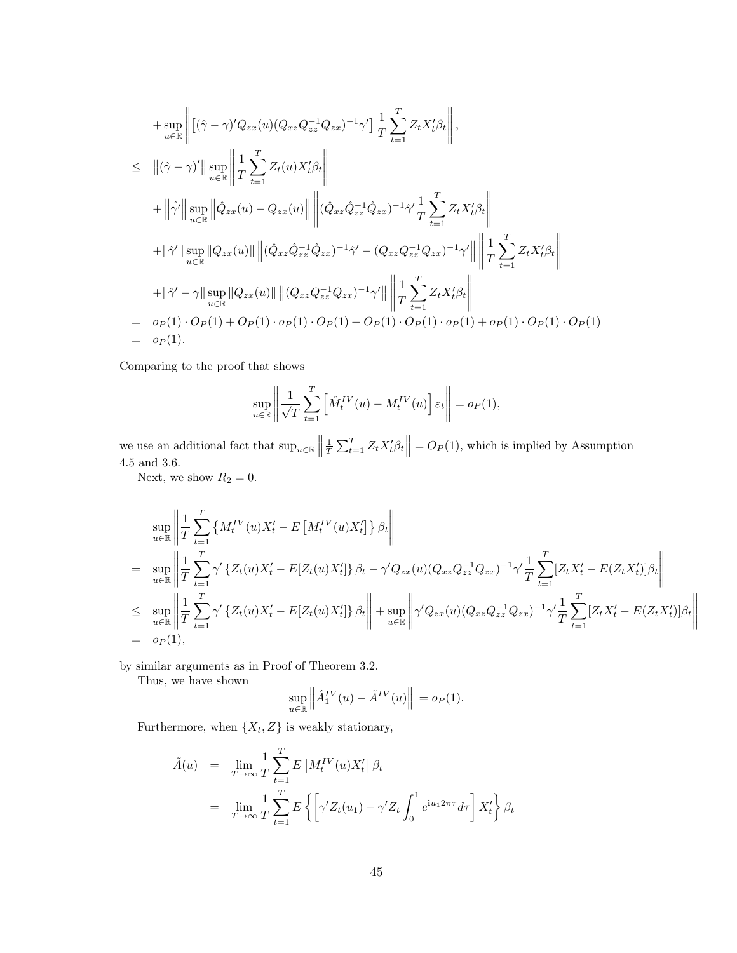+ 
$$
\sup_{u \in \mathbb{R}} \left\| [(\hat{\gamma} - \gamma)' Q_{zx}(u) (Q_{xz} Q_{zz}^{-1} Q_{zx})^{-1} \gamma'] \frac{1}{T} \sum_{t=1}^{T} Z_t X_t' \beta_t \right\|,
$$
  
\n $\leq \|(\hat{\gamma} - \gamma)'\| \sup_{u \in \mathbb{R}} \left\| \frac{1}{T} \sum_{t=1}^{T} Z_t(u) X_t' \beta_t \right\|$   
\n+  $\|\hat{\gamma}'\| \sup_{u \in \mathbb{R}} \left\| \hat{Q}_{zx}(u) - Q_{zx}(u) \right\| \left\| (\hat{Q}_{xz} \hat{Q}_{zz}^{-1} \hat{Q}_{zx})^{-1} \hat{\gamma}' \frac{1}{T} \sum_{t=1}^{T} Z_t X_t' \beta_t \right\|$   
\n+  $\|\hat{\gamma}'\| \sup_{u \in \mathbb{R}} \|Q_{zx}(u)\| \left\| (\hat{Q}_{xz} \hat{Q}_{zz}^{-1} \hat{Q}_{zx})^{-1} \hat{\gamma}' - (Q_{xz} Q_{zz}^{-1} Q_{zx})^{-1} \gamma' \right\| \left\| \frac{1}{T} \sum_{t=1}^{T} Z_t X_t' \beta_t \right\|$   
\n+  $\|\hat{\gamma}' - \gamma\| \sup_{u \in \mathbb{R}} \|Q_{zx}(u)\| \left\| (Q_{xz} Q_{zz}^{-1} Q_{zx})^{-1} \gamma' \right\| \left\| \frac{1}{T} \sum_{t=1}^{T} Z_t X_t' \beta_t \right\|$   
\n=  $o_P(1) \cdot O_P(1) + O_P(1) \cdot o_P(1) \cdot O_P(1) + O_P(1) \cdot O_P(1) \cdot o_P(1) + o_P(1) \cdot O_P(1)$   
\n=  $o_P(1)$ .

Comparing to the proof that shows

$$
\sup_{u \in \mathbb{R}} \left\| \frac{1}{\sqrt{T}} \sum_{t=1}^T \left[ \hat{M}_t^{IV}(u) - M_t^{IV}(u) \right] \varepsilon_t \right\| = o_P(1),
$$

we use an additional fact that  $\sup_{u \in \mathbb{R}}$  ||  $\frac{1}{T} \sum_{t=1}^{T} Z_t X_t' \beta_t \Big\| = O_P(1)$ , which is implied by Assumption 4.5 and 3.6.

Next, we show  $R_2 = 0$ .

$$
\sup_{u \in \mathbb{R}} \left\| \frac{1}{T} \sum_{t=1}^{T} \left\{ M_t^{IV}(u) X_t' - E\left[ M_t^{IV}(u) X_t' \right] \right\} \beta_t \right\|
$$
\n
$$
= \sup_{u \in \mathbb{R}} \left\| \frac{1}{T} \sum_{t=1}^{T} \gamma' \left\{ Z_t(u) X_t' - E[Z_t(u) X_t'] \right\} \beta_t - \gamma' Q_{zx}(u) (Q_{xz} Q_{zz}^{-1} Q_{zx})^{-1} \gamma' \frac{1}{T} \sum_{t=1}^{T} [Z_t X_t' - E(Z_t X_t')] \beta_t \right\|
$$
\n
$$
\leq \sup_{u \in \mathbb{R}} \left\| \frac{1}{T} \sum_{t=1}^{T} \gamma' \left\{ Z_t(u) X_t' - E[Z_t(u) X_t'] \right\} \beta_t \right\| + \sup_{u \in \mathbb{R}} \left\| \gamma' Q_{zx}(u) (Q_{xz} Q_{zz}^{-1} Q_{zx})^{-1} \gamma' \frac{1}{T} \sum_{t=1}^{T} [Z_t X_t' - E(Z_t X_t')] \beta_t \right\|
$$
\n
$$
= o_P(1),
$$

by similar arguments as in Proof of Theorem 3.2.

Thus, we have shown

$$
\sup_{u \in \mathbb{R}} \left\| \hat{A}_1^{IV}(u) - \tilde{A}^{IV}(u) \right\| = o_P(1).
$$

Furthermore, when  $\{X_t, Z\}$  is weakly stationary,

$$
\tilde{A}(u) = \lim_{T \to \infty} \frac{1}{T} \sum_{t=1}^{T} E\left[M_t^{IV}(u)X_t'\right] \beta_t
$$
\n
$$
= \lim_{T \to \infty} \frac{1}{T} \sum_{t=1}^{T} E\left\{ \left[\gamma' Z_t(u_1) - \gamma' Z_t \int_0^1 e^{iu_1 2\pi \tau} d\tau \right] X_t' \right\} \beta_t
$$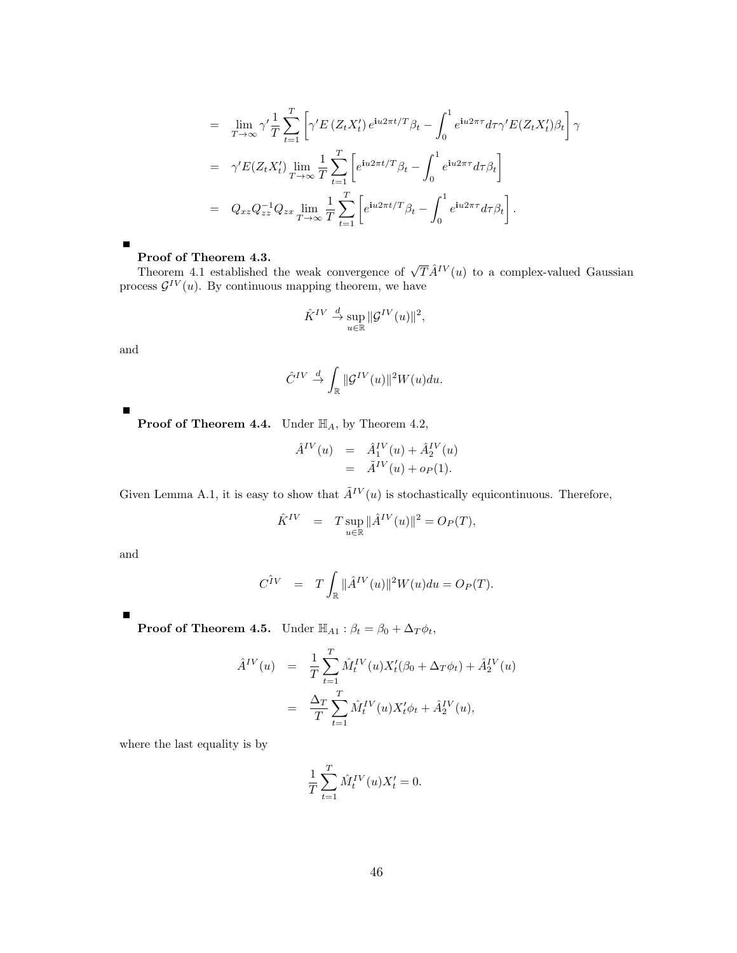$$
= \lim_{T \to \infty} \gamma' \frac{1}{T} \sum_{t=1}^{T} \left[ \gamma' E \left( Z_t X_t' \right) e^{i u 2 \pi t / T} \beta_t - \int_0^1 e^{i u 2 \pi \tau} d\tau \gamma' E(Z_t X_t') \beta_t \right] \gamma
$$
  
\n
$$
= \gamma' E(Z_t X_t') \lim_{T \to \infty} \frac{1}{T} \sum_{t=1}^{T} \left[ e^{i u 2 \pi t / T} \beta_t - \int_0^1 e^{i u 2 \pi \tau} d\tau \beta_t \right]
$$
  
\n
$$
= Q_{xz} Q_{zz}^{-1} Q_{zx} \lim_{T \to \infty} \frac{1}{T} \sum_{t=1}^{T} \left[ e^{i u 2 \pi t / T} \beta_t - \int_0^1 e^{i u 2 \pi \tau} d\tau \beta_t \right].
$$

**Proof of Theorem 4.3.**<br>Theorem 4.1 established the weak convergence of  $\sqrt{T} \hat{A}^{IV}(u)$  to a complex-valued Gaussian process  $\mathcal{G}^{IV}(u)$ . By continuous mapping theorem, we have

$$
\hat{K}^{IV} \stackrel{d}{\to} \sup_{u \in \mathbb{R}} \|\mathcal{G}^{IV}(u)\|^2,
$$

and

$$
\hat{C}^{IV} \stackrel{d}{\to} \int_{\mathbb{R}} \|\mathcal{G}^{IV}(u)\|^2 W(u) du.
$$

**Proof of Theorem 4.4.** Under  $\mathbb{H}_A$ , by Theorem 4.2,

$$
\begin{array}{rcl}\n\hat{A}^{IV}(u) & = & \hat{A}_1^{IV}(u) + \hat{A}_2^{IV}(u) \\
& = & \tilde{A}^{IV}(u) + o_P(1).\n\end{array}
$$

Given Lemma A.1, it is easy to show that  $\tilde{A}^{IV}(u)$  is stochastically equicontinuous. Therefore,

$$
\label{eq:KIV} \begin{array}{rcl} \hat{K}^{IV} & = & T \sup_{u \in \mathbb{R}} \| \hat{A}^{IV}(u) \|^{2} = O_{P}(T), \end{array}
$$

and

$$
C^{\hat{I}V} = T \int_{\mathbb{R}} ||\hat{A}^{IV}(u)||^2 W(u) du = O_P(T).
$$

**Proof of Theorem 4.5.** Under  $\mathbb{H}_{A1}$ :  $\beta_t = \beta_0 + \Delta_T \phi_t$ ,

$$
\hat{A}^{IV}(u) = \frac{1}{T} \sum_{t=1}^{T} \hat{M}_t^{IV}(u) X_t'(\beta_0 + \Delta_T \phi_t) + \hat{A}_2^{IV}(u) \n= \frac{\Delta_T}{T} \sum_{t=1}^{T} \hat{M}_t^{IV}(u) X_t' \phi_t + \hat{A}_2^{IV}(u),
$$

where the last equality is by

$$
\frac{1}{T} \sum_{t=1}^T \hat{M}_t^{IV}(u) X_t' = 0.
$$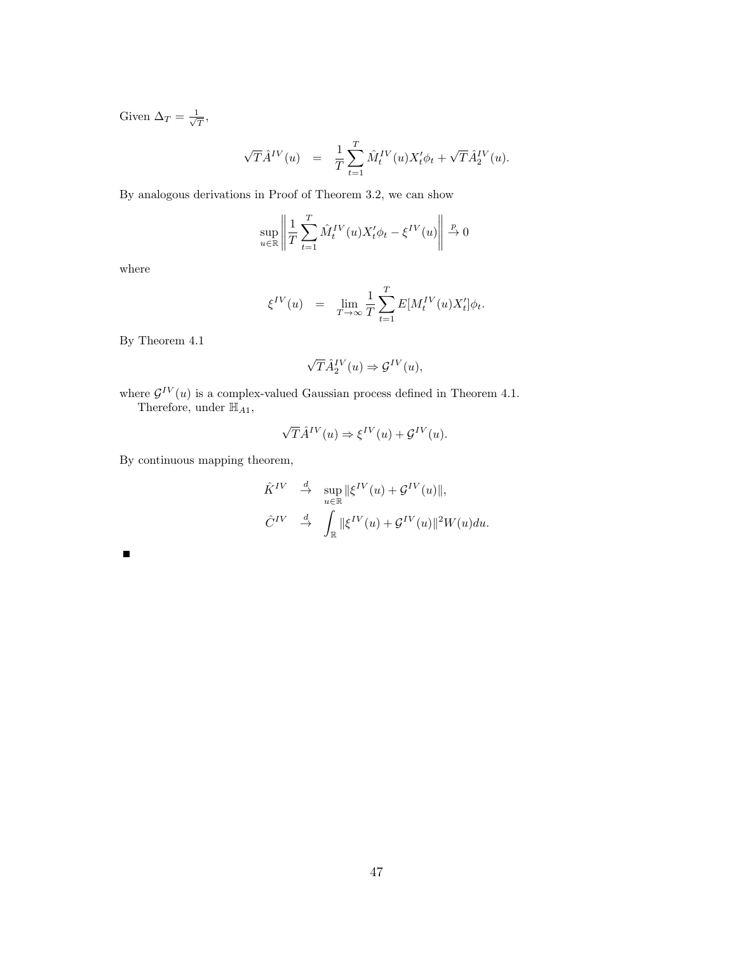Given  $\Delta_T = \frac{1}{\sqrt{2}}$  $\frac{\mathbb{I}}{T},$ 

$$
\sqrt{T} \hat{A}^{IV}(u) = \frac{1}{T} \sum_{t=1}^{T} \hat{M}_{t}^{IV}(u) X_{t}' \phi_{t} + \sqrt{T} \hat{A}_{2}^{IV}(u).
$$

By analogous derivations in Proof of Theorem 3.2, we can show

$$
\sup_{u \in \mathbb{R}} \left\| \frac{1}{T} \sum_{t=1}^{T} \hat{M}_t^{IV}(u) X_t' \phi_t - \xi^{IV}(u) \right\| \xrightarrow{p} 0
$$

where

$$
\xi^{IV}(u) \quad = \quad \lim_{T\to\infty} \frac{1}{T} \sum_{t=1}^T E[M_t^{IV}(u) X_t'] \phi_t.
$$

By Theorem 4.1

$$
\sqrt{T}\hat{A}_2^{IV}(u) \Rightarrow \mathcal{G}^{IV}(u),
$$

where  $\mathcal{G}^{IV}(u)$  is a complex-valued Gaussian process defined in Theorem 4.1. Therefore, under  $\mathbb{H}_{A1}$ ,

$$
\sqrt{T}\hat{A}^{IV}(u) \Rightarrow \xi^{IV}(u) + \mathcal{G}^{IV}(u).
$$

By continuous mapping theorem,

$$
\hat{K}^{IV} \stackrel{d}{\to} \sup_{u \in \mathbb{R}} \|\xi^{IV}(u) + \mathcal{G}^{IV}(u)\|,
$$
  

$$
\hat{C}^{IV} \stackrel{d}{\to} \int_{\mathbb{R}} \|\xi^{IV}(u) + \mathcal{G}^{IV}(u)\|^{2}W(u)du.
$$

 $\blacksquare$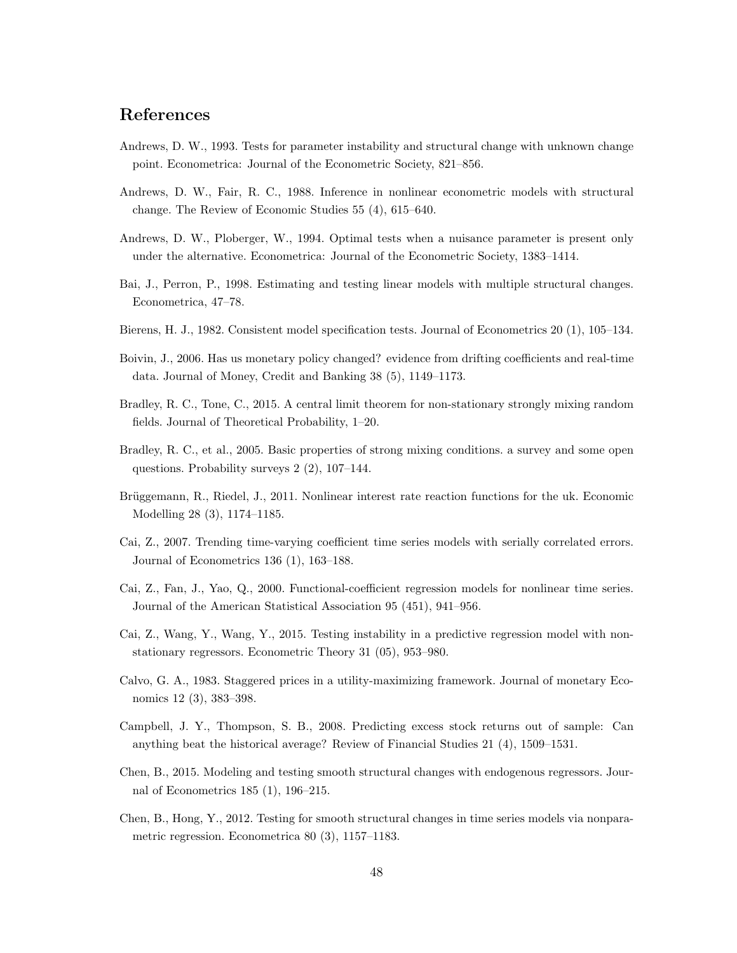# References

- Andrews, D. W., 1993. Tests for parameter instability and structural change with unknown change point. Econometrica: Journal of the Econometric Society, 821–856.
- Andrews, D. W., Fair, R. C., 1988. Inference in nonlinear econometric models with structural change. The Review of Economic Studies 55 (4), 615–640.
- Andrews, D. W., Ploberger, W., 1994. Optimal tests when a nuisance parameter is present only under the alternative. Econometrica: Journal of the Econometric Society, 1383–1414.
- Bai, J., Perron, P., 1998. Estimating and testing linear models with multiple structural changes. Econometrica, 47–78.
- Bierens, H. J., 1982. Consistent model specification tests. Journal of Econometrics 20 (1), 105–134.
- Boivin, J., 2006. Has us monetary policy changed? evidence from drifting coefficients and real-time data. Journal of Money, Credit and Banking 38 (5), 1149–1173.
- Bradley, R. C., Tone, C., 2015. A central limit theorem for non-stationary strongly mixing random fields. Journal of Theoretical Probability, 1–20.
- Bradley, R. C., et al., 2005. Basic properties of strong mixing conditions. a survey and some open questions. Probability surveys 2 (2), 107–144.
- Brüggemann, R., Riedel, J., 2011. Nonlinear interest rate reaction functions for the uk. Economic Modelling 28 (3), 1174–1185.
- Cai, Z., 2007. Trending time-varying coefficient time series models with serially correlated errors. Journal of Econometrics 136 (1), 163–188.
- Cai, Z., Fan, J., Yao, Q., 2000. Functional-coefficient regression models for nonlinear time series. Journal of the American Statistical Association 95 (451), 941–956.
- Cai, Z., Wang, Y., Wang, Y., 2015. Testing instability in a predictive regression model with nonstationary regressors. Econometric Theory 31 (05), 953–980.
- Calvo, G. A., 1983. Staggered prices in a utility-maximizing framework. Journal of monetary Economics 12 (3), 383–398.
- Campbell, J. Y., Thompson, S. B., 2008. Predicting excess stock returns out of sample: Can anything beat the historical average? Review of Financial Studies 21 (4), 1509–1531.
- Chen, B., 2015. Modeling and testing smooth structural changes with endogenous regressors. Journal of Econometrics 185 (1), 196–215.
- Chen, B., Hong, Y., 2012. Testing for smooth structural changes in time series models via nonparametric regression. Econometrica 80 (3), 1157–1183.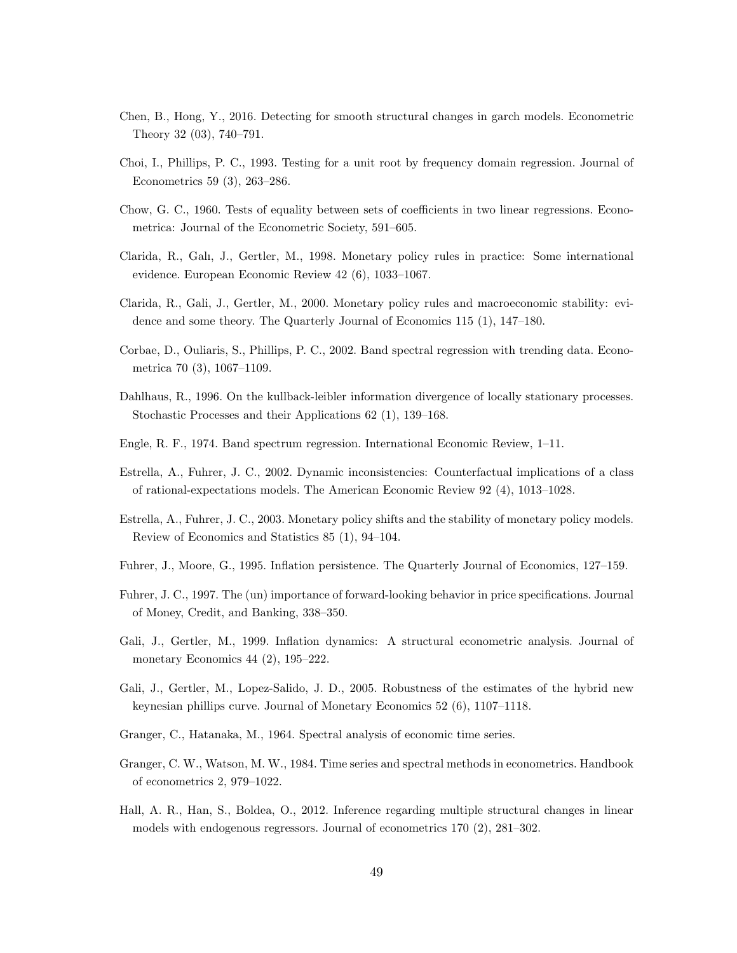- Chen, B., Hong, Y., 2016. Detecting for smooth structural changes in garch models. Econometric Theory 32 (03), 740–791.
- Choi, I., Phillips, P. C., 1993. Testing for a unit root by frequency domain regression. Journal of Econometrics 59 (3), 263–286.
- Chow, G. C., 1960. Tests of equality between sets of coefficients in two linear regressions. Econometrica: Journal of the Econometric Society, 591–605.
- Clarida, R., Galı, J., Gertler, M., 1998. Monetary policy rules in practice: Some international evidence. European Economic Review 42 (6), 1033–1067.
- Clarida, R., Gali, J., Gertler, M., 2000. Monetary policy rules and macroeconomic stability: evidence and some theory. The Quarterly Journal of Economics 115 (1), 147–180.
- Corbae, D., Ouliaris, S., Phillips, P. C., 2002. Band spectral regression with trending data. Econometrica 70 (3), 1067–1109.
- Dahlhaus, R., 1996. On the kullback-leibler information divergence of locally stationary processes. Stochastic Processes and their Applications 62 (1), 139–168.
- Engle, R. F., 1974. Band spectrum regression. International Economic Review, 1–11.
- Estrella, A., Fuhrer, J. C., 2002. Dynamic inconsistencies: Counterfactual implications of a class of rational-expectations models. The American Economic Review 92 (4), 1013–1028.
- Estrella, A., Fuhrer, J. C., 2003. Monetary policy shifts and the stability of monetary policy models. Review of Economics and Statistics 85 (1), 94–104.
- Fuhrer, J., Moore, G., 1995. Inflation persistence. The Quarterly Journal of Economics, 127–159.
- Fuhrer, J. C., 1997. The (un) importance of forward-looking behavior in price specifications. Journal of Money, Credit, and Banking, 338–350.
- Gali, J., Gertler, M., 1999. Inflation dynamics: A structural econometric analysis. Journal of monetary Economics 44 (2), 195–222.
- Gali, J., Gertler, M., Lopez-Salido, J. D., 2005. Robustness of the estimates of the hybrid new keynesian phillips curve. Journal of Monetary Economics 52 (6), 1107–1118.
- Granger, C., Hatanaka, M., 1964. Spectral analysis of economic time series.
- Granger, C. W., Watson, M. W., 1984. Time series and spectral methods in econometrics. Handbook of econometrics 2, 979–1022.
- Hall, A. R., Han, S., Boldea, O., 2012. Inference regarding multiple structural changes in linear models with endogenous regressors. Journal of econometrics 170 (2), 281–302.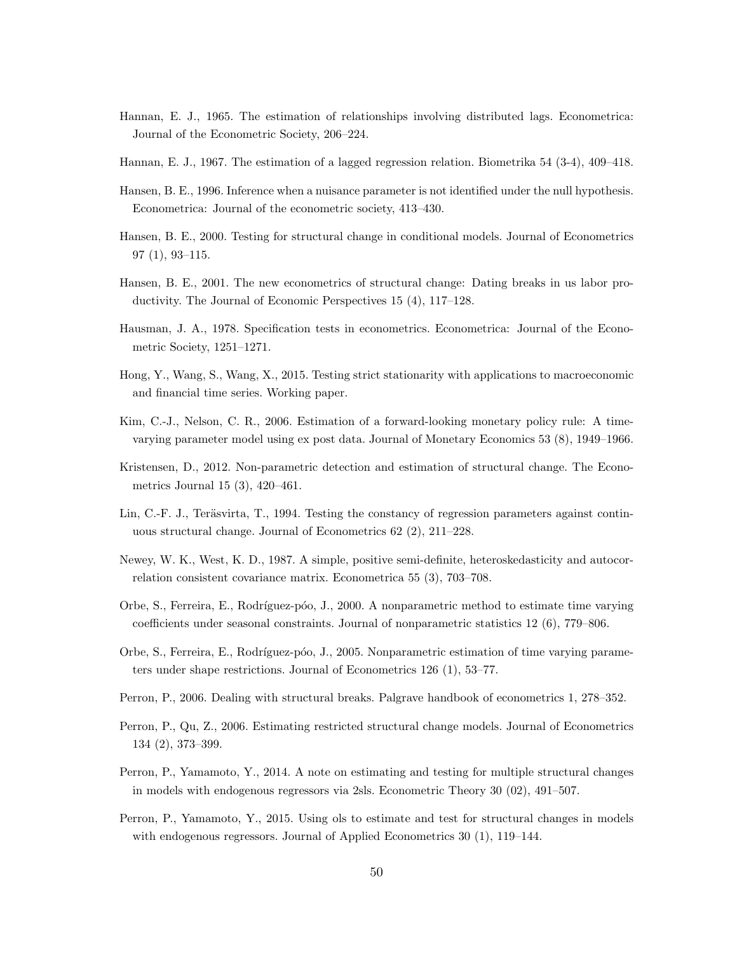- Hannan, E. J., 1965. The estimation of relationships involving distributed lags. Econometrica: Journal of the Econometric Society, 206–224.
- Hannan, E. J., 1967. The estimation of a lagged regression relation. Biometrika 54 (3-4), 409–418.
- Hansen, B. E., 1996. Inference when a nuisance parameter is not identified under the null hypothesis. Econometrica: Journal of the econometric society, 413–430.
- Hansen, B. E., 2000. Testing for structural change in conditional models. Journal of Econometrics 97 (1), 93–115.
- Hansen, B. E., 2001. The new econometrics of structural change: Dating breaks in us labor productivity. The Journal of Economic Perspectives 15 (4), 117–128.
- Hausman, J. A., 1978. Specification tests in econometrics. Econometrica: Journal of the Econometric Society, 1251–1271.
- Hong, Y., Wang, S., Wang, X., 2015. Testing strict stationarity with applications to macroeconomic and financial time series. Working paper.
- Kim, C.-J., Nelson, C. R., 2006. Estimation of a forward-looking monetary policy rule: A timevarying parameter model using ex post data. Journal of Monetary Economics 53 (8), 1949–1966.
- Kristensen, D., 2012. Non-parametric detection and estimation of structural change. The Econometrics Journal 15 (3), 420–461.
- Lin, C.-F. J., Teräsvirta, T., 1994. Testing the constancy of regression parameters against continuous structural change. Journal of Econometrics 62 (2), 211–228.
- Newey, W. K., West, K. D., 1987. A simple, positive semi-definite, heteroskedasticity and autocorrelation consistent covariance matrix. Econometrica 55 (3), 703–708.
- Orbe, S., Ferreira, E., Rodríguez-póo, J., 2000. A nonparametric method to estimate time varying coefficients under seasonal constraints. Journal of nonparametric statistics 12 (6), 779–806.
- Orbe, S., Ferreira, E., Rodríguez-póo, J., 2005. Nonparametric estimation of time varying parameters under shape restrictions. Journal of Econometrics 126 (1), 53–77.
- Perron, P., 2006. Dealing with structural breaks. Palgrave handbook of econometrics 1, 278–352.
- Perron, P., Qu, Z., 2006. Estimating restricted structural change models. Journal of Econometrics 134 (2), 373–399.
- Perron, P., Yamamoto, Y., 2014. A note on estimating and testing for multiple structural changes in models with endogenous regressors via 2sls. Econometric Theory 30 (02), 491–507.
- Perron, P., Yamamoto, Y., 2015. Using ols to estimate and test for structural changes in models with endogenous regressors. Journal of Applied Econometrics 30 (1), 119–144.